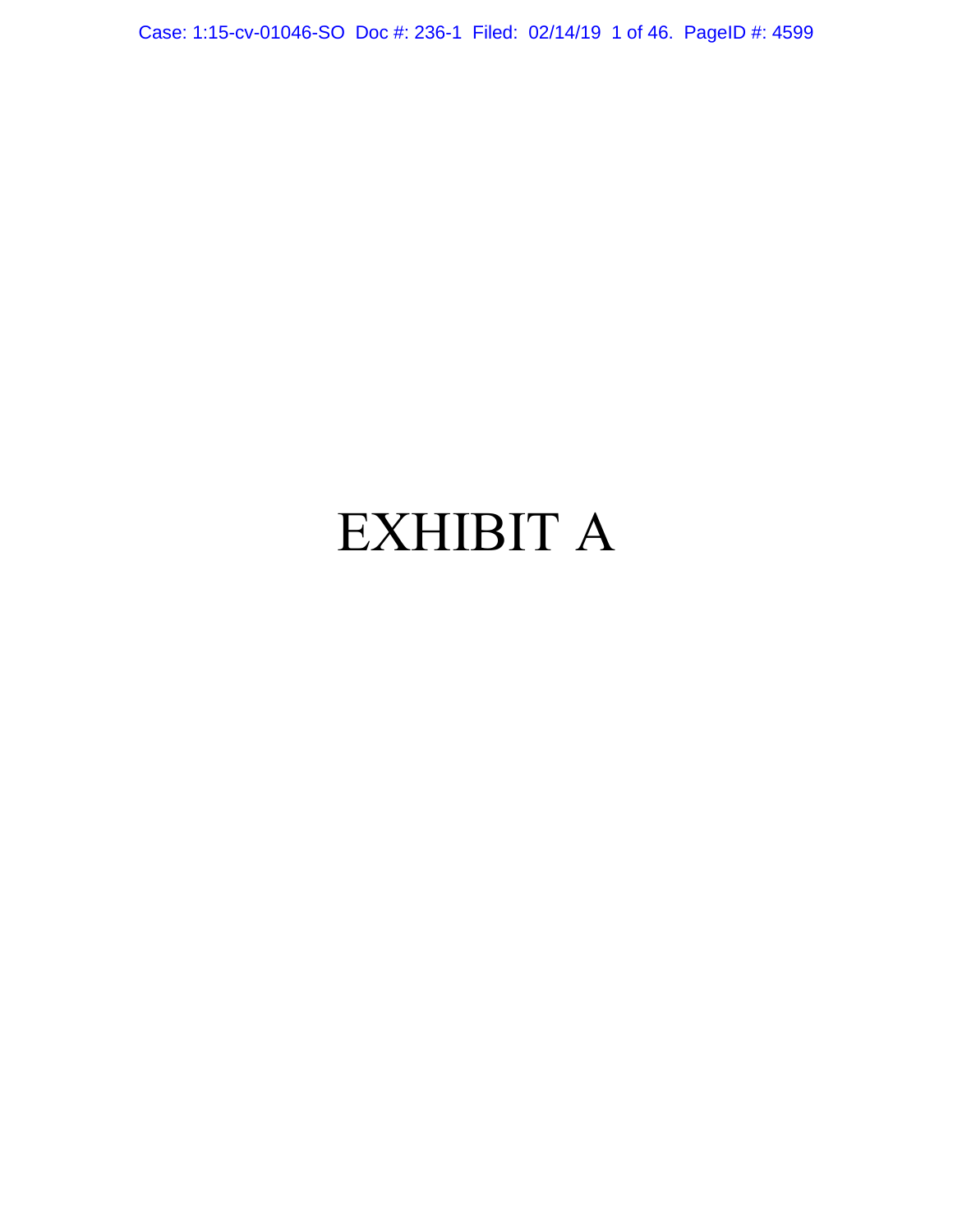Case: 1:15-cv-01046-SO Doc #: 236-1 Filed: 02/14/19 1 of 46. PageID #: 4599

# EXHIBIT A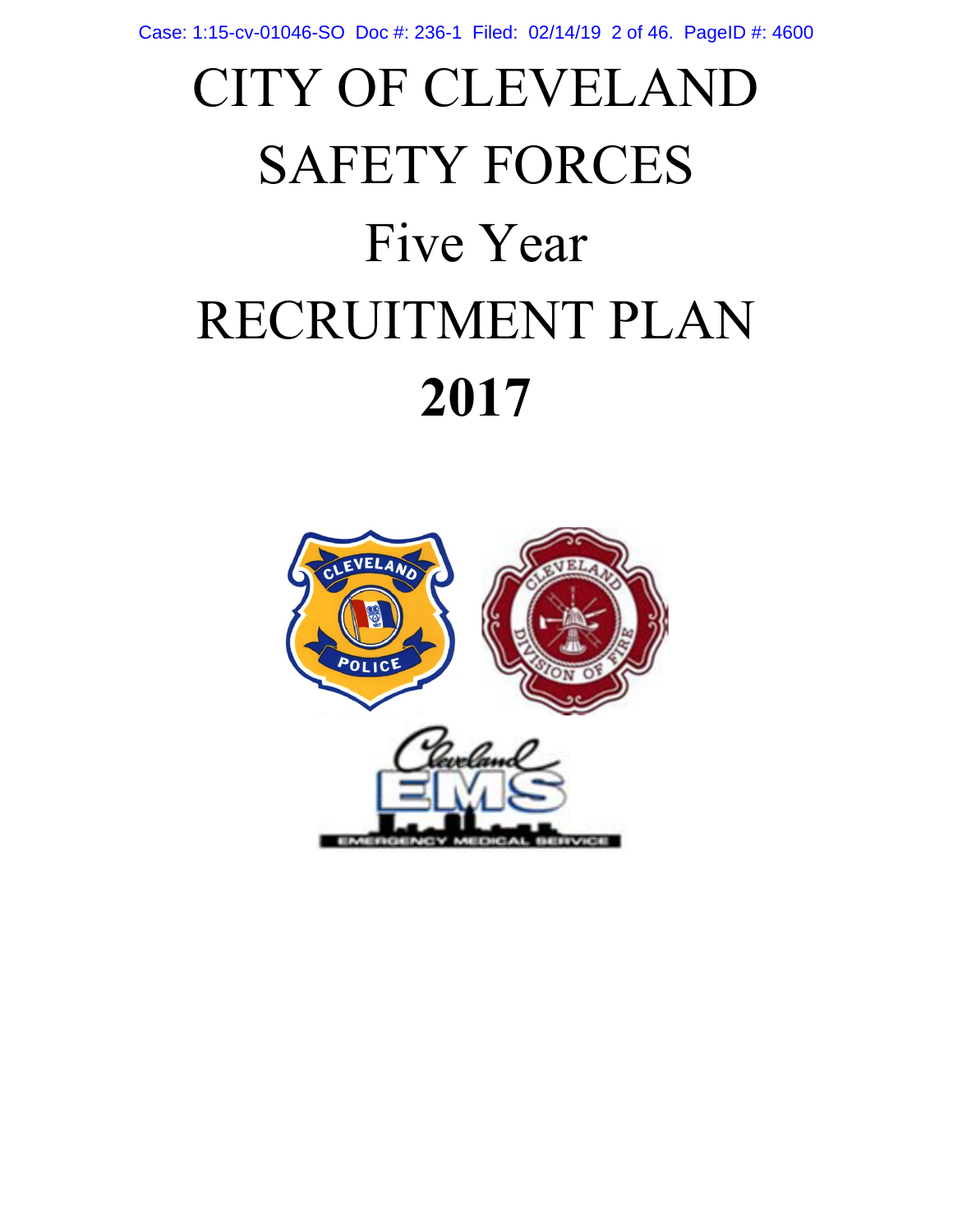Case: 1:15-cv-01046-SO Doc #: 236-1 Filed: 02/14/19 2 of 46. PageID #: 4600

# CITY OF CLEVELAND SAFETY FORCES Five Year RECRUITMENT PLAN **2017**

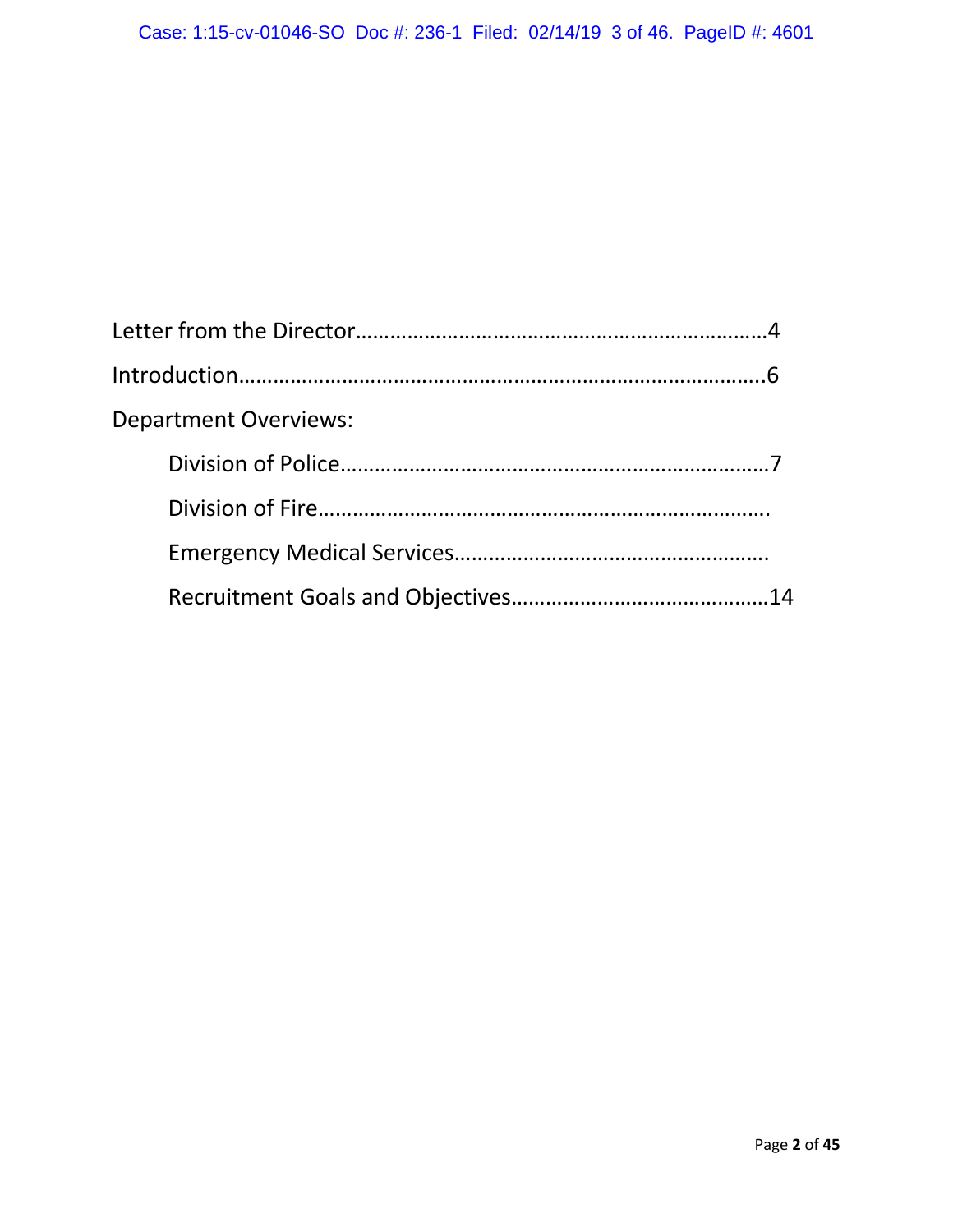| <b>Department Overviews:</b> |  |
|------------------------------|--|
|                              |  |
|                              |  |
|                              |  |
|                              |  |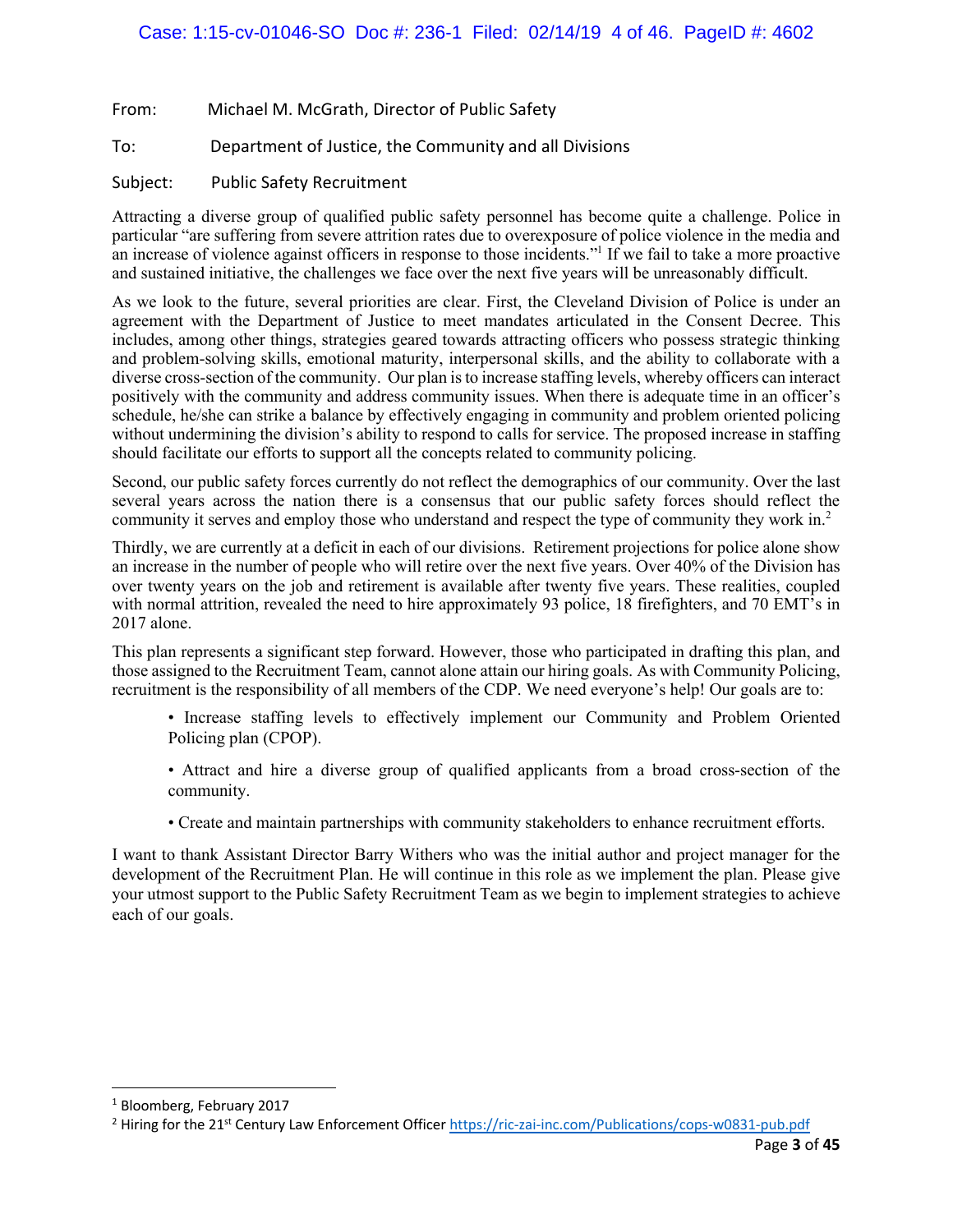From: Michael M. McGrath, Director of Public Safety

To: Department of Justice, the Community and all Divisions

#### Subject: Public Safety Recruitment

Attracting a diverse group of qualified public safety personnel has become quite a challenge. Police in particular "are suffering from severe attrition rates due to overexposure of police violence in the media and an increase of violence against officers in response to those incidents."1 If we fail to take a more proactive and sustained initiative, the challenges we face over the next five years will be unreasonably difficult.

As we look to the future, several priorities are clear. First, the Cleveland Division of Police is under an agreement with the Department of Justice to meet mandates articulated in the Consent Decree. This includes, among other things, strategies geared towards attracting officers who possess strategic thinking and problem-solving skills, emotional maturity, interpersonal skills, and the ability to collaborate with a diverse cross-section of the community. Our plan is to increase staffing levels, whereby officers can interact positively with the community and address community issues. When there is adequate time in an officer's schedule, he/she can strike a balance by effectively engaging in community and problem oriented policing without undermining the division's ability to respond to calls for service. The proposed increase in staffing should facilitate our efforts to support all the concepts related to community policing.

Second, our public safety forces currently do not reflect the demographics of our community. Over the last several years across the nation there is a consensus that our public safety forces should reflect the community it serves and employ those who understand and respect the type of community they work in.<sup>2</sup>

Thirdly, we are currently at a deficit in each of our divisions. Retirement projections for police alone show an increase in the number of people who will retire over the next five years. Over 40% of the Division has over twenty years on the job and retirement is available after twenty five years. These realities, coupled with normal attrition, revealed the need to hire approximately 93 police, 18 firefighters, and 70 EMT's in 2017 alone.

This plan represents a significant step forward. However, those who participated in drafting this plan, and those assigned to the Recruitment Team, cannot alone attain our hiring goals. As with Community Policing, recruitment is the responsibility of all members of the CDP. We need everyone's help! Our goals are to:

- Increase staffing levels to effectively implement our Community and Problem Oriented Policing plan (CPOP).
- Attract and hire a diverse group of qualified applicants from a broad cross-section of the community.
- Create and maintain partnerships with community stakeholders to enhance recruitment efforts.

I want to thank Assistant Director Barry Withers who was the initial author and project manager for the development of the Recruitment Plan. He will continue in this role as we implement the plan. Please give your utmost support to the Public Safety Recruitment Team as we begin to implement strategies to achieve each of our goals.

 <sup>1</sup> Bloomberg, February 2017

<sup>&</sup>lt;sup>2</sup> Hiring for the 21<sup>st</sup> Century Law Enforcement Officer https://ric-zai-inc.com/Publications/cops-w0831-pub.pdf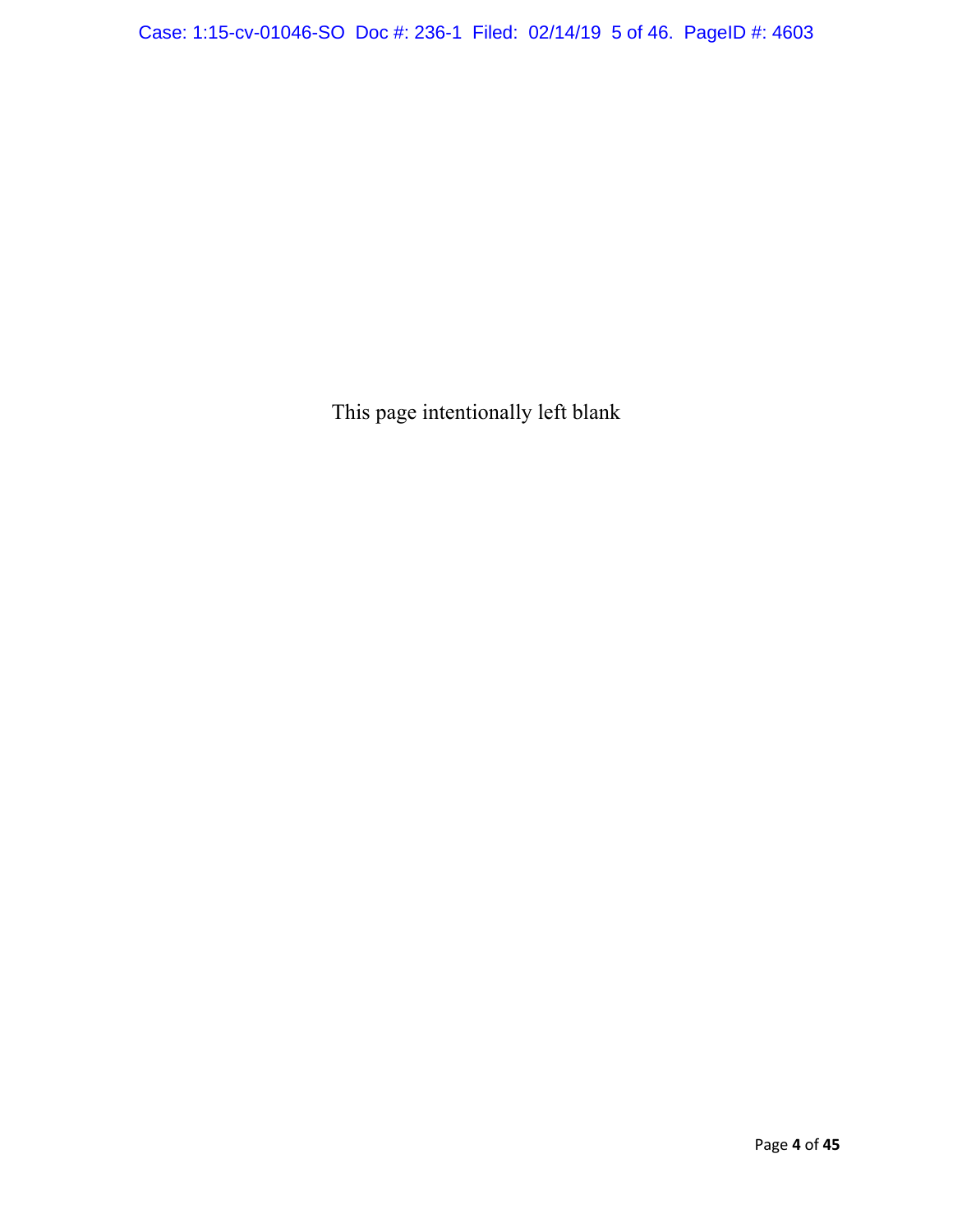Case: 1:15-cv-01046-SO Doc #: 236-1 Filed: 02/14/19 5 of 46. PageID #: 4603

This page intentionally left blank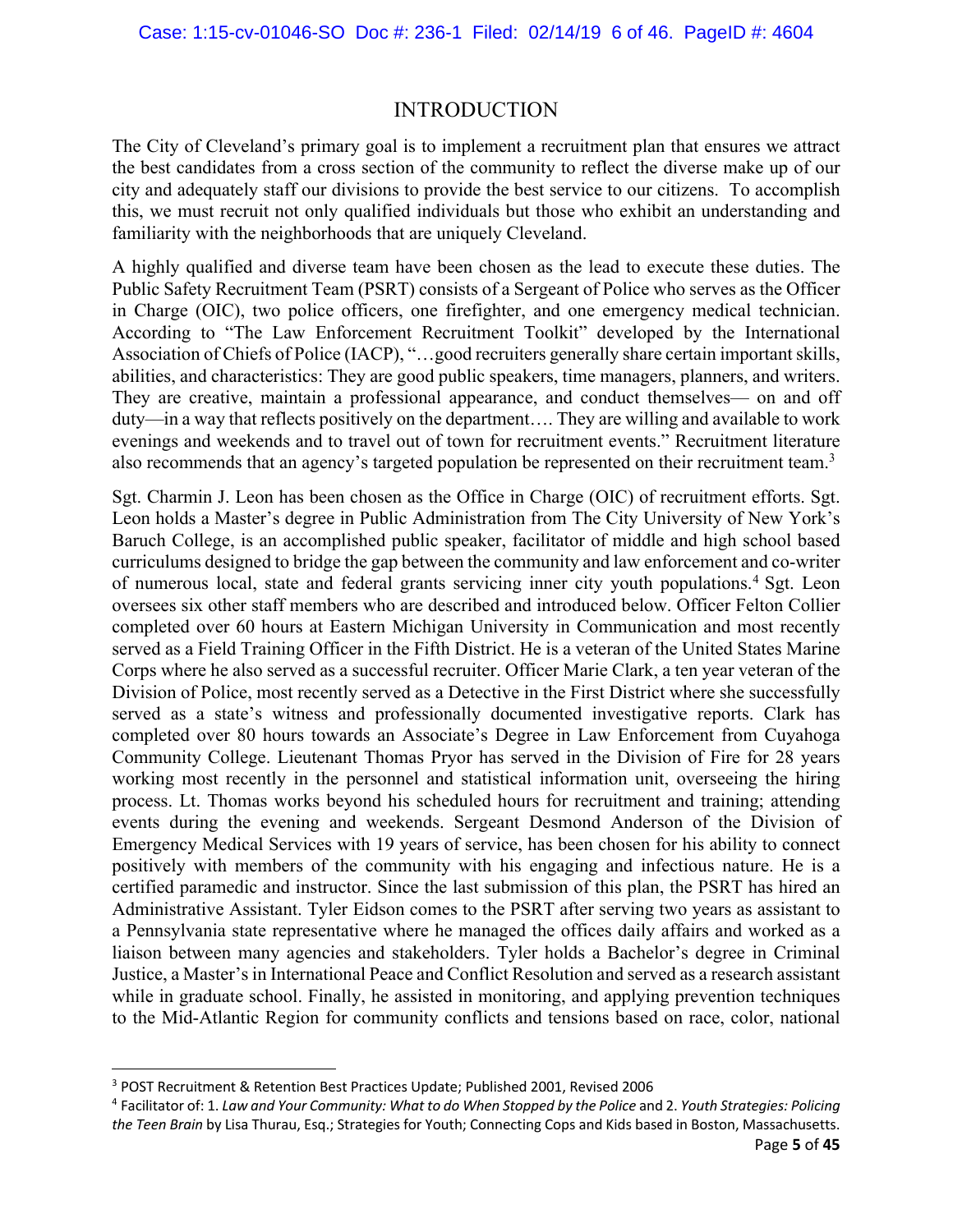#### INTRODUCTION

The City of Cleveland's primary goal is to implement a recruitment plan that ensures we attract the best candidates from a cross section of the community to reflect the diverse make up of our city and adequately staff our divisions to provide the best service to our citizens. To accomplish this, we must recruit not only qualified individuals but those who exhibit an understanding and familiarity with the neighborhoods that are uniquely Cleveland.

A highly qualified and diverse team have been chosen as the lead to execute these duties. The Public Safety Recruitment Team (PSRT) consists of a Sergeant of Police who serves as the Officer in Charge (OIC), two police officers, one firefighter, and one emergency medical technician. According to "The Law Enforcement Recruitment Toolkit" developed by the International Association of Chiefs of Police (IACP), "…good recruiters generally share certain important skills, abilities, and characteristics: They are good public speakers, time managers, planners, and writers. They are creative, maintain a professional appearance, and conduct themselves— on and off duty—in a way that reflects positively on the department…. They are willing and available to work evenings and weekends and to travel out of town for recruitment events." Recruitment literature also recommends that an agency's targeted population be represented on their recruitment team.<sup>3</sup>

Sgt. Charmin J. Leon has been chosen as the Office in Charge (OIC) of recruitment efforts. Sgt. Leon holds a Master's degree in Public Administration from The City University of New York's Baruch College, is an accomplished public speaker, facilitator of middle and high school based curriculums designed to bridge the gap between the community and law enforcement and co-writer of numerous local, state and federal grants servicing inner city youth populations.4 Sgt. Leon oversees six other staff members who are described and introduced below. Officer Felton Collier completed over 60 hours at Eastern Michigan University in Communication and most recently served as a Field Training Officer in the Fifth District. He is a veteran of the United States Marine Corps where he also served as a successful recruiter. Officer Marie Clark, a ten year veteran of the Division of Police, most recently served as a Detective in the First District where she successfully served as a state's witness and professionally documented investigative reports. Clark has completed over 80 hours towards an Associate's Degree in Law Enforcement from Cuyahoga Community College. Lieutenant Thomas Pryor has served in the Division of Fire for 28 years working most recently in the personnel and statistical information unit, overseeing the hiring process. Lt. Thomas works beyond his scheduled hours for recruitment and training; attending events during the evening and weekends. Sergeant Desmond Anderson of the Division of Emergency Medical Services with 19 years of service, has been chosen for his ability to connect positively with members of the community with his engaging and infectious nature. He is a certified paramedic and instructor. Since the last submission of this plan, the PSRT has hired an Administrative Assistant. Tyler Eidson comes to the PSRT after serving two years as assistant to a Pennsylvania state representative where he managed the offices daily affairs and worked as a liaison between many agencies and stakeholders. Tyler holds a Bachelor's degree in Criminal Justice, a Master's in International Peace and Conflict Resolution and served as a research assistant while in graduate school. Finally, he assisted in monitoring, and applying prevention techniques to the Mid-Atlantic Region for community conflicts and tensions based on race, color, national

 <sup>3</sup> POST Recruitment & Retention Best Practices Update; Published 2001, Revised 2006

Page **5** of **45** <sup>4</sup> Facilitator of: 1. *Law and Your Community: What to do When Stopped by the Police* and 2. *Youth Strategies: Policing the Teen Brain* by Lisa Thurau, Esq.; Strategies for Youth; Connecting Cops and Kids based in Boston, Massachusetts.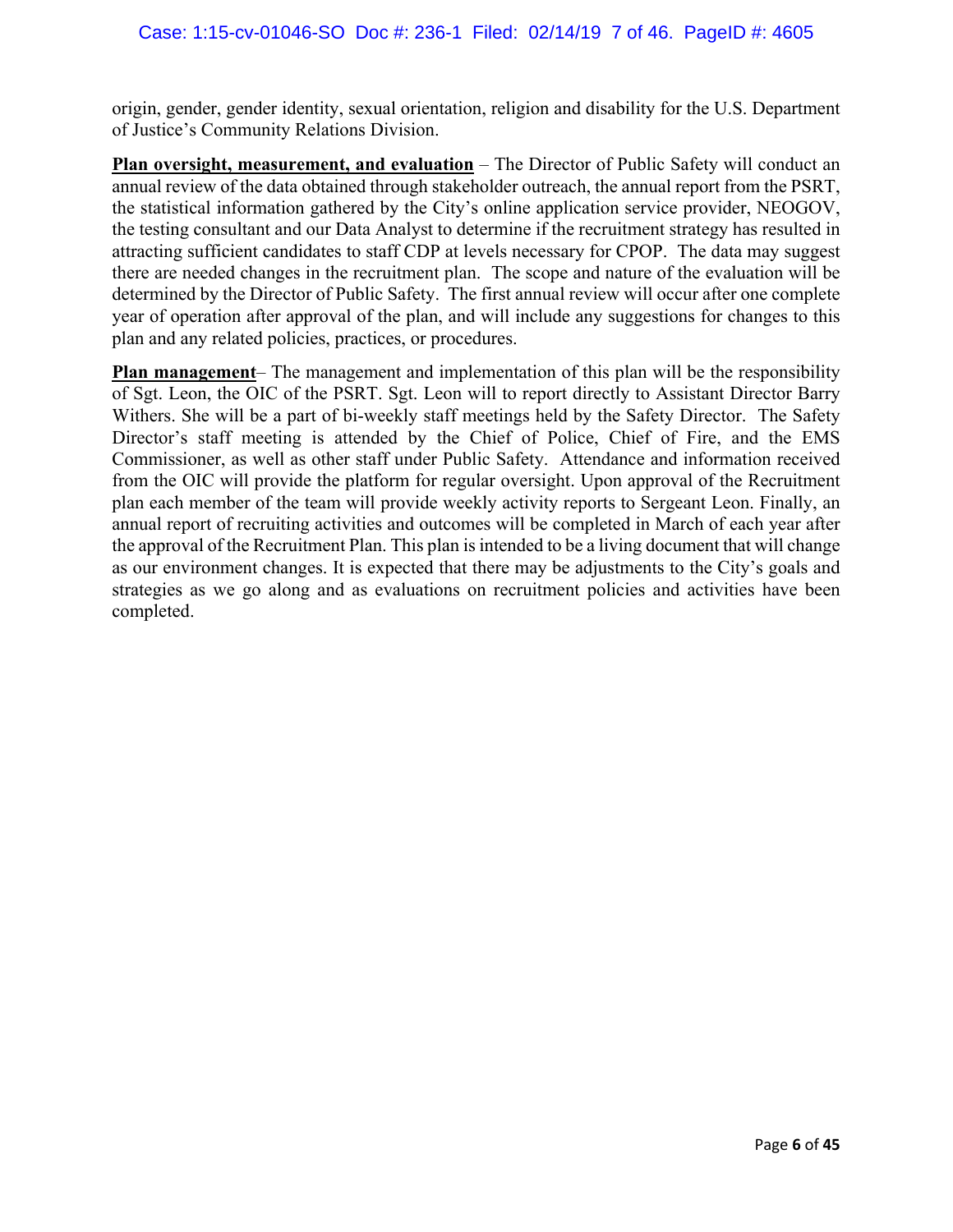origin, gender, gender identity, sexual orientation, religion and disability for the U.S. Department of Justice's Community Relations Division.

**Plan oversight, measurement, and evaluation** – The Director of Public Safety will conduct an annual review of the data obtained through stakeholder outreach, the annual report from the PSRT, the statistical information gathered by the City's online application service provider, NEOGOV, the testing consultant and our Data Analyst to determine if the recruitment strategy has resulted in attracting sufficient candidates to staff CDP at levels necessary for CPOP. The data may suggest there are needed changes in the recruitment plan. The scope and nature of the evaluation will be determined by the Director of Public Safety. The first annual review will occur after one complete year of operation after approval of the plan, and will include any suggestions for changes to this plan and any related policies, practices, or procedures.

**Plan management**– The management and implementation of this plan will be the responsibility of Sgt. Leon, the OIC of the PSRT. Sgt. Leon will to report directly to Assistant Director Barry Withers. She will be a part of bi-weekly staff meetings held by the Safety Director. The Safety Director's staff meeting is attended by the Chief of Police, Chief of Fire, and the EMS Commissioner, as well as other staff under Public Safety. Attendance and information received from the OIC will provide the platform for regular oversight. Upon approval of the Recruitment plan each member of the team will provide weekly activity reports to Sergeant Leon. Finally, an annual report of recruiting activities and outcomes will be completed in March of each year after the approval of the Recruitment Plan. This plan is intended to be a living document that will change as our environment changes. It is expected that there may be adjustments to the City's goals and strategies as we go along and as evaluations on recruitment policies and activities have been completed.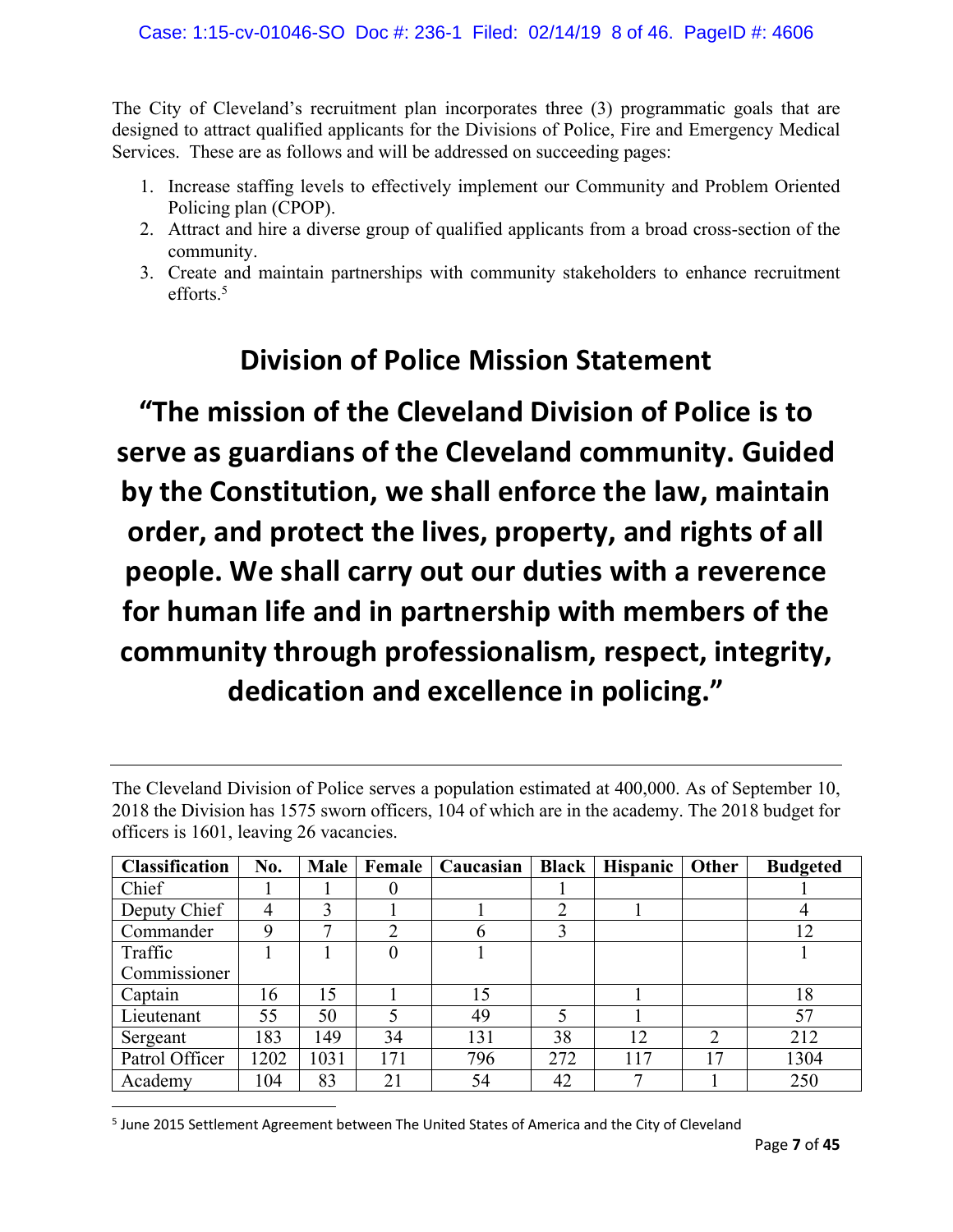The City of Cleveland's recruitment plan incorporates three (3) programmatic goals that are designed to attract qualified applicants for the Divisions of Police, Fire and Emergency Medical Services. These are as follows and will be addressed on succeeding pages:

- 1. Increase staffing levels to effectively implement our Community and Problem Oriented Policing plan (CPOP).
- 2. Attract and hire a diverse group of qualified applicants from a broad cross-section of the community.
- 3. Create and maintain partnerships with community stakeholders to enhance recruitment efforts.<sup>5</sup>

### **Division of Police Mission Statement**

**"The mission of the Cleveland Division of Police is to serve as guardians of the Cleveland community. Guided by the Constitution, we shall enforce the law, maintain order, and protect the lives, property, and rights of all people. We shall carry out our duties with a reverence for human life and in partnership with members of the community through professionalism, respect, integrity, dedication and excellence in policing."**

The Cleveland Division of Police serves a population estimated at 400,000. As of September 10, 2018 the Division has 1575 sworn officers, 104 of which are in the academy. The 2018 budget for officers is 1601, leaving 26 vacancies.

| <b>Classification</b> | No.  | <b>Male</b> | Female         | Caucasian | <b>Black</b> | <b>Hispanic</b> | <b>Other</b> | <b>Budgeted</b> |
|-----------------------|------|-------------|----------------|-----------|--------------|-----------------|--------------|-----------------|
| Chief                 |      |             |                |           |              |                 |              |                 |
| Deputy Chief          | 4    | 3           |                |           | ◠            |                 |              |                 |
| Commander             | 9    | 7           | $\overline{2}$ | h         |              |                 |              | 12              |
| Traffic               |      |             | 0              |           |              |                 |              |                 |
| Commissioner          |      |             |                |           |              |                 |              |                 |
| Captain               | 16   | 15          |                | 15        |              |                 |              | 18              |
| Lieutenant            | 55   | 50          |                | 49        | 5            |                 |              | 57              |
| Sergeant              | 183  | 149         | 34             | 131       | 38           | 12              | 2            | 212             |
| Patrol Officer        | 1202 | 1031        | 171            | 796       | 272          | 117             | 17           | 1304            |
| Academy               | 104  | 83          | 21             | 54        | 42           | 7               |              | 250             |

 <sup>5</sup> June 2015 Settlement Agreement between The United States of America and the City of Cleveland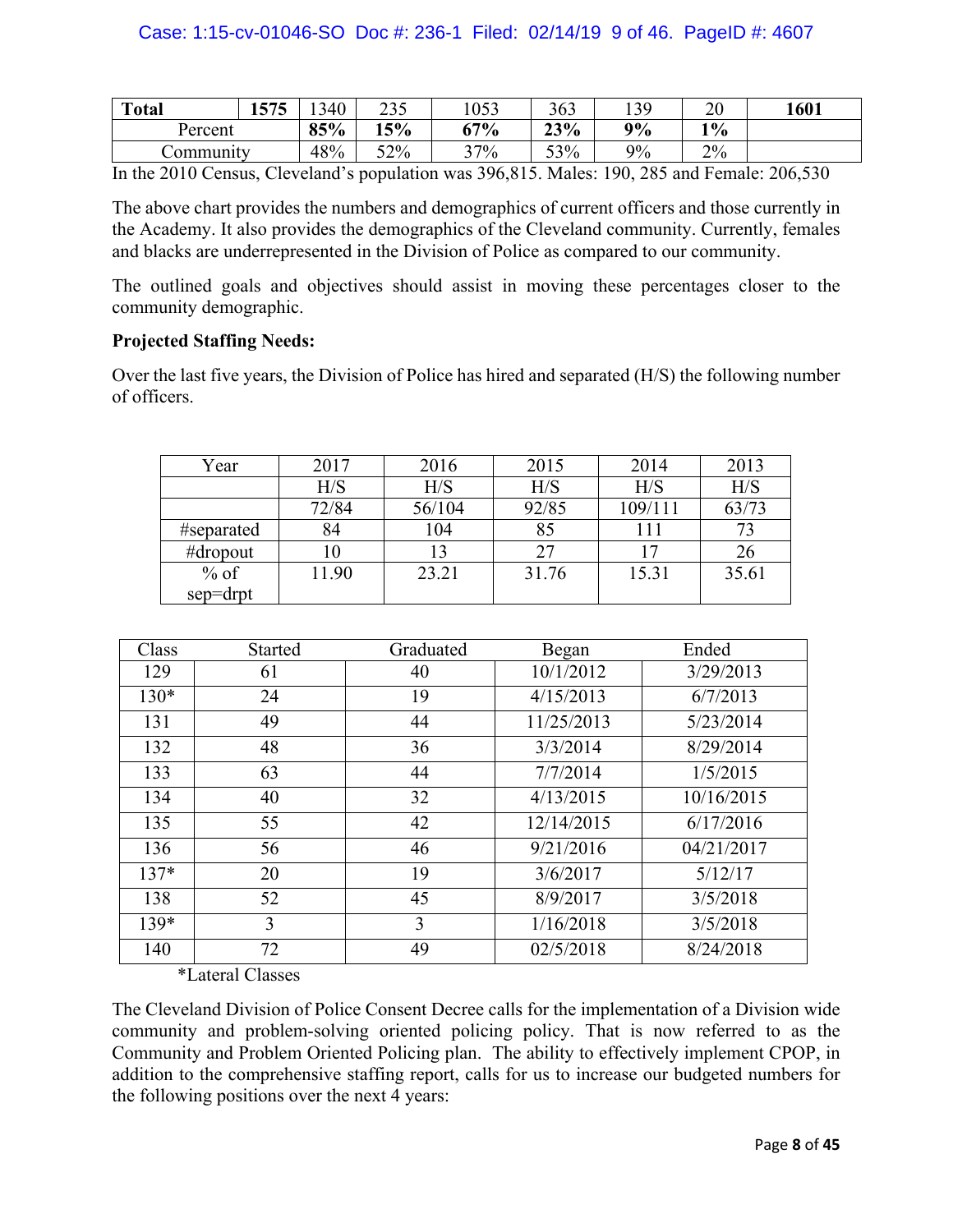| <b>Total</b>     | 1575 | 340 | つつく<br>ر ر ب | 1053   | 363 | 139<br>1 J J | ററ<br>∠∪ | 1601 |
|------------------|------|-----|--------------|--------|-----|--------------|----------|------|
| Percent          |      | 85% | 15%          | $57\%$ | 23% | 9%           | $1\%$    |      |
| <b>Community</b> |      | 48% | 52%          | 37%    | 53% | 9%           | 2%       |      |

In the 2010 Census, Cleveland's population was 396,815. Males: 190, 285 and Female: 206,530

The above chart provides the numbers and demographics of current officers and those currently in the Academy. It also provides the demographics of the Cleveland community. Currently, females and blacks are underrepresented in the Division of Police as compared to our community.

The outlined goals and objectives should assist in moving these percentages closer to the community demographic.

#### **Projected Staffing Needs:**

Over the last five years, the Division of Police has hired and separated (H/S) the following number of officers.

| Year         | 2017  | 2016   | 2015  | 2014    | 2013  |
|--------------|-------|--------|-------|---------|-------|
|              | H/S   | H/S    | H/S   | H/S     | H/S   |
|              | 72/84 | 56/104 | 92/85 | 109/111 | 63/73 |
| #separated   | 84    | 104    | 85    | 111     |       |
| $\#$ dropout |       |        | 27    | רו      | 26    |
| $%$ of       | 11.90 | 23.21  | 31.76 | 15.31   | 35.61 |
| $sep=drpt$   |       |        |       |         |       |

| Class  | <b>Started</b> | Graduated | Began      | Ended      |
|--------|----------------|-----------|------------|------------|
| 129    | 61             | 40        | 10/1/2012  | 3/29/2013  |
| $130*$ | 24             | 19        | 4/15/2013  | 6/7/2013   |
| 131    | 49             | 44        | 11/25/2013 | 5/23/2014  |
| 132    | 48             | 36        | 3/3/2014   | 8/29/2014  |
| 133    | 63             | 44        | 7/7/2014   | 1/5/2015   |
| 134    | 40             | 32        | 4/13/2015  | 10/16/2015 |
| 135    | 55             | 42        | 12/14/2015 | 6/17/2016  |
| 136    | 56             | 46        | 9/21/2016  | 04/21/2017 |
| $137*$ | 20             | 19        | 3/6/2017   | 5/12/17    |
| 138    | 52             | 45        | 8/9/2017   | 3/5/2018   |
| 139*   | 3              | 3         | 1/16/2018  | 3/5/2018   |
| 140    | 72             | 49        | 02/5/2018  | 8/24/2018  |

\*Lateral Classes

The Cleveland Division of Police Consent Decree calls for the implementation of a Division wide community and problem-solving oriented policing policy. That is now referred to as the Community and Problem Oriented Policing plan. The ability to effectively implement CPOP, in addition to the comprehensive staffing report, calls for us to increase our budgeted numbers for the following positions over the next 4 years: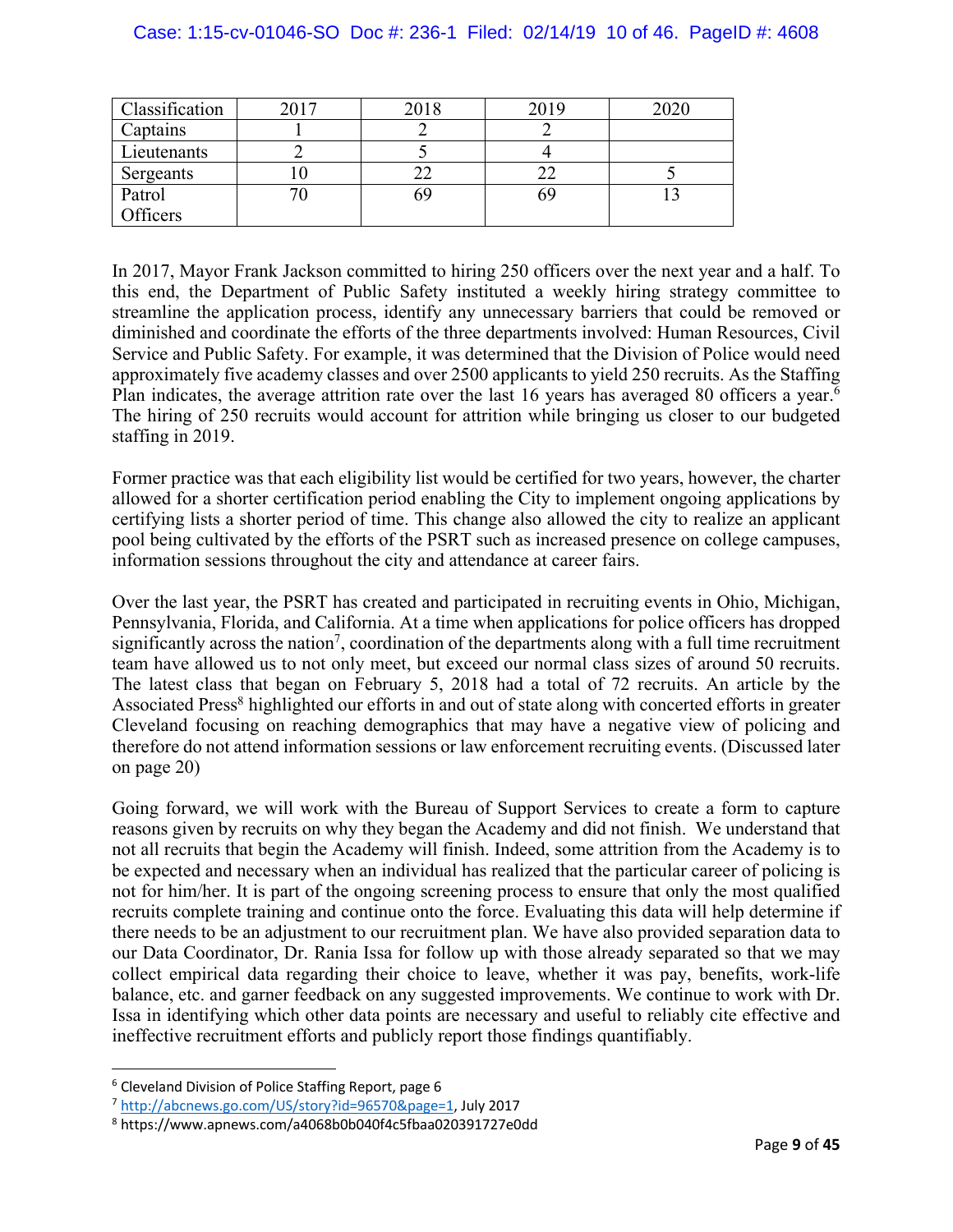#### Case: 1:15-cv-01046-SO Doc #: 236-1 Filed: 02/14/19 10 of 46. PageID #: 4608

| Classification  | 2018 | 2019 |  |
|-----------------|------|------|--|
| Captains        |      |      |  |
| Lieutenants     |      |      |  |
| Sergeants       |      |      |  |
| Patrol          |      |      |  |
| <b>Officers</b> |      |      |  |

In 2017, Mayor Frank Jackson committed to hiring 250 officers over the next year and a half. To this end, the Department of Public Safety instituted a weekly hiring strategy committee to streamline the application process, identify any unnecessary barriers that could be removed or diminished and coordinate the efforts of the three departments involved: Human Resources, Civil Service and Public Safety. For example, it was determined that the Division of Police would need approximately five academy classes and over 2500 applicants to yield 250 recruits. As the Staffing Plan indicates, the average attrition rate over the last 16 years has averaged 80 officers a year.<sup>6</sup> The hiring of 250 recruits would account for attrition while bringing us closer to our budgeted staffing in 2019.

Former practice was that each eligibility list would be certified for two years, however, the charter allowed for a shorter certification period enabling the City to implement ongoing applications by certifying lists a shorter period of time. This change also allowed the city to realize an applicant pool being cultivated by the efforts of the PSRT such as increased presence on college campuses, information sessions throughout the city and attendance at career fairs.

Over the last year, the PSRT has created and participated in recruiting events in Ohio, Michigan, Pennsylvania, Florida, and California. At a time when applications for police officers has dropped significantly across the nation<sup>7</sup>, coordination of the departments along with a full time recruitment team have allowed us to not only meet, but exceed our normal class sizes of around 50 recruits. The latest class that began on February 5, 2018 had a total of 72 recruits. An article by the Associated Press<sup>8</sup> highlighted our efforts in and out of state along with concerted efforts in greater Cleveland focusing on reaching demographics that may have a negative view of policing and therefore do not attend information sessions or law enforcement recruiting events. (Discussed later on page 20)

Going forward, we will work with the Bureau of Support Services to create a form to capture reasons given by recruits on why they began the Academy and did not finish. We understand that not all recruits that begin the Academy will finish. Indeed, some attrition from the Academy is to be expected and necessary when an individual has realized that the particular career of policing is not for him/her. It is part of the ongoing screening process to ensure that only the most qualified recruits complete training and continue onto the force. Evaluating this data will help determine if there needs to be an adjustment to our recruitment plan. We have also provided separation data to our Data Coordinator, Dr. Rania Issa for follow up with those already separated so that we may collect empirical data regarding their choice to leave, whether it was pay, benefits, work-life balance, etc. and garner feedback on any suggested improvements. We continue to work with Dr. Issa in identifying which other data points are necessary and useful to reliably cite effective and ineffective recruitment efforts and publicly report those findings quantifiably.

 <sup>6</sup> Cleveland Division of Police Staffing Report, page 6

<sup>7</sup> http://abcnews.go.com/US/story?id=96570&page=1, July 2017

<sup>8</sup> https://www.apnews.com/a4068b0b040f4c5fbaa020391727e0dd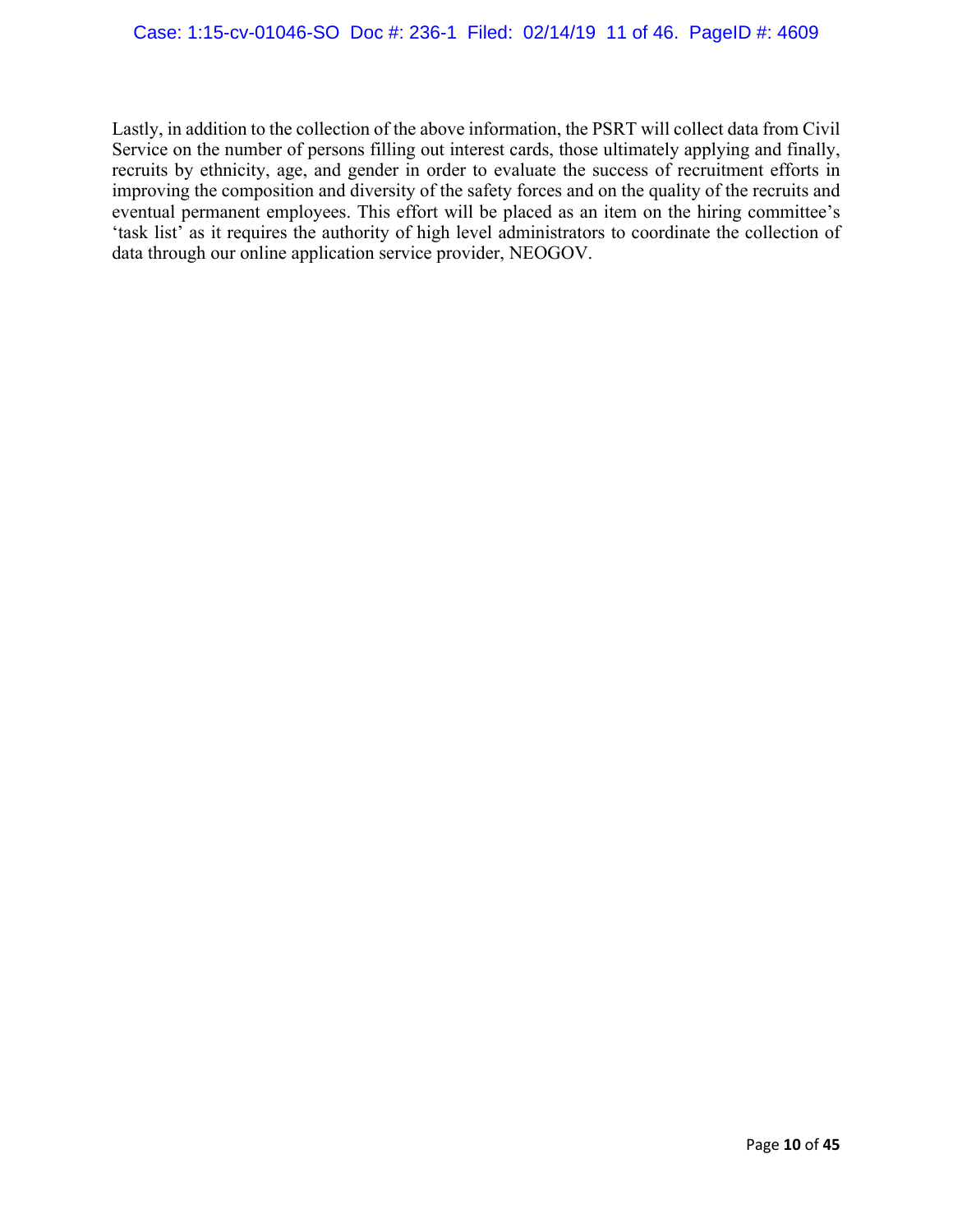Lastly, in addition to the collection of the above information, the PSRT will collect data from Civil Service on the number of persons filling out interest cards, those ultimately applying and finally, recruits by ethnicity, age, and gender in order to evaluate the success of recruitment efforts in improving the composition and diversity of the safety forces and on the quality of the recruits and eventual permanent employees. This effort will be placed as an item on the hiring committee's 'task list' as it requires the authority of high level administrators to coordinate the collection of data through our online application service provider, NEOGOV.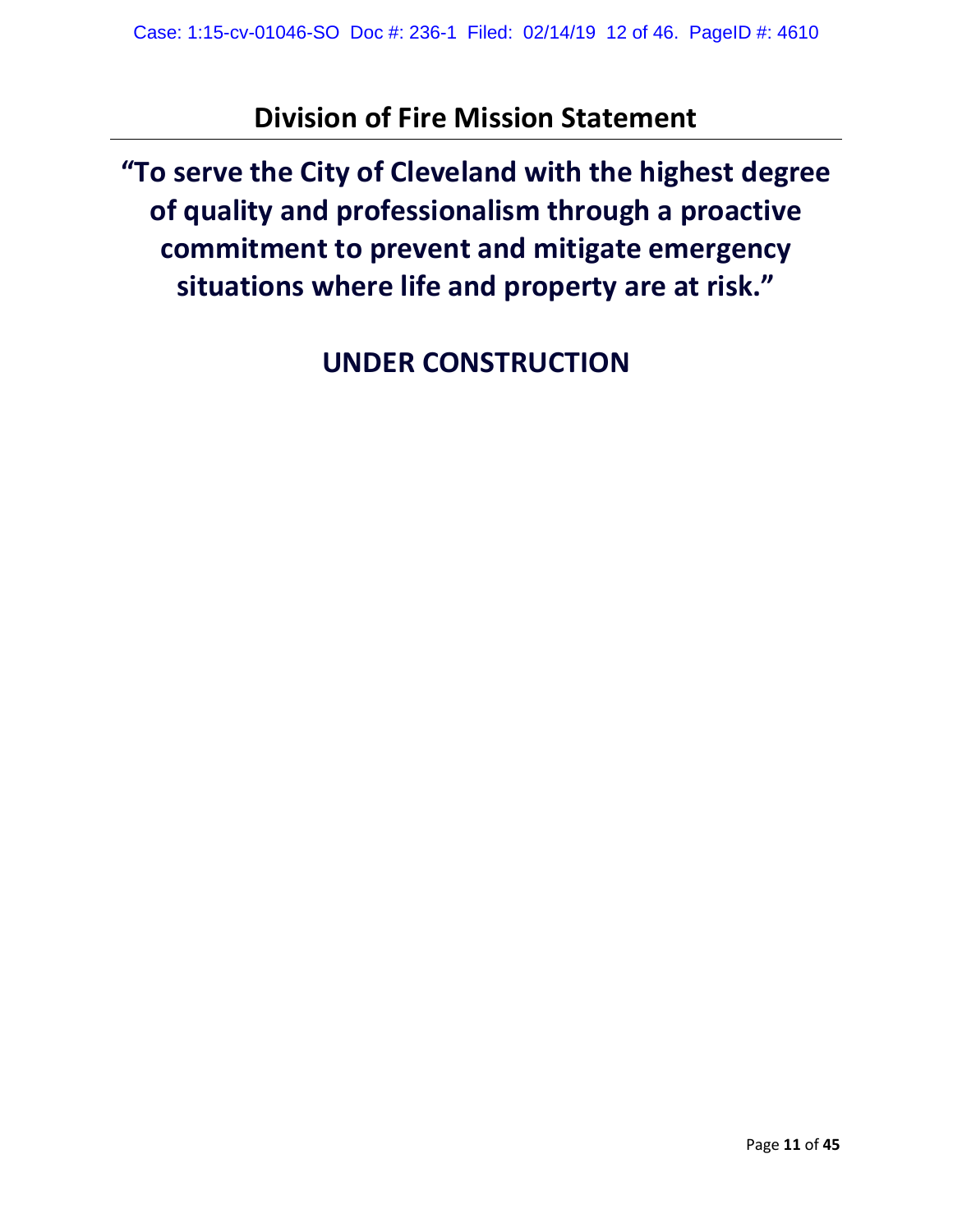### **Division of Fire Mission Statement**

**"To serve the City of Cleveland with the highest degree of quality and professionalism through a proactive commitment to prevent and mitigate emergency situations where life and property are at risk."**

**UNDER CONSTRUCTION**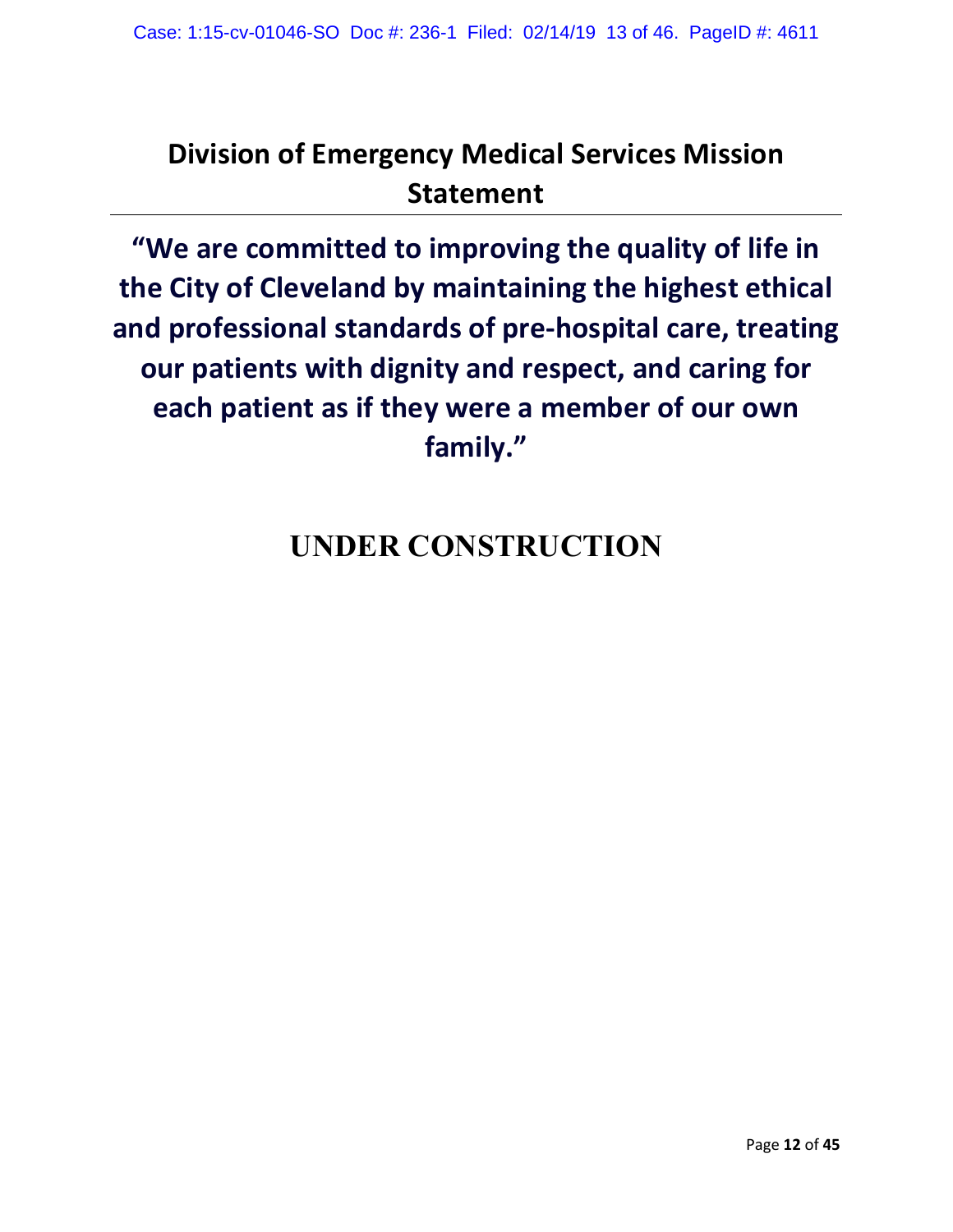### **Division of Emergency Medical Services Mission Statement**

**"We are committed to improving the quality of life in the City of Cleveland by maintaining the highest ethical and professional standards of pre-hospital care, treating our patients with dignity and respect, and caring for each patient as if they were a member of our own family."**

### **UNDER CONSTRUCTION**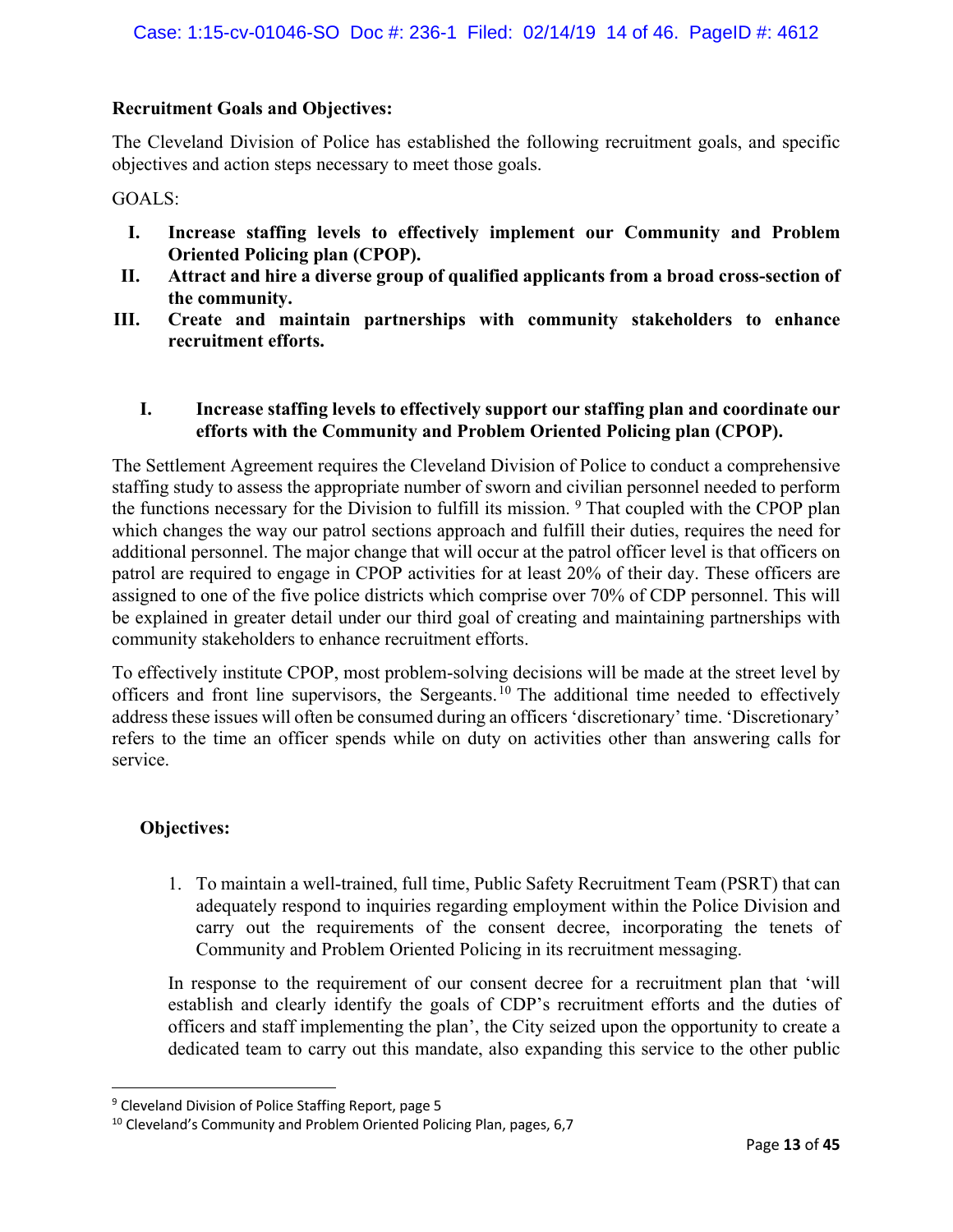#### **Recruitment Goals and Objectives:**

The Cleveland Division of Police has established the following recruitment goals, and specific objectives and action steps necessary to meet those goals.

#### GOALS:

- **I. Increase staffing levels to effectively implement our Community and Problem Oriented Policing plan (CPOP).**
- **II. Attract and hire a diverse group of qualified applicants from a broad cross-section of the community.**
- **III. Create and maintain partnerships with community stakeholders to enhance recruitment efforts.**

#### **I. Increase staffing levels to effectively support our staffing plan and coordinate our efforts with the Community and Problem Oriented Policing plan (CPOP).**

The Settlement Agreement requires the Cleveland Division of Police to conduct a comprehensive staffing study to assess the appropriate number of sworn and civilian personnel needed to perform the functions necessary for the Division to fulfill its mission. <sup>9</sup> That coupled with the CPOP plan which changes the way our patrol sections approach and fulfill their duties, requires the need for additional personnel. The major change that will occur at the patrol officer level is that officers on patrol are required to engage in CPOP activities for at least 20% of their day. These officers are assigned to one of the five police districts which comprise over 70% of CDP personnel. This will be explained in greater detail under our third goal of creating and maintaining partnerships with community stakeholders to enhance recruitment efforts.

To effectively institute CPOP, most problem-solving decisions will be made at the street level by officers and front line supervisors, the Sergeants.<sup>10</sup> The additional time needed to effectively address these issues will often be consumed during an officers 'discretionary' time. 'Discretionary' refers to the time an officer spends while on duty on activities other than answering calls for service.

#### **Objectives:**

1. To maintain a well-trained, full time, Public Safety Recruitment Team (PSRT) that can adequately respond to inquiries regarding employment within the Police Division and carry out the requirements of the consent decree, incorporating the tenets of Community and Problem Oriented Policing in its recruitment messaging.

In response to the requirement of our consent decree for a recruitment plan that 'will establish and clearly identify the goals of CDP's recruitment efforts and the duties of officers and staff implementing the plan', the City seized upon the opportunity to create a dedicated team to carry out this mandate, also expanding this service to the other public

 <sup>9</sup> Cleveland Division of Police Staffing Report, page 5

<sup>&</sup>lt;sup>10</sup> Cleveland's Community and Problem Oriented Policing Plan, pages, 6,7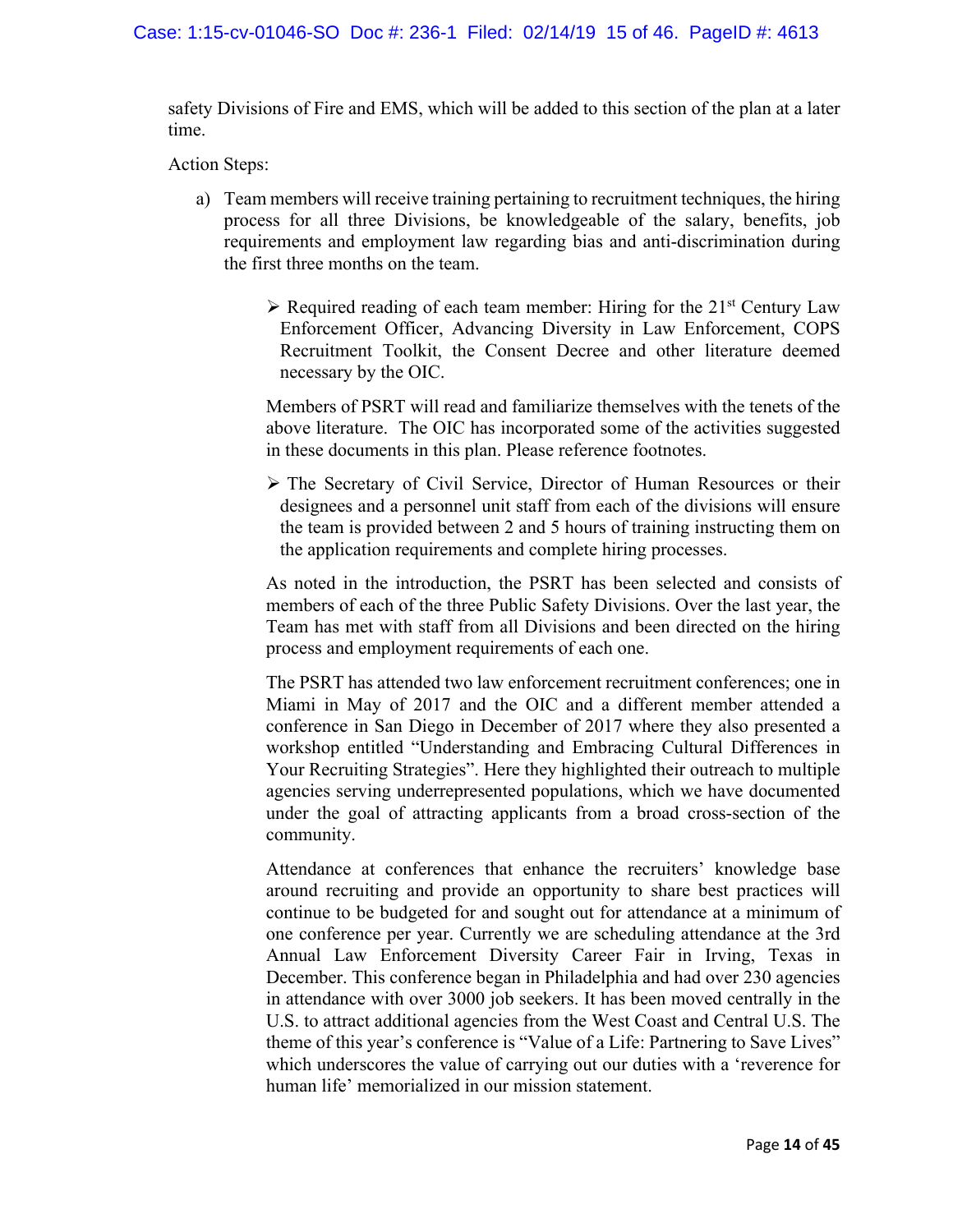safety Divisions of Fire and EMS, which will be added to this section of the plan at a later time.

Action Steps:

- a) Team members will receive training pertaining to recruitment techniques, the hiring process for all three Divisions, be knowledgeable of the salary, benefits, job requirements and employment law regarding bias and anti-discrimination during the first three months on the team.
	- $\triangleright$  Required reading of each team member: Hiring for the 21<sup>st</sup> Century Law Enforcement Officer, Advancing Diversity in Law Enforcement, COPS Recruitment Toolkit, the Consent Decree and other literature deemed necessary by the OIC.

Members of PSRT will read and familiarize themselves with the tenets of the above literature. The OIC has incorporated some of the activities suggested in these documents in this plan. Please reference footnotes.

 $\triangleright$  The Secretary of Civil Service, Director of Human Resources or their designees and a personnel unit staff from each of the divisions will ensure the team is provided between 2 and 5 hours of training instructing them on the application requirements and complete hiring processes.

As noted in the introduction, the PSRT has been selected and consists of members of each of the three Public Safety Divisions. Over the last year, the Team has met with staff from all Divisions and been directed on the hiring process and employment requirements of each one.

The PSRT has attended two law enforcement recruitment conferences; one in Miami in May of 2017 and the OIC and a different member attended a conference in San Diego in December of 2017 where they also presented a workshop entitled "Understanding and Embracing Cultural Differences in Your Recruiting Strategies". Here they highlighted their outreach to multiple agencies serving underrepresented populations, which we have documented under the goal of attracting applicants from a broad cross-section of the community.

Attendance at conferences that enhance the recruiters' knowledge base around recruiting and provide an opportunity to share best practices will continue to be budgeted for and sought out for attendance at a minimum of one conference per year. Currently we are scheduling attendance at the 3rd Annual Law Enforcement Diversity Career Fair in Irving, Texas in December. This conference began in Philadelphia and had over 230 agencies in attendance with over 3000 job seekers. It has been moved centrally in the U.S. to attract additional agencies from the West Coast and Central U.S. The theme of this year's conference is "Value of a Life: Partnering to Save Lives" which underscores the value of carrying out our duties with a 'reverence for human life' memorialized in our mission statement.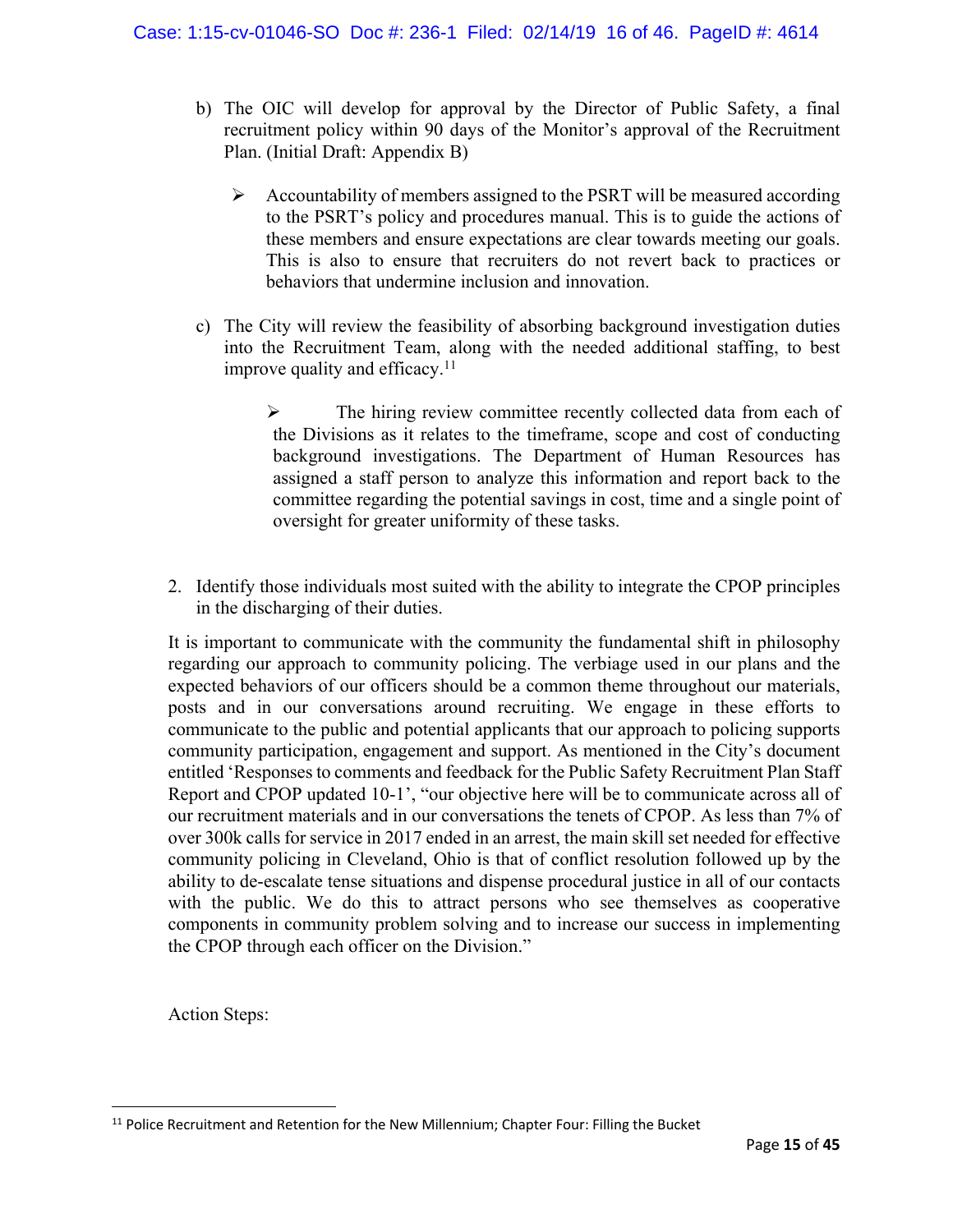- b) The OIC will develop for approval by the Director of Public Safety, a final recruitment policy within 90 days of the Monitor's approval of the Recruitment Plan. (Initial Draft: Appendix B)
	- $\triangleright$  Accountability of members assigned to the PSRT will be measured according to the PSRT's policy and procedures manual. This is to guide the actions of these members and ensure expectations are clear towards meeting our goals. This is also to ensure that recruiters do not revert back to practices or behaviors that undermine inclusion and innovation.
- c) The City will review the feasibility of absorbing background investigation duties into the Recruitment Team, along with the needed additional staffing, to best improve quality and efficacy.<sup>11</sup>

 $\triangleright$  The hiring review committee recently collected data from each of the Divisions as it relates to the timeframe, scope and cost of conducting background investigations. The Department of Human Resources has assigned a staff person to analyze this information and report back to the committee regarding the potential savings in cost, time and a single point of oversight for greater uniformity of these tasks.

2. Identify those individuals most suited with the ability to integrate the CPOP principles in the discharging of their duties.

It is important to communicate with the community the fundamental shift in philosophy regarding our approach to community policing. The verbiage used in our plans and the expected behaviors of our officers should be a common theme throughout our materials, posts and in our conversations around recruiting. We engage in these efforts to communicate to the public and potential applicants that our approach to policing supports community participation, engagement and support. As mentioned in the City's document entitled 'Responses to comments and feedback for the Public Safety Recruitment Plan Staff Report and CPOP updated 10-1', "our objective here will be to communicate across all of our recruitment materials and in our conversations the tenets of CPOP. As less than 7% of over 300k calls for service in 2017 ended in an arrest, the main skill set needed for effective community policing in Cleveland, Ohio is that of conflict resolution followed up by the ability to de-escalate tense situations and dispense procedural justice in all of our contacts with the public. We do this to attract persons who see themselves as cooperative components in community problem solving and to increase our success in implementing the CPOP through each officer on the Division."

Action Steps:

<sup>&</sup>lt;sup>11</sup> Police Recruitment and Retention for the New Millennium; Chapter Four: Filling the Bucket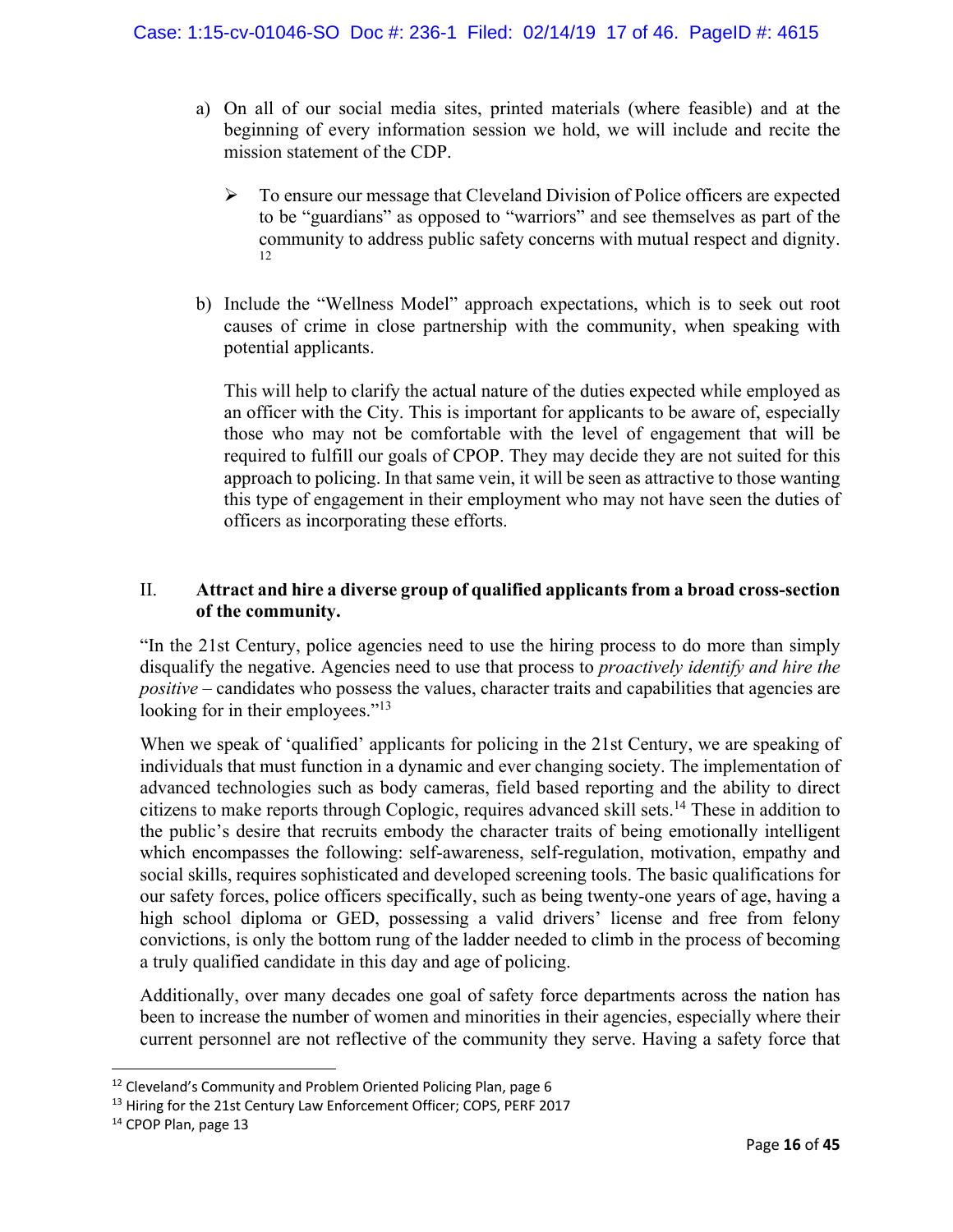- a) On all of our social media sites, printed materials (where feasible) and at the beginning of every information session we hold, we will include and recite the mission statement of the CDP.
	- $\triangleright$  To ensure our message that Cleveland Division of Police officers are expected to be "guardians" as opposed to "warriors" and see themselves as part of the community to address public safety concerns with mutual respect and dignity. 12
- b) Include the "Wellness Model" approach expectations, which is to seek out root causes of crime in close partnership with the community, when speaking with potential applicants.

This will help to clarify the actual nature of the duties expected while employed as an officer with the City. This is important for applicants to be aware of, especially those who may not be comfortable with the level of engagement that will be required to fulfill our goals of CPOP. They may decide they are not suited for this approach to policing. In that same vein, it will be seen as attractive to those wanting this type of engagement in their employment who may not have seen the duties of officers as incorporating these efforts.

#### II. **Attract and hire a diverse group of qualified applicants from a broad cross-section of the community.**

"In the 21st Century, police agencies need to use the hiring process to do more than simply disqualify the negative. Agencies need to use that process to *proactively identify and hire the positive* – candidates who possess the values, character traits and capabilities that agencies are looking for in their employees."<sup>13</sup>

When we speak of 'qualified' applicants for policing in the 21st Century, we are speaking of individuals that must function in a dynamic and ever changing society. The implementation of advanced technologies such as body cameras, field based reporting and the ability to direct citizens to make reports through Coplogic, requires advanced skill sets.14 These in addition to the public's desire that recruits embody the character traits of being emotionally intelligent which encompasses the following: self-awareness, self-regulation, motivation, empathy and social skills, requires sophisticated and developed screening tools. The basic qualifications for our safety forces, police officers specifically, such as being twenty-one years of age, having a high school diploma or GED, possessing a valid drivers' license and free from felony convictions, is only the bottom rung of the ladder needed to climb in the process of becoming a truly qualified candidate in this day and age of policing.

Additionally, over many decades one goal of safety force departments across the nation has been to increase the number of women and minorities in their agencies, especially where their current personnel are not reflective of the community they serve. Having a safety force that

<sup>&</sup>lt;sup>12</sup> Cleveland's Community and Problem Oriented Policing Plan, page 6

<sup>&</sup>lt;sup>13</sup> Hiring for the 21st Century Law Enforcement Officer; COPS, PERF 2017

<sup>&</sup>lt;sup>14</sup> CPOP Plan, page 13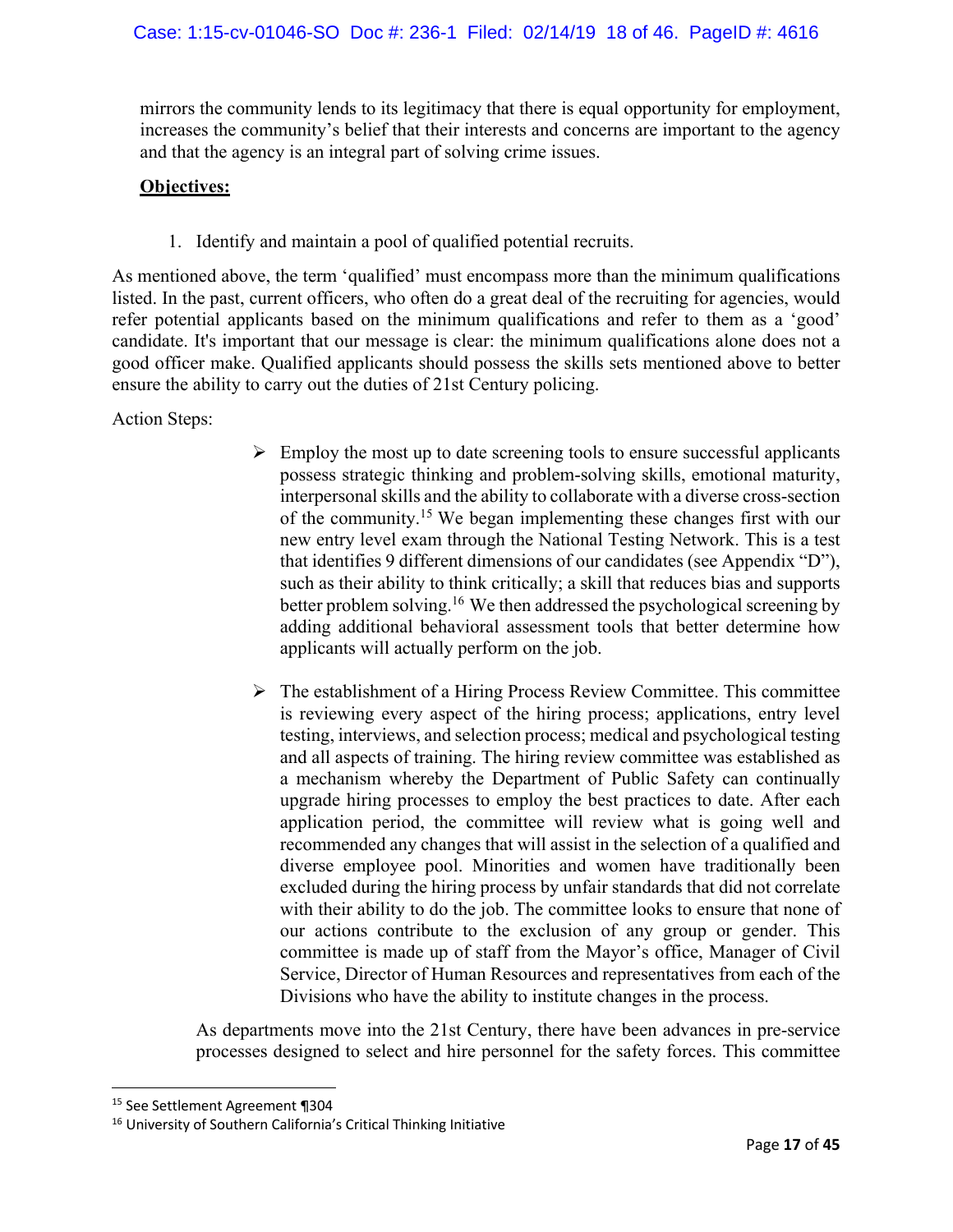mirrors the community lends to its legitimacy that there is equal opportunity for employment, increases the community's belief that their interests and concerns are important to the agency and that the agency is an integral part of solving crime issues.

#### **Objectives:**

1. Identify and maintain a pool of qualified potential recruits.

As mentioned above, the term 'qualified' must encompass more than the minimum qualifications listed. In the past, current officers, who often do a great deal of the recruiting for agencies, would refer potential applicants based on the minimum qualifications and refer to them as a 'good' candidate. It's important that our message is clear: the minimum qualifications alone does not a good officer make. Qualified applicants should possess the skills sets mentioned above to better ensure the ability to carry out the duties of 21st Century policing.

Action Steps:

- $\triangleright$  Employ the most up to date screening tools to ensure successful applicants possess strategic thinking and problem-solving skills, emotional maturity, interpersonal skills and the ability to collaborate with a diverse cross-section of the community. <sup>15</sup> We began implementing these changes first with our new entry level exam through the National Testing Network. This is a test that identifies 9 different dimensions of our candidates (see Appendix "D"), such as their ability to think critically; a skill that reduces bias and supports better problem solving.16 We then addressed the psychological screening by adding additional behavioral assessment tools that better determine how applicants will actually perform on the job.
- $\triangleright$  The establishment of a Hiring Process Review Committee. This committee is reviewing every aspect of the hiring process; applications, entry level testing, interviews, and selection process; medical and psychological testing and all aspects of training. The hiring review committee was established as a mechanism whereby the Department of Public Safety can continually upgrade hiring processes to employ the best practices to date. After each application period, the committee will review what is going well and recommended any changes that will assist in the selection of a qualified and diverse employee pool. Minorities and women have traditionally been excluded during the hiring process by unfair standards that did not correlate with their ability to do the job. The committee looks to ensure that none of our actions contribute to the exclusion of any group or gender. This committee is made up of staff from the Mayor's office, Manager of Civil Service, Director of Human Resources and representatives from each of the Divisions who have the ability to institute changes in the process.

As departments move into the 21st Century, there have been advances in pre-service processes designed to select and hire personnel for the safety forces. This committee

 <sup>15</sup> See Settlement Agreement ¶304

<sup>&</sup>lt;sup>16</sup> University of Southern California's Critical Thinking Initiative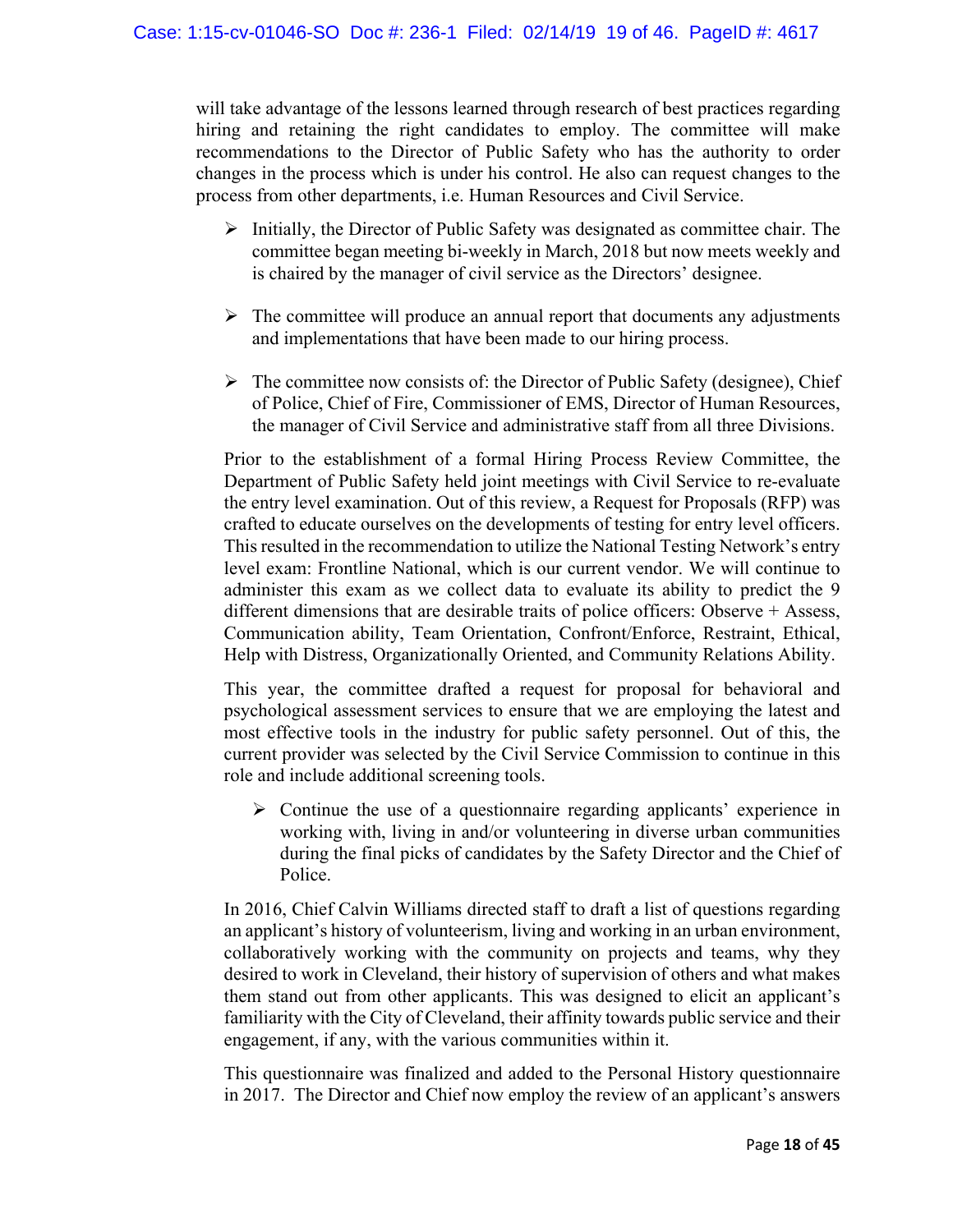will take advantage of the lessons learned through research of best practices regarding hiring and retaining the right candidates to employ. The committee will make recommendations to the Director of Public Safety who has the authority to order changes in the process which is under his control. He also can request changes to the process from other departments, i.e. Human Resources and Civil Service.

- $\triangleright$  Initially, the Director of Public Safety was designated as committee chair. The committee began meeting bi-weekly in March, 2018 but now meets weekly and is chaired by the manager of civil service as the Directors' designee.
- $\triangleright$  The committee will produce an annual report that documents any adjustments and implementations that have been made to our hiring process.
- $\triangleright$  The committee now consists of: the Director of Public Safety (designee), Chief of Police, Chief of Fire, Commissioner of EMS, Director of Human Resources, the manager of Civil Service and administrative staff from all three Divisions.

Prior to the establishment of a formal Hiring Process Review Committee, the Department of Public Safety held joint meetings with Civil Service to re-evaluate the entry level examination. Out of this review, a Request for Proposals (RFP) was crafted to educate ourselves on the developments of testing for entry level officers. This resulted in the recommendation to utilize the National Testing Network's entry level exam: Frontline National, which is our current vendor. We will continue to administer this exam as we collect data to evaluate its ability to predict the 9 different dimensions that are desirable traits of police officers: Observe + Assess, Communication ability, Team Orientation, Confront/Enforce, Restraint, Ethical, Help with Distress, Organizationally Oriented, and Community Relations Ability.

This year, the committee drafted a request for proposal for behavioral and psychological assessment services to ensure that we are employing the latest and most effective tools in the industry for public safety personnel. Out of this, the current provider was selected by the Civil Service Commission to continue in this role and include additional screening tools.

 $\triangleright$  Continue the use of a questionnaire regarding applicants' experience in working with, living in and/or volunteering in diverse urban communities during the final picks of candidates by the Safety Director and the Chief of Police.

In 2016, Chief Calvin Williams directed staff to draft a list of questions regarding an applicant's history of volunteerism, living and working in an urban environment, collaboratively working with the community on projects and teams, why they desired to work in Cleveland, their history of supervision of others and what makes them stand out from other applicants. This was designed to elicit an applicant's familiarity with the City of Cleveland, their affinity towards public service and their engagement, if any, with the various communities within it.

This questionnaire was finalized and added to the Personal History questionnaire in 2017. The Director and Chief now employ the review of an applicant's answers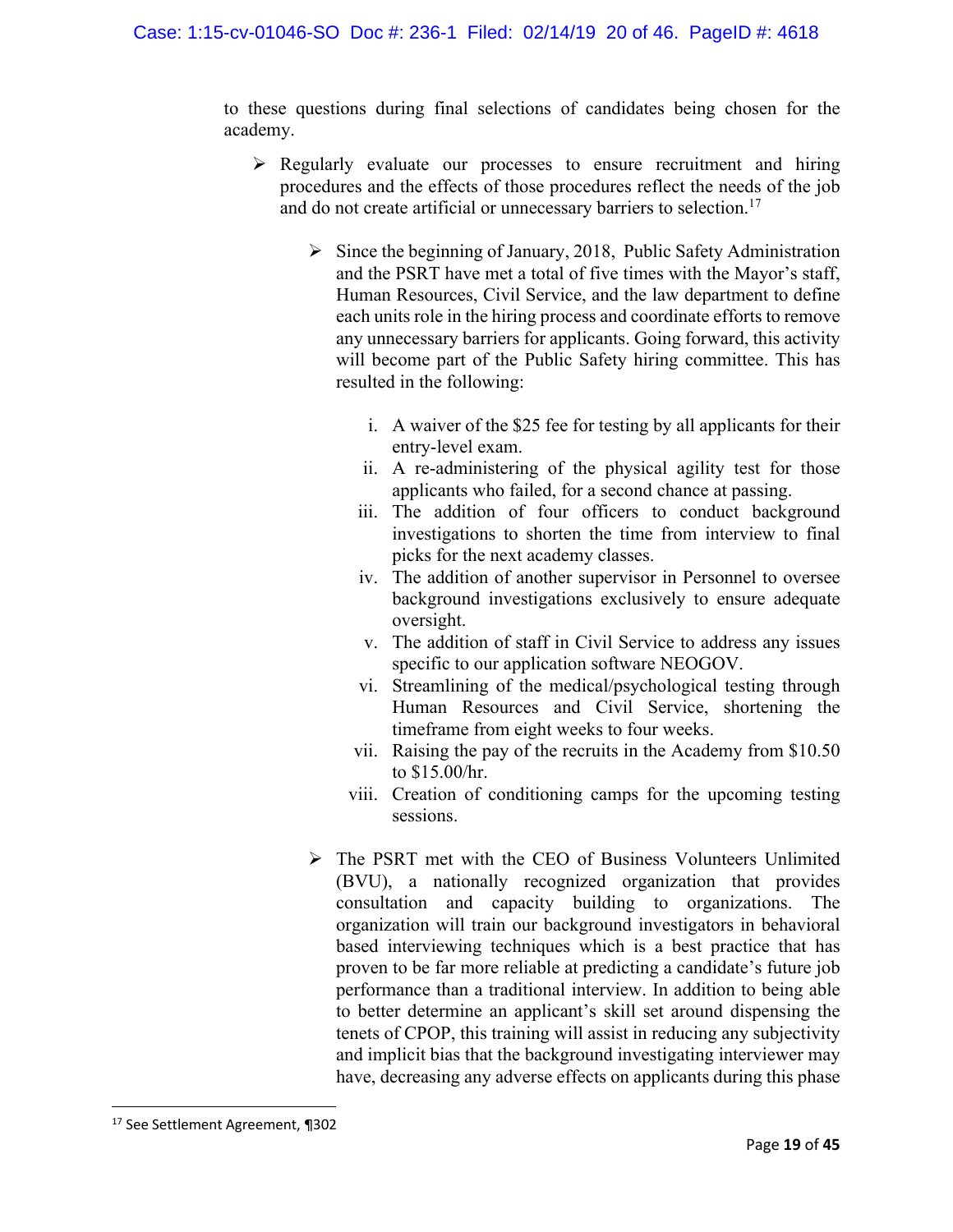to these questions during final selections of candidates being chosen for the academy.

- $\triangleright$  Regularly evaluate our processes to ensure recruitment and hiring procedures and the effects of those procedures reflect the needs of the job and do not create artificial or unnecessary barriers to selection.<sup>17</sup>
	- $\triangleright$  Since the beginning of January, 2018, Public Safety Administration and the PSRT have met a total of five times with the Mayor's staff, Human Resources, Civil Service, and the law department to define each units role in the hiring process and coordinate efforts to remove any unnecessary barriers for applicants. Going forward, this activity will become part of the Public Safety hiring committee. This has resulted in the following:
		- i. A waiver of the \$25 fee for testing by all applicants for their entry-level exam.
		- ii. A re-administering of the physical agility test for those applicants who failed, for a second chance at passing.
		- iii. The addition of four officers to conduct background investigations to shorten the time from interview to final picks for the next academy classes.
		- iv. The addition of another supervisor in Personnel to oversee background investigations exclusively to ensure adequate oversight.
		- v. The addition of staff in Civil Service to address any issues specific to our application software NEOGOV.
		- vi. Streamlining of the medical/psychological testing through Human Resources and Civil Service, shortening the timeframe from eight weeks to four weeks.
		- vii. Raising the pay of the recruits in the Academy from \$10.50 to \$15.00/hr.
		- viii. Creation of conditioning camps for the upcoming testing sessions.
	- Ø The PSRT met with the CEO of Business Volunteers Unlimited (BVU), a nationally recognized organization that provides consultation and capacity building to organizations. The organization will train our background investigators in behavioral based interviewing techniques which is a best practice that has proven to be far more reliable at predicting a candidate's future job performance than a traditional interview. In addition to being able to better determine an applicant's skill set around dispensing the tenets of CPOP, this training will assist in reducing any subjectivity and implicit bias that the background investigating interviewer may have, decreasing any adverse effects on applicants during this phase

 <sup>17</sup> See Settlement Agreement, ¶302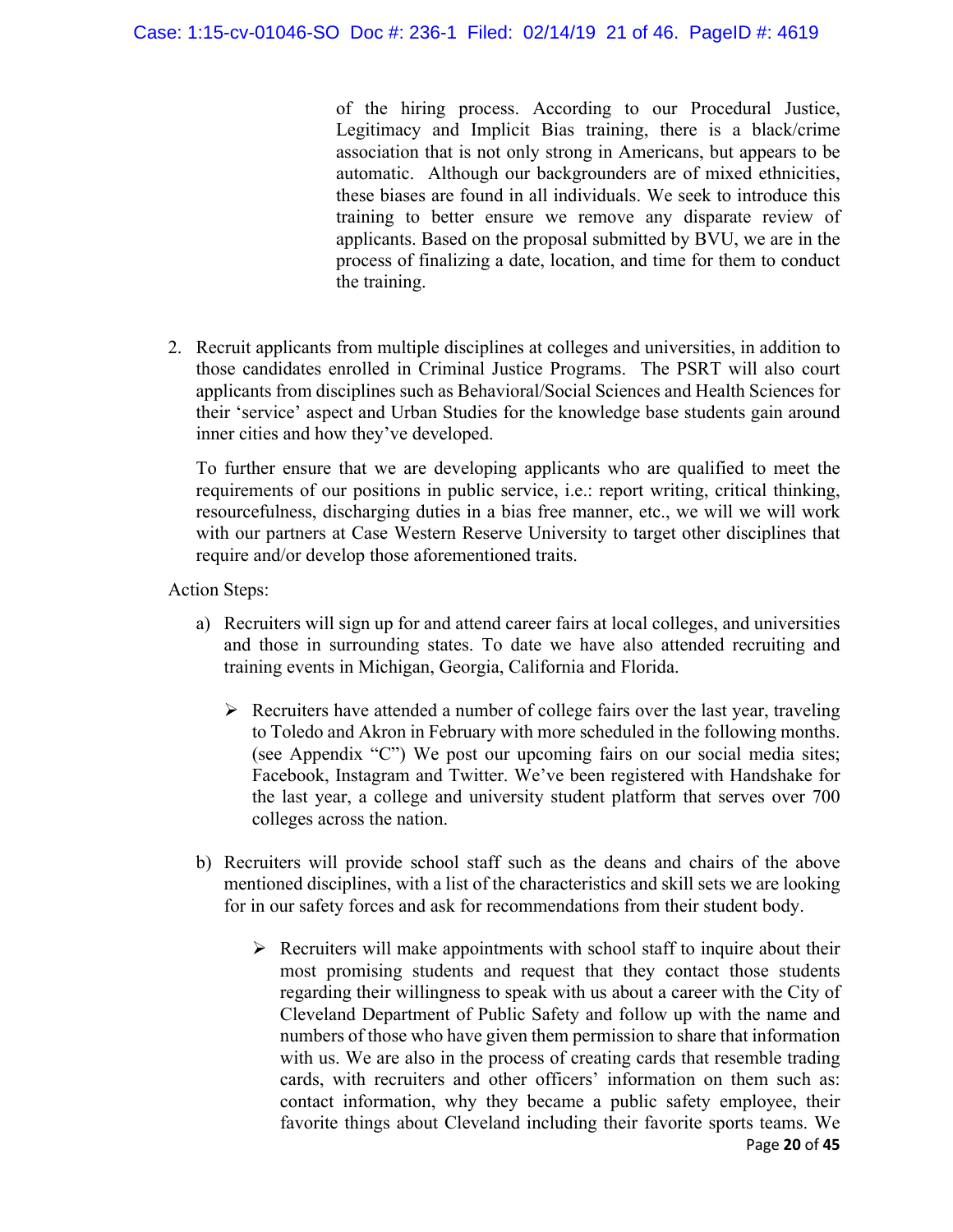of the hiring process. According to our Procedural Justice, Legitimacy and Implicit Bias training, there is a black/crime association that is not only strong in Americans, but appears to be automatic. Although our backgrounders are of mixed ethnicities, these biases are found in all individuals. We seek to introduce this training to better ensure we remove any disparate review of applicants. Based on the proposal submitted by BVU, we are in the process of finalizing a date, location, and time for them to conduct the training.

2. Recruit applicants from multiple disciplines at colleges and universities, in addition to those candidates enrolled in Criminal Justice Programs. The PSRT will also court applicants from disciplines such as Behavioral/Social Sciences and Health Sciences for their 'service' aspect and Urban Studies for the knowledge base students gain around inner cities and how they've developed.

To further ensure that we are developing applicants who are qualified to meet the requirements of our positions in public service, i.e.: report writing, critical thinking, resourcefulness, discharging duties in a bias free manner, etc., we will we will work with our partners at Case Western Reserve University to target other disciplines that require and/or develop those aforementioned traits.

Action Steps:

- a) Recruiters will sign up for and attend career fairs at local colleges, and universities and those in surrounding states. To date we have also attended recruiting and training events in Michigan, Georgia, California and Florida.
	- $\triangleright$  Recruiters have attended a number of college fairs over the last year, traveling to Toledo and Akron in February with more scheduled in the following months. (see Appendix "C") We post our upcoming fairs on our social media sites; Facebook, Instagram and Twitter. We've been registered with Handshake for the last year, a college and university student platform that serves over 700 colleges across the nation.
- b) Recruiters will provide school staff such as the deans and chairs of the above mentioned disciplines, with a list of the characteristics and skill sets we are looking for in our safety forces and ask for recommendations from their student body.
	- Page **20** of **45**  $\triangleright$  Recruiters will make appointments with school staff to inquire about their most promising students and request that they contact those students regarding their willingness to speak with us about a career with the City of Cleveland Department of Public Safety and follow up with the name and numbers of those who have given them permission to share that information with us. We are also in the process of creating cards that resemble trading cards, with recruiters and other officers' information on them such as: contact information, why they became a public safety employee, their favorite things about Cleveland including their favorite sports teams. We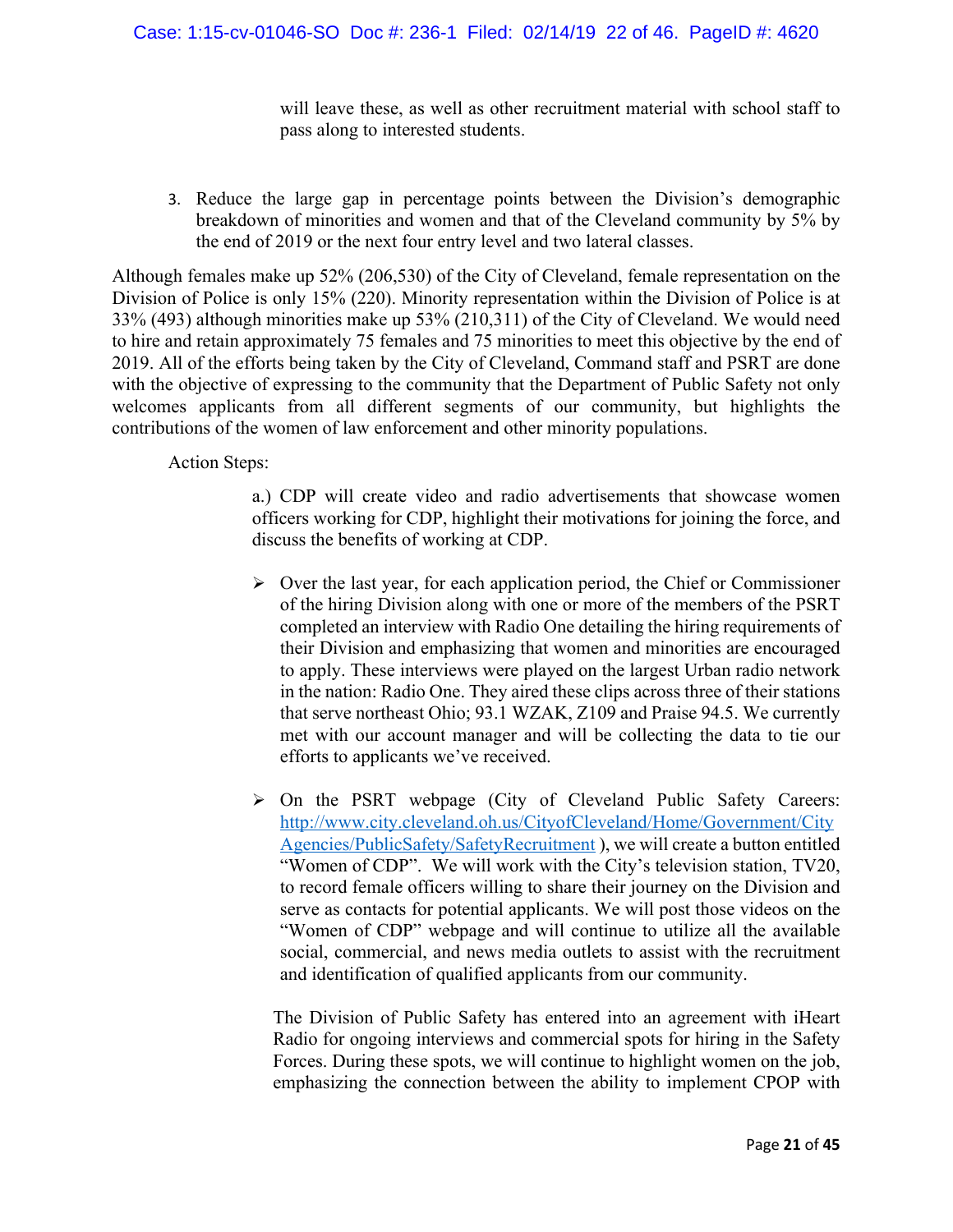will leave these, as well as other recruitment material with school staff to pass along to interested students.

3. Reduce the large gap in percentage points between the Division's demographic breakdown of minorities and women and that of the Cleveland community by 5% by the end of 2019 or the next four entry level and two lateral classes.

Although females make up 52% (206,530) of the City of Cleveland, female representation on the Division of Police is only 15% (220). Minority representation within the Division of Police is at 33% (493) although minorities make up 53% (210,311) of the City of Cleveland. We would need to hire and retain approximately 75 females and 75 minorities to meet this objective by the end of 2019. All of the efforts being taken by the City of Cleveland, Command staff and PSRT are done with the objective of expressing to the community that the Department of Public Safety not only welcomes applicants from all different segments of our community, but highlights the contributions of the women of law enforcement and other minority populations.

Action Steps:

a.) CDP will create video and radio advertisements that showcase women officers working for CDP, highlight their motivations for joining the force, and discuss the benefits of working at CDP.

- $\triangleright$  Over the last year, for each application period, the Chief or Commissioner of the hiring Division along with one or more of the members of the PSRT completed an interview with Radio One detailing the hiring requirements of their Division and emphasizing that women and minorities are encouraged to apply. These interviews were played on the largest Urban radio network in the nation: Radio One. They aired these clips across three of their stations that serve northeast Ohio; 93.1 WZAK, Z109 and Praise 94.5. We currently met with our account manager and will be collecting the data to tie our efforts to applicants we've received.
- $\triangleright$  On the PSRT webpage (City of Cleveland Public Safety Careers: http://www.city.cleveland.oh.us/CityofCleveland/Home/Government/City Agencies/PublicSafety/SafetyRecruitment ), we will create a button entitled "Women of CDP". We will work with the City's television station, TV20, to record female officers willing to share their journey on the Division and serve as contacts for potential applicants. We will post those videos on the "Women of CDP" webpage and will continue to utilize all the available social, commercial, and news media outlets to assist with the recruitment and identification of qualified applicants from our community.

The Division of Public Safety has entered into an agreement with iHeart Radio for ongoing interviews and commercial spots for hiring in the Safety Forces. During these spots, we will continue to highlight women on the job, emphasizing the connection between the ability to implement CPOP with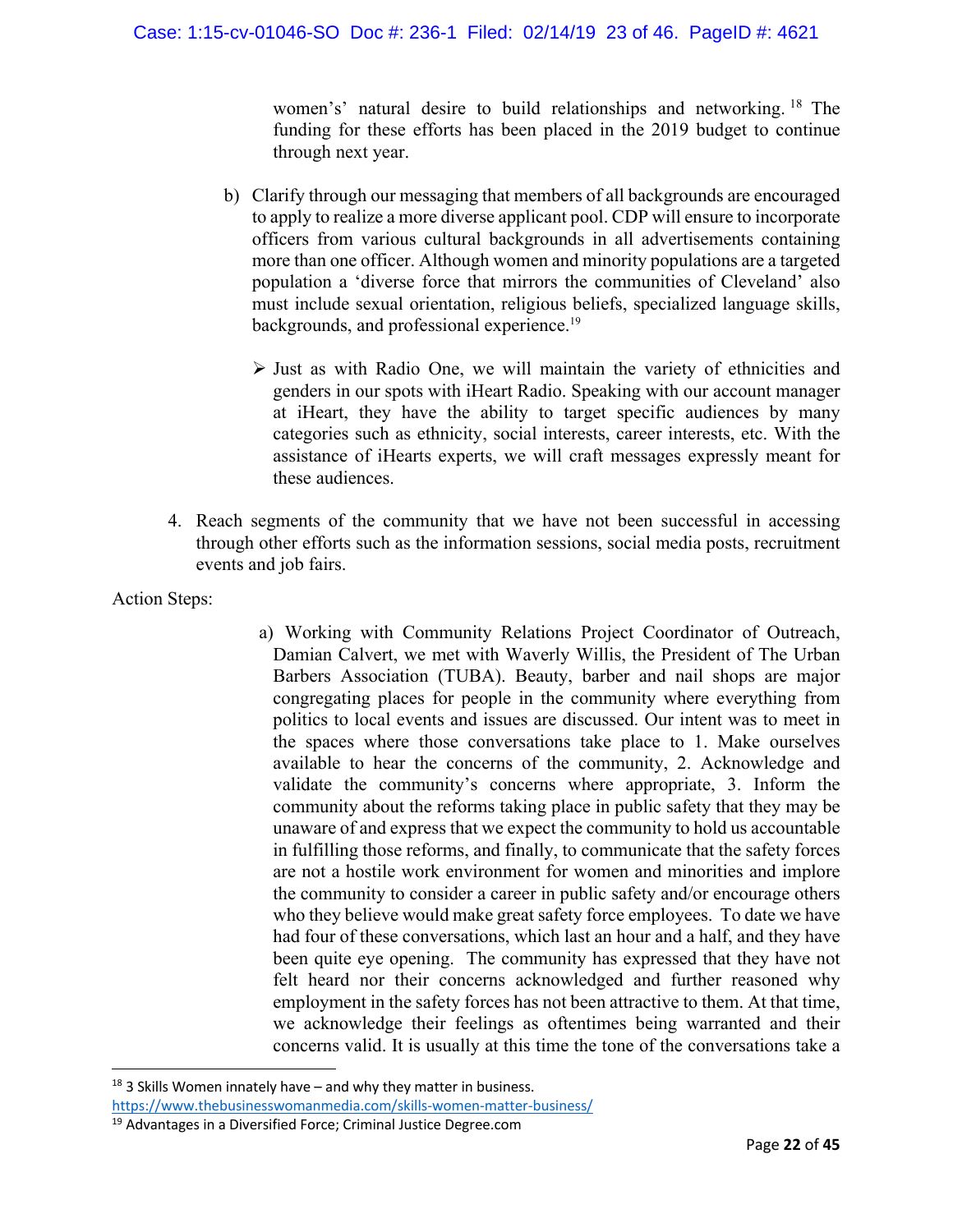women's' natural desire to build relationships and networking. <sup>18</sup> The funding for these efforts has been placed in the 2019 budget to continue through next year.

- b) Clarify through our messaging that members of all backgrounds are encouraged to apply to realize a more diverse applicant pool. CDP will ensure to incorporate officers from various cultural backgrounds in all advertisements containing more than one officer. Although women and minority populations are a targeted population a 'diverse force that mirrors the communities of Cleveland' also must include sexual orientation, religious beliefs, specialized language skills, backgrounds, and professional experience.<sup>19</sup>
	- $\triangleright$  Just as with Radio One, we will maintain the variety of ethnicities and genders in our spots with iHeart Radio. Speaking with our account manager at iHeart, they have the ability to target specific audiences by many categories such as ethnicity, social interests, career interests, etc. With the assistance of iHearts experts, we will craft messages expressly meant for these audiences.
- 4. Reach segments of the community that we have not been successful in accessing through other efforts such as the information sessions, social media posts, recruitment events and job fairs.
- Action Steps:
- a) Working with Community Relations Project Coordinator of Outreach, Damian Calvert, we met with Waverly Willis, the President of The Urban Barbers Association (TUBA). Beauty, barber and nail shops are major congregating places for people in the community where everything from politics to local events and issues are discussed. Our intent was to meet in the spaces where those conversations take place to 1. Make ourselves available to hear the concerns of the community, 2. Acknowledge and validate the community's concerns where appropriate, 3. Inform the community about the reforms taking place in public safety that they may be unaware of and express that we expect the community to hold us accountable in fulfilling those reforms, and finally, to communicate that the safety forces are not a hostile work environment for women and minorities and implore the community to consider a career in public safety and/or encourage others who they believe would make great safety force employees. To date we have had four of these conversations, which last an hour and a half, and they have been quite eye opening. The community has expressed that they have not felt heard nor their concerns acknowledged and further reasoned why employment in the safety forces has not been attractive to them. At that time, we acknowledge their feelings as oftentimes being warranted and their concerns valid. It is usually at this time the tone of the conversations take a

 $18$  3 Skills Women innately have – and why they matter in business.

https://www.thebusinesswomanmedia.com/skills-women-matter-business/

<sup>&</sup>lt;sup>19</sup> Advantages in a Diversified Force; Criminal Justice Degree.com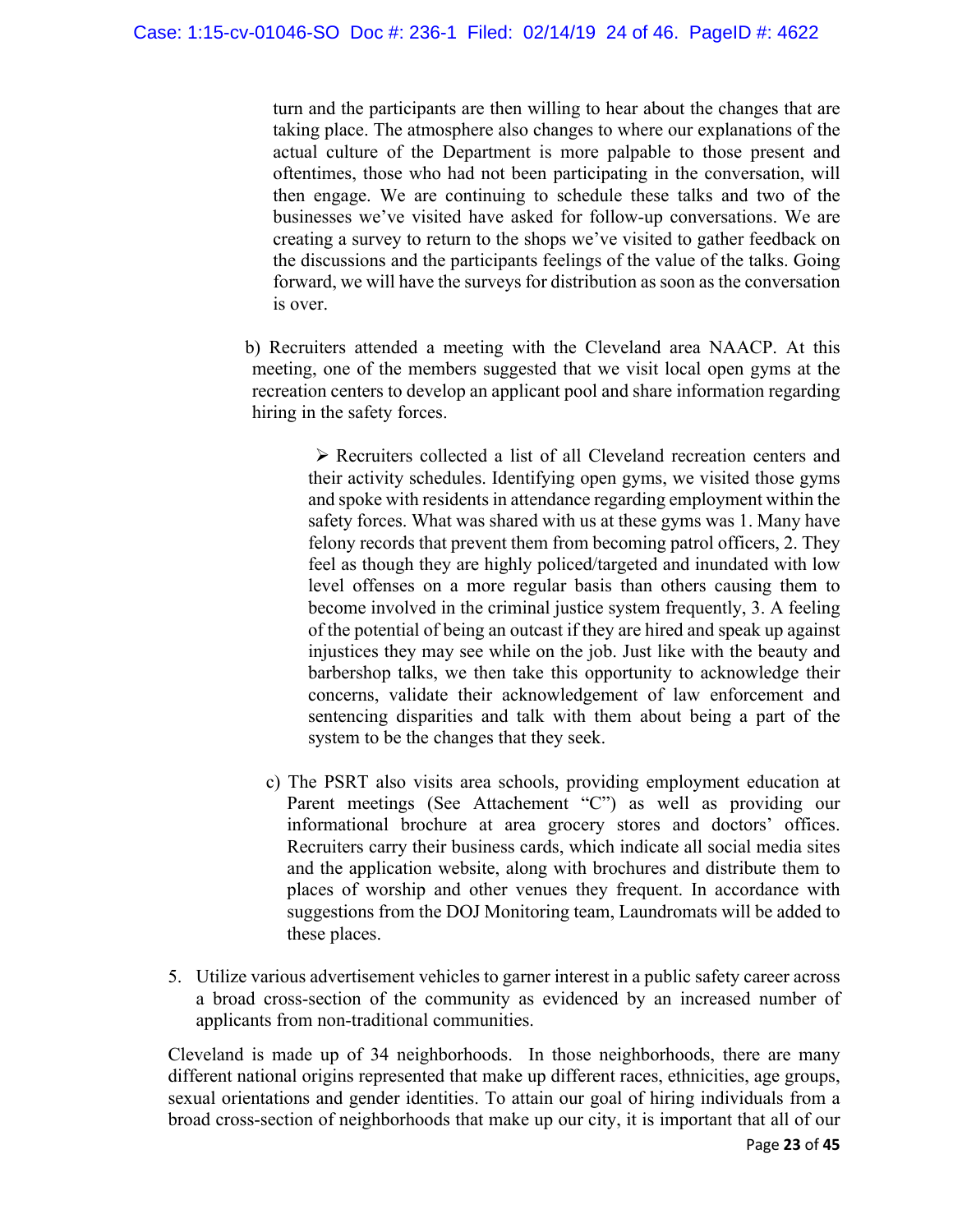turn and the participants are then willing to hear about the changes that are taking place. The atmosphere also changes to where our explanations of the actual culture of the Department is more palpable to those present and oftentimes, those who had not been participating in the conversation, will then engage. We are continuing to schedule these talks and two of the businesses we've visited have asked for follow-up conversations. We are creating a survey to return to the shops we've visited to gather feedback on the discussions and the participants feelings of the value of the talks. Going forward, we will have the surveys for distribution as soon as the conversation is over.

b) Recruiters attended a meeting with the Cleveland area NAACP. At this meeting, one of the members suggested that we visit local open gyms at the recreation centers to develop an applicant pool and share information regarding hiring in the safety forces.

> $\triangleright$  Recruiters collected a list of all Cleveland recreation centers and their activity schedules. Identifying open gyms, we visited those gyms and spoke with residents in attendance regarding employment within the safety forces. What was shared with us at these gyms was 1. Many have felony records that prevent them from becoming patrol officers, 2. They feel as though they are highly policed/targeted and inundated with low level offenses on a more regular basis than others causing them to become involved in the criminal justice system frequently, 3. A feeling of the potential of being an outcast if they are hired and speak up against injustices they may see while on the job. Just like with the beauty and barbershop talks, we then take this opportunity to acknowledge their concerns, validate their acknowledgement of law enforcement and sentencing disparities and talk with them about being a part of the system to be the changes that they seek.

- c) The PSRT also visits area schools, providing employment education at Parent meetings (See Attachement "C") as well as providing our informational brochure at area grocery stores and doctors' offices. Recruiters carry their business cards, which indicate all social media sites and the application website, along with brochures and distribute them to places of worship and other venues they frequent. In accordance with suggestions from the DOJ Monitoring team, Laundromats will be added to these places.
- 5. Utilize various advertisement vehicles to garner interest in a public safety career across a broad cross-section of the community as evidenced by an increased number of applicants from non-traditional communities.

Cleveland is made up of 34 neighborhoods. In those neighborhoods, there are many different national origins represented that make up different races, ethnicities, age groups, sexual orientations and gender identities. To attain our goal of hiring individuals from a broad cross-section of neighborhoods that make up our city, it is important that all of our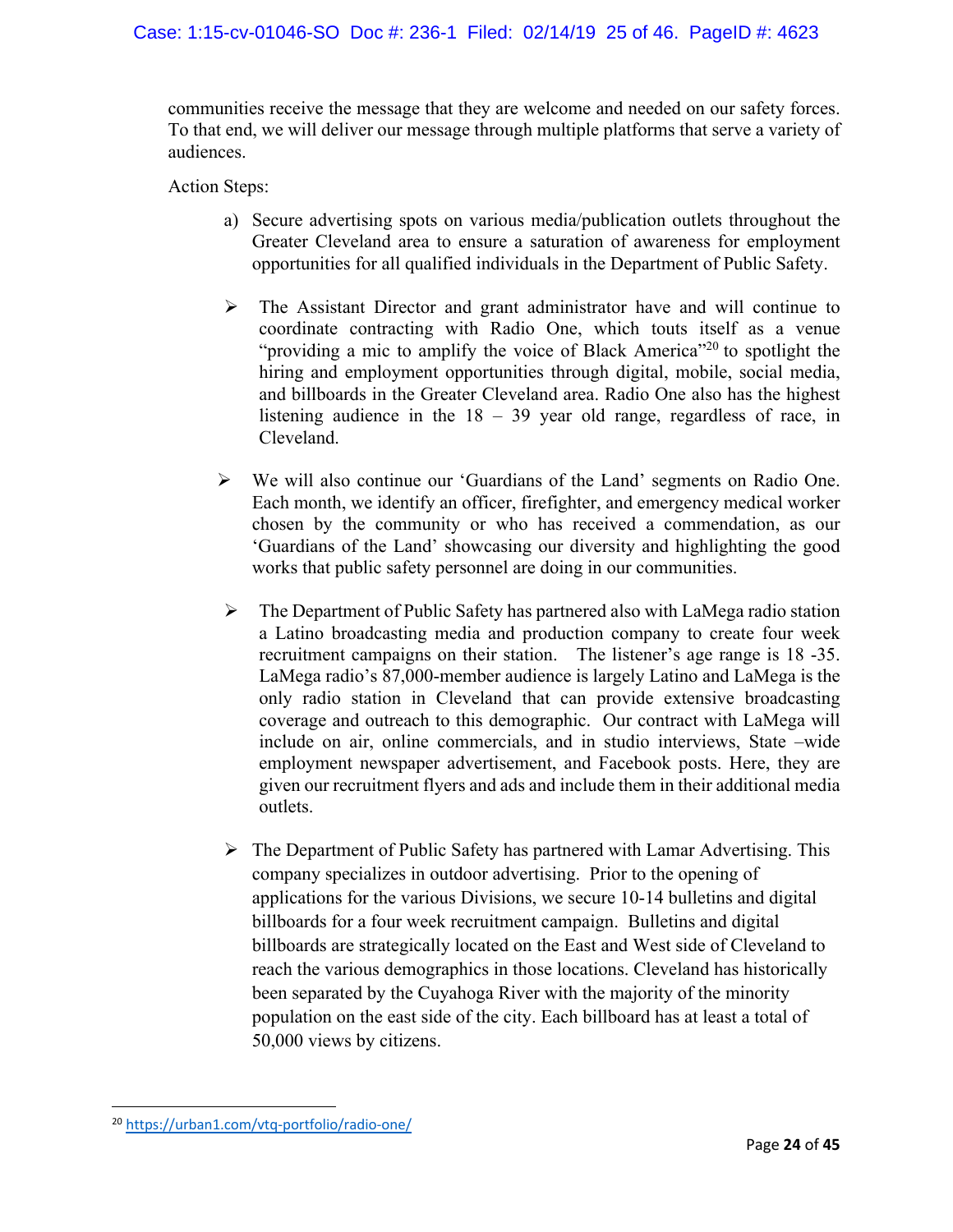communities receive the message that they are welcome and needed on our safety forces. To that end, we will deliver our message through multiple platforms that serve a variety of audiences.

Action Steps:

- a) Secure advertising spots on various media/publication outlets throughout the Greater Cleveland area to ensure a saturation of awareness for employment opportunities for all qualified individuals in the Department of Public Safety.
- $\triangleright$  The Assistant Director and grant administrator have and will continue to coordinate contracting with Radio One, which touts itself as a venue "providing a mic to amplify the voice of Black America"<sup>20</sup> to spotlight the hiring and employment opportunities through digital, mobile, social media, and billboards in the Greater Cleveland area. Radio One also has the highest listening audience in the  $18 - 39$  year old range, regardless of race, in Cleveland.
- Ø We will also continue our 'Guardians of the Land' segments on Radio One. Each month, we identify an officer, firefighter, and emergency medical worker chosen by the community or who has received a commendation, as our 'Guardians of the Land' showcasing our diversity and highlighting the good works that public safety personnel are doing in our communities.
- $\triangleright$  The Department of Public Safety has partnered also with LaMega radio station a Latino broadcasting media and production company to create four week recruitment campaigns on their station. The listener's age range is 18 -35. LaMega radio's 87,000-member audience is largely Latino and LaMega is the only radio station in Cleveland that can provide extensive broadcasting coverage and outreach to this demographic. Our contract with LaMega will include on air, online commercials, and in studio interviews, State –wide employment newspaper advertisement, and Facebook posts. Here, they are given our recruitment flyers and ads and include them in their additional media outlets.
- $\triangleright$  The Department of Public Safety has partnered with Lamar Advertising. This company specializes in outdoor advertising. Prior to the opening of applications for the various Divisions, we secure 10-14 bulletins and digital billboards for a four week recruitment campaign. Bulletins and digital billboards are strategically located on the East and West side of Cleveland to reach the various demographics in those locations. Cleveland has historically been separated by the Cuyahoga River with the majority of the minority population on the east side of the city. Each billboard has at least a total of 50,000 views by citizens.

 <sup>20</sup> https://urban1.com/vtq-portfolio/radio-one/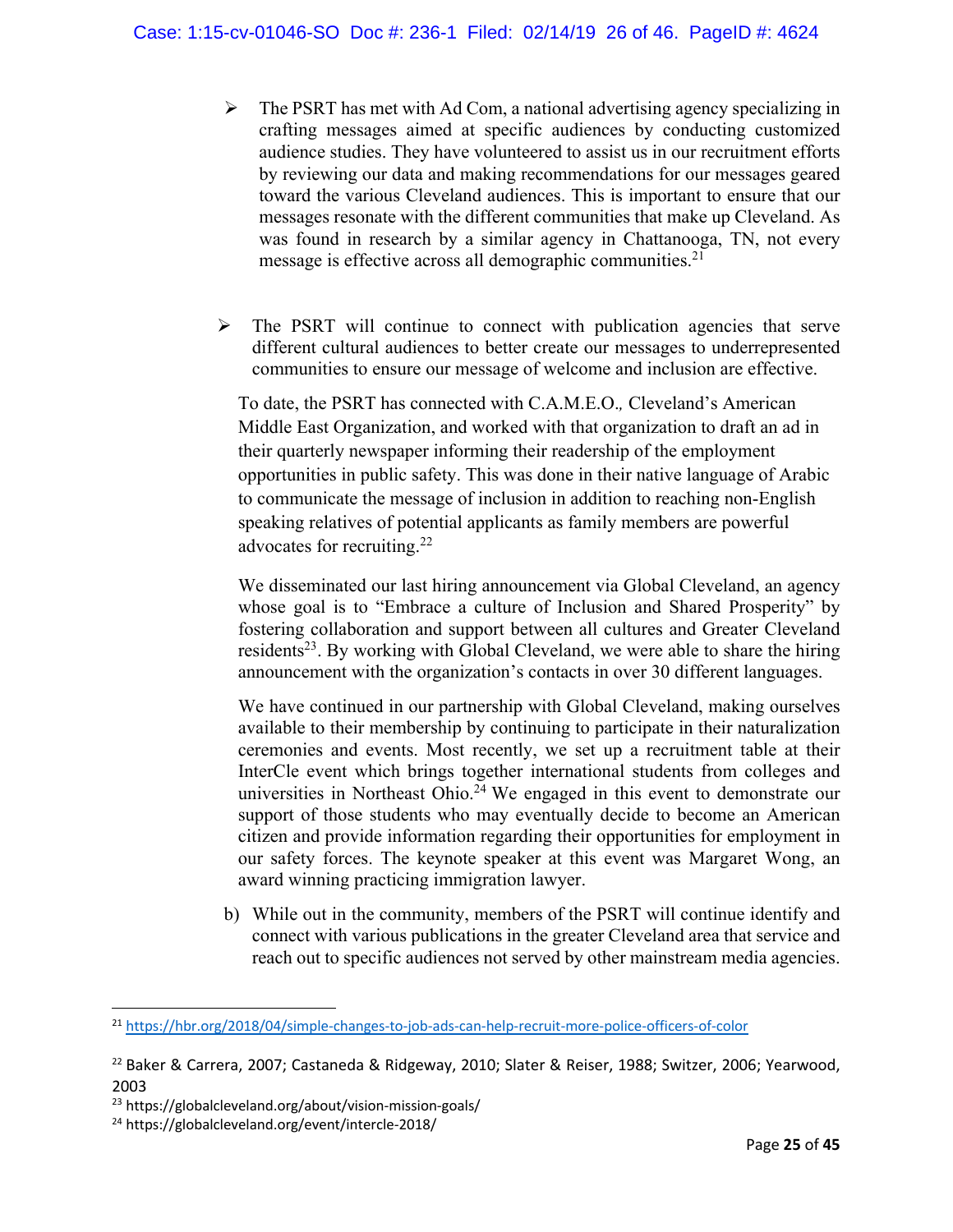- $\triangleright$  The PSRT has met with Ad Com, a national advertising agency specializing in crafting messages aimed at specific audiences by conducting customized audience studies. They have volunteered to assist us in our recruitment efforts by reviewing our data and making recommendations for our messages geared toward the various Cleveland audiences. This is important to ensure that our messages resonate with the different communities that make up Cleveland. As was found in research by a similar agency in Chattanooga, TN, not every message is effective across all demographic communities.<sup>21</sup>
- $\triangleright$  The PSRT will continue to connect with publication agencies that serve different cultural audiences to better create our messages to underrepresented communities to ensure our message of welcome and inclusion are effective.

To date, the PSRT has connected with C.A.M.E.O.*,* Cleveland's American Middle East Organization, and worked with that organization to draft an ad in their quarterly newspaper informing their readership of the employment opportunities in public safety. This was done in their native language of Arabic to communicate the message of inclusion in addition to reaching non-English speaking relatives of potential applicants as family members are powerful advocates for recruiting.22

We disseminated our last hiring announcement via Global Cleveland, an agency whose goal is to "Embrace a culture of Inclusion and Shared Prosperity" by fostering collaboration and support between all cultures and Greater Cleveland residents<sup>23</sup>. By working with Global Cleveland, we were able to share the hiring announcement with the organization's contacts in over 30 different languages.

We have continued in our partnership with Global Cleveland, making ourselves available to their membership by continuing to participate in their naturalization ceremonies and events. Most recently, we set up a recruitment table at their InterCle event which brings together international students from colleges and universities in Northeast Ohio.<sup>24</sup> We engaged in this event to demonstrate our support of those students who may eventually decide to become an American citizen and provide information regarding their opportunities for employment in our safety forces. The keynote speaker at this event was Margaret Wong, an award winning practicing immigration lawyer.

b) While out in the community, members of the PSRT will continue identify and connect with various publications in the greater Cleveland area that service and reach out to specific audiences not served by other mainstream media agencies.

 <sup>21</sup> https://hbr.org/2018/04/simple-changes-to-job-ads-can-help-recruit-more-police-officers-of-color

<sup>22</sup> Baker & Carrera, 2007; Castaneda & Ridgeway, 2010; Slater & Reiser, 1988; Switzer, 2006; Yearwood, 2003

<sup>23</sup> https://globalcleveland.org/about/vision-mission-goals/

<sup>24</sup> https://globalcleveland.org/event/intercle-2018/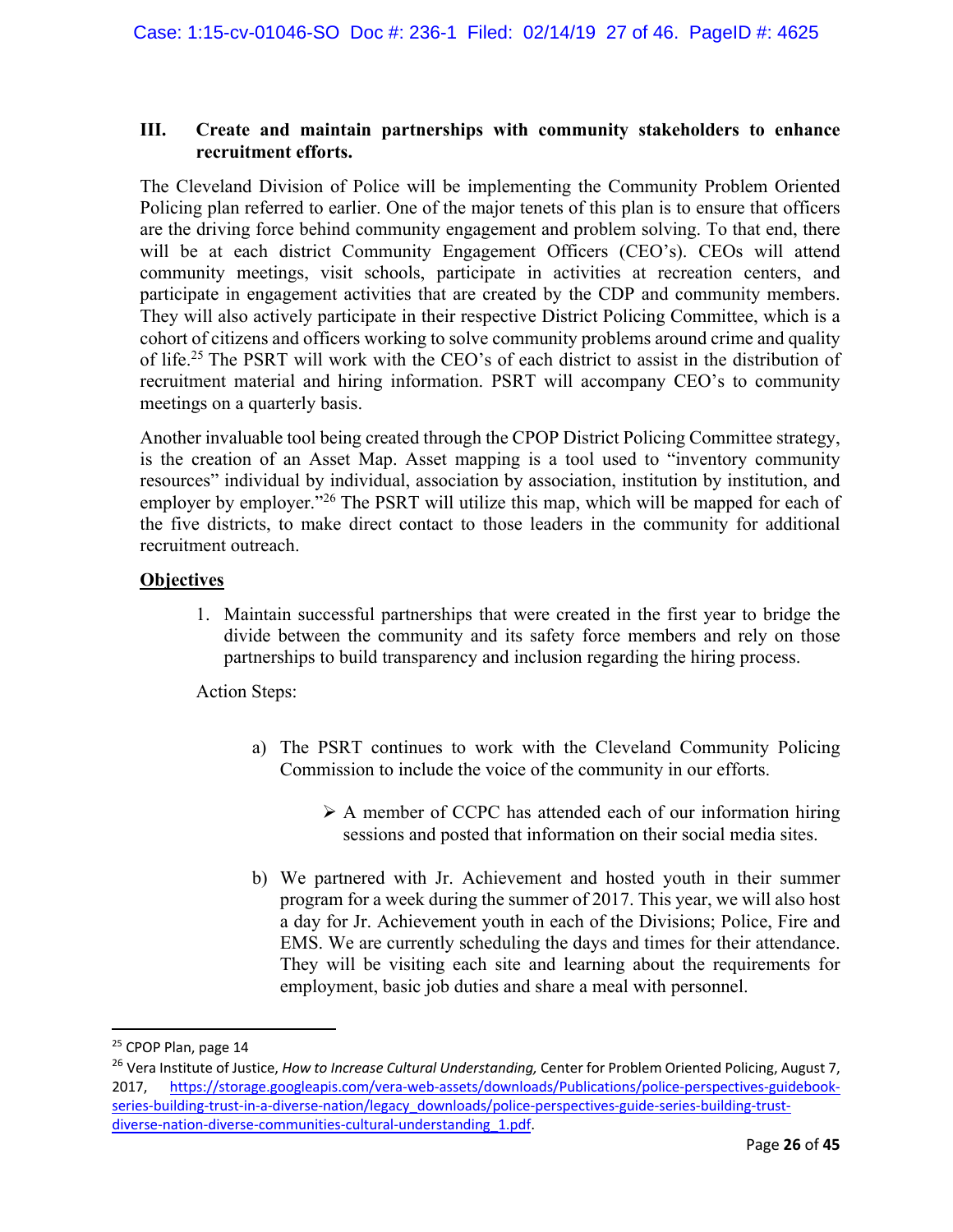#### **III. Create and maintain partnerships with community stakeholders to enhance recruitment efforts.**

The Cleveland Division of Police will be implementing the Community Problem Oriented Policing plan referred to earlier. One of the major tenets of this plan is to ensure that officers are the driving force behind community engagement and problem solving. To that end, there will be at each district Community Engagement Officers (CEO's). CEOs will attend community meetings, visit schools, participate in activities at recreation centers, and participate in engagement activities that are created by the CDP and community members. They will also actively participate in their respective District Policing Committee, which is a cohort of citizens and officers working to solve community problems around crime and quality of life.<sup>25</sup> The PSRT will work with the CEO's of each district to assist in the distribution of recruitment material and hiring information. PSRT will accompany CEO's to community meetings on a quarterly basis.

Another invaluable tool being created through the CPOP District Policing Committee strategy, is the creation of an Asset Map. Asset mapping is a tool used to "inventory community resources" individual by individual, association by association, institution by institution, and employer by employer."<sup>26</sup> The PSRT will utilize this map, which will be mapped for each of the five districts, to make direct contact to those leaders in the community for additional recruitment outreach.

#### **Objectives**

1. Maintain successful partnerships that were created in the first year to bridge the divide between the community and its safety force members and rely on those partnerships to build transparency and inclusion regarding the hiring process.

Action Steps:

- a) The PSRT continues to work with the Cleveland Community Policing Commission to include the voice of the community in our efforts.
	- $\triangleright$  A member of CCPC has attended each of our information hiring sessions and posted that information on their social media sites.
- b) We partnered with Jr. Achievement and hosted youth in their summer program for a week during the summer of 2017. This year, we will also host a day for Jr. Achievement youth in each of the Divisions; Police, Fire and EMS. We are currently scheduling the days and times for their attendance. They will be visiting each site and learning about the requirements for employment, basic job duties and share a meal with personnel.

 <sup>25</sup> CPOP Plan, page 14

<sup>26</sup> Vera Institute of Justice, *How to Increase Cultural Understanding,* Center for Problem Oriented Policing, August 7, 2017, https://storage.googleapis.com/vera-web-assets/downloads/Publications/police-perspectives-guidebookseries-building-trust-in-a-diverse-nation/legacy\_downloads/police-perspectives-guide-series-building-trustdiverse-nation-diverse-communities-cultural-understanding\_1.pdf.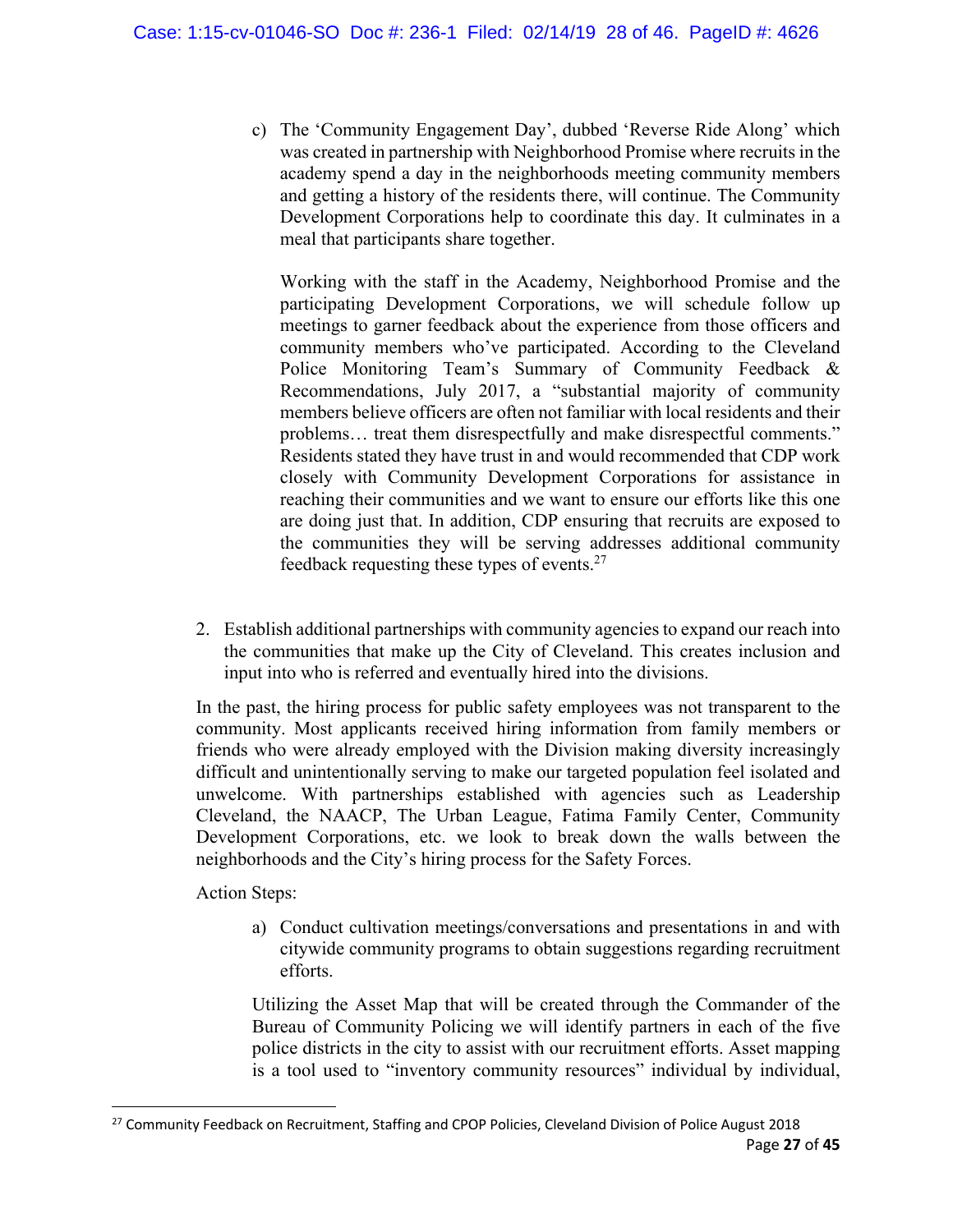c) The 'Community Engagement Day', dubbed 'Reverse Ride Along' which was created in partnership with Neighborhood Promise where recruits in the academy spend a day in the neighborhoods meeting community members and getting a history of the residents there, will continue. The Community Development Corporations help to coordinate this day. It culminates in a meal that participants share together.

Working with the staff in the Academy, Neighborhood Promise and the participating Development Corporations, we will schedule follow up meetings to garner feedback about the experience from those officers and community members who've participated. According to the Cleveland Police Monitoring Team's Summary of Community Feedback & Recommendations, July 2017, a "substantial majority of community members believe officers are often not familiar with local residents and their problems… treat them disrespectfully and make disrespectful comments." Residents stated they have trust in and would recommended that CDP work closely with Community Development Corporations for assistance in reaching their communities and we want to ensure our efforts like this one are doing just that. In addition, CDP ensuring that recruits are exposed to the communities they will be serving addresses additional community feedback requesting these types of events.27

2. Establish additional partnerships with community agencies to expand our reach into the communities that make up the City of Cleveland. This creates inclusion and input into who is referred and eventually hired into the divisions.

In the past, the hiring process for public safety employees was not transparent to the community. Most applicants received hiring information from family members or friends who were already employed with the Division making diversity increasingly difficult and unintentionally serving to make our targeted population feel isolated and unwelcome. With partnerships established with agencies such as Leadership Cleveland, the NAACP, The Urban League, Fatima Family Center, Community Development Corporations, etc. we look to break down the walls between the neighborhoods and the City's hiring process for the Safety Forces.

Action Steps:

a) Conduct cultivation meetings/conversations and presentations in and with citywide community programs to obtain suggestions regarding recruitment efforts.

Utilizing the Asset Map that will be created through the Commander of the Bureau of Community Policing we will identify partners in each of the five police districts in the city to assist with our recruitment efforts. Asset mapping is a tool used to "inventory community resources" individual by individual,

<sup>&</sup>lt;sup>27</sup> Community Feedback on Recruitment, Staffing and CPOP Policies, Cleveland Division of Police August 2018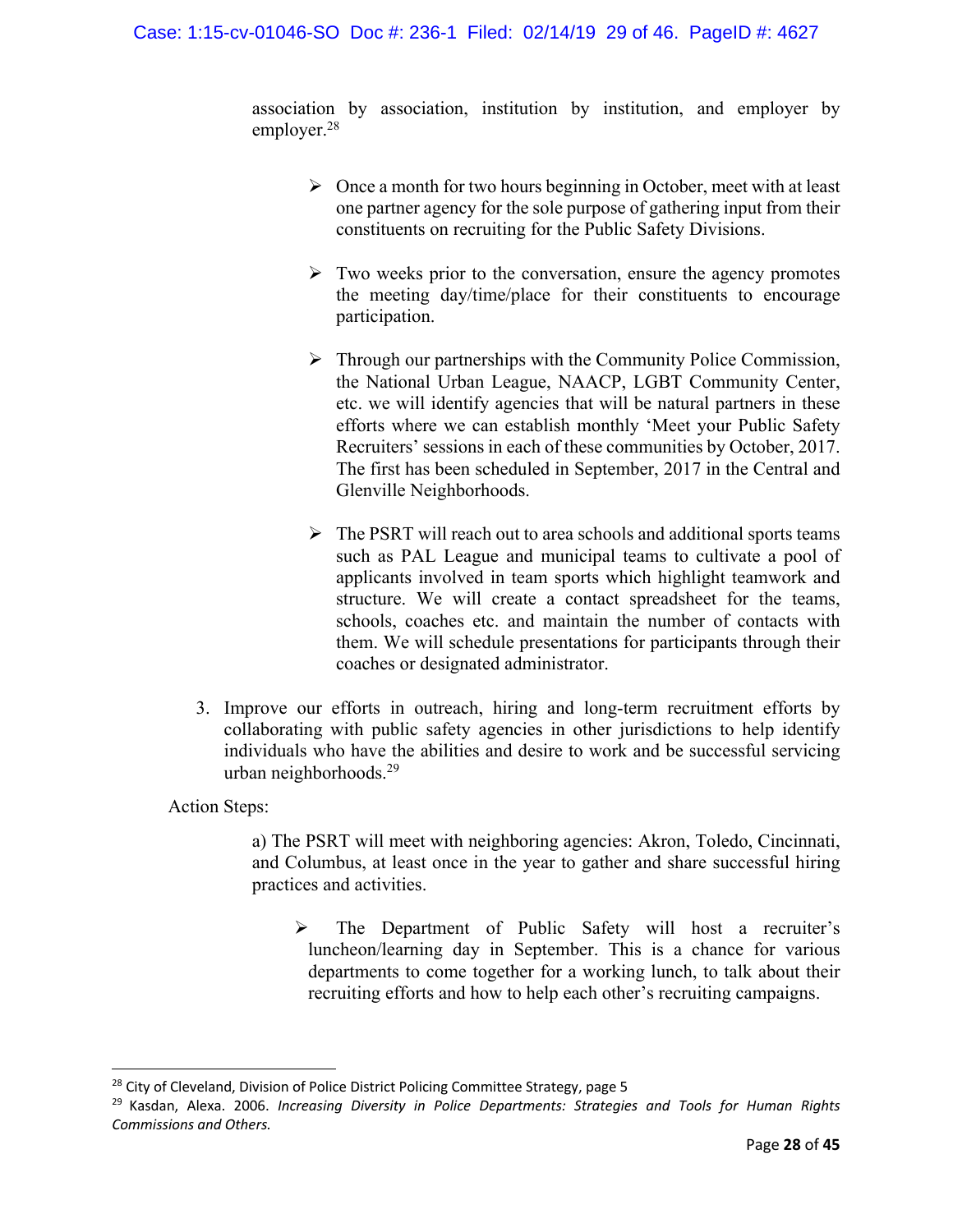association by association, institution by institution, and employer by employer. 28

- $\triangleright$  Once a month for two hours beginning in October, meet with at least one partner agency for the sole purpose of gathering input from their constituents on recruiting for the Public Safety Divisions.
- $\triangleright$  Two weeks prior to the conversation, ensure the agency promotes the meeting day/time/place for their constituents to encourage participation.
- $\triangleright$  Through our partnerships with the Community Police Commission, the National Urban League, NAACP, LGBT Community Center, etc. we will identify agencies that will be natural partners in these efforts where we can establish monthly 'Meet your Public Safety Recruiters' sessions in each of these communities by October, 2017. The first has been scheduled in September, 2017 in the Central and Glenville Neighborhoods.
- $\triangleright$  The PSRT will reach out to area schools and additional sports teams such as PAL League and municipal teams to cultivate a pool of applicants involved in team sports which highlight teamwork and structure. We will create a contact spreadsheet for the teams, schools, coaches etc. and maintain the number of contacts with them. We will schedule presentations for participants through their coaches or designated administrator.
- 3. Improve our efforts in outreach, hiring and long-term recruitment efforts by collaborating with public safety agencies in other jurisdictions to help identify individuals who have the abilities and desire to work and be successful servicing urban neighborhoods.29

#### Action Steps:

a) The PSRT will meet with neighboring agencies: Akron, Toledo, Cincinnati, and Columbus, at least once in the year to gather and share successful hiring practices and activities.

Ø The Department of Public Safety will host a recruiter's luncheon/learning day in September. This is a chance for various departments to come together for a working lunch, to talk about their recruiting efforts and how to help each other's recruiting campaigns.

<sup>&</sup>lt;sup>28</sup> City of Cleveland, Division of Police District Policing Committee Strategy, page 5

<sup>29</sup> Kasdan, Alexa. 2006. *Increasing Diversity in Police Departments: Strategies and Tools for Human Rights Commissions and Others.*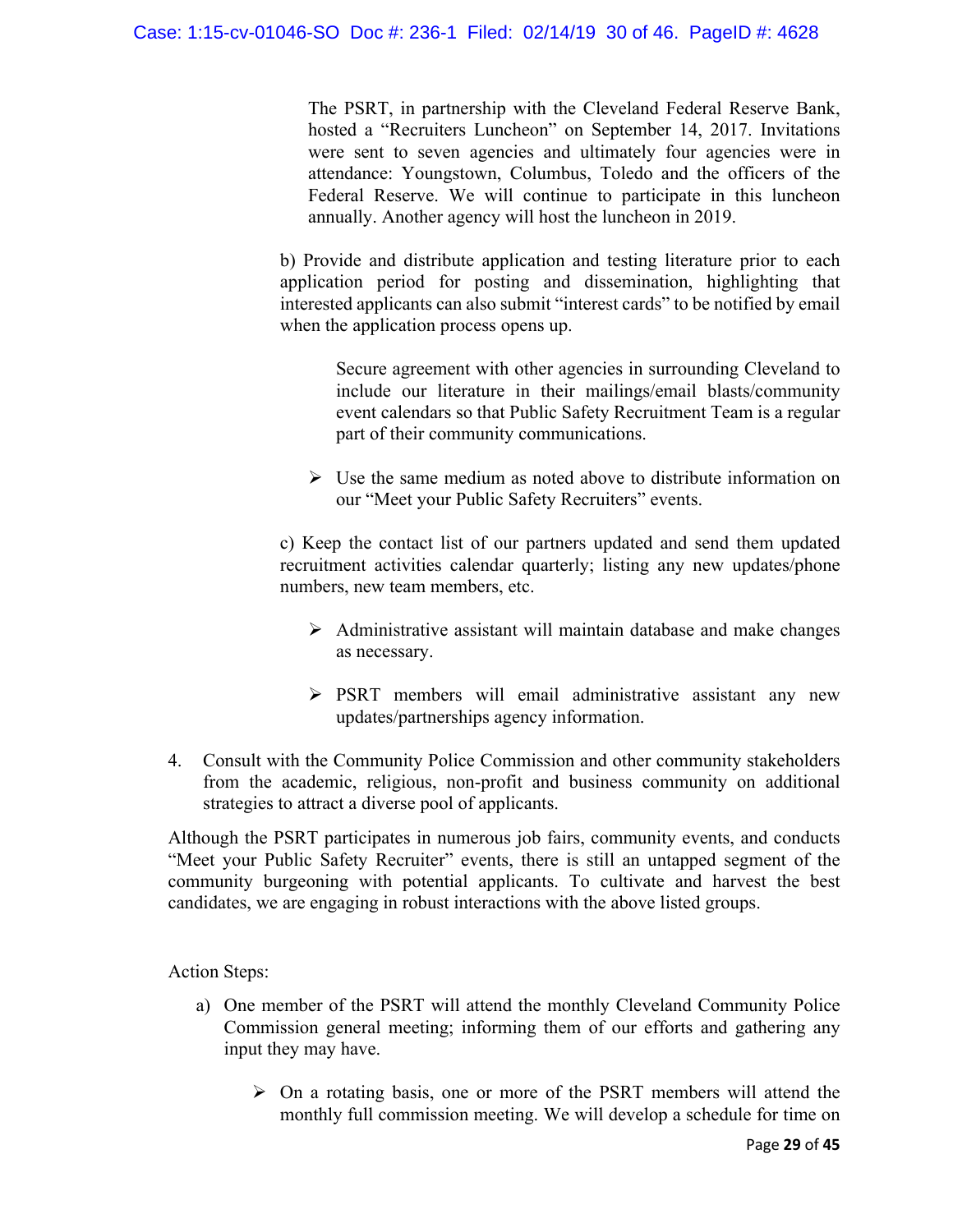The PSRT, in partnership with the Cleveland Federal Reserve Bank, hosted a "Recruiters Luncheon" on September 14, 2017. Invitations were sent to seven agencies and ultimately four agencies were in attendance: Youngstown, Columbus, Toledo and the officers of the Federal Reserve. We will continue to participate in this luncheon annually. Another agency will host the luncheon in 2019.

b) Provide and distribute application and testing literature prior to each application period for posting and dissemination, highlighting that interested applicants can also submit "interest cards" to be notified by email when the application process opens up.

Secure agreement with other agencies in surrounding Cleveland to include our literature in their mailings/email blasts/community event calendars so that Public Safety Recruitment Team is a regular part of their community communications.

 $\triangleright$  Use the same medium as noted above to distribute information on our "Meet your Public Safety Recruiters" events.

c) Keep the contact list of our partners updated and send them updated recruitment activities calendar quarterly; listing any new updates/phone numbers, new team members, etc.

- $\triangleright$  Administrative assistant will maintain database and make changes as necessary.
- Ø PSRT members will email administrative assistant any new updates/partnerships agency information.
- 4. Consult with the Community Police Commission and other community stakeholders from the academic, religious, non-profit and business community on additional strategies to attract a diverse pool of applicants.

Although the PSRT participates in numerous job fairs, community events, and conducts "Meet your Public Safety Recruiter" events, there is still an untapped segment of the community burgeoning with potential applicants. To cultivate and harvest the best candidates, we are engaging in robust interactions with the above listed groups.

Action Steps:

- a) One member of the PSRT will attend the monthly Cleveland Community Police Commission general meeting; informing them of our efforts and gathering any input they may have.
	- $\triangleright$  On a rotating basis, one or more of the PSRT members will attend the monthly full commission meeting. We will develop a schedule for time on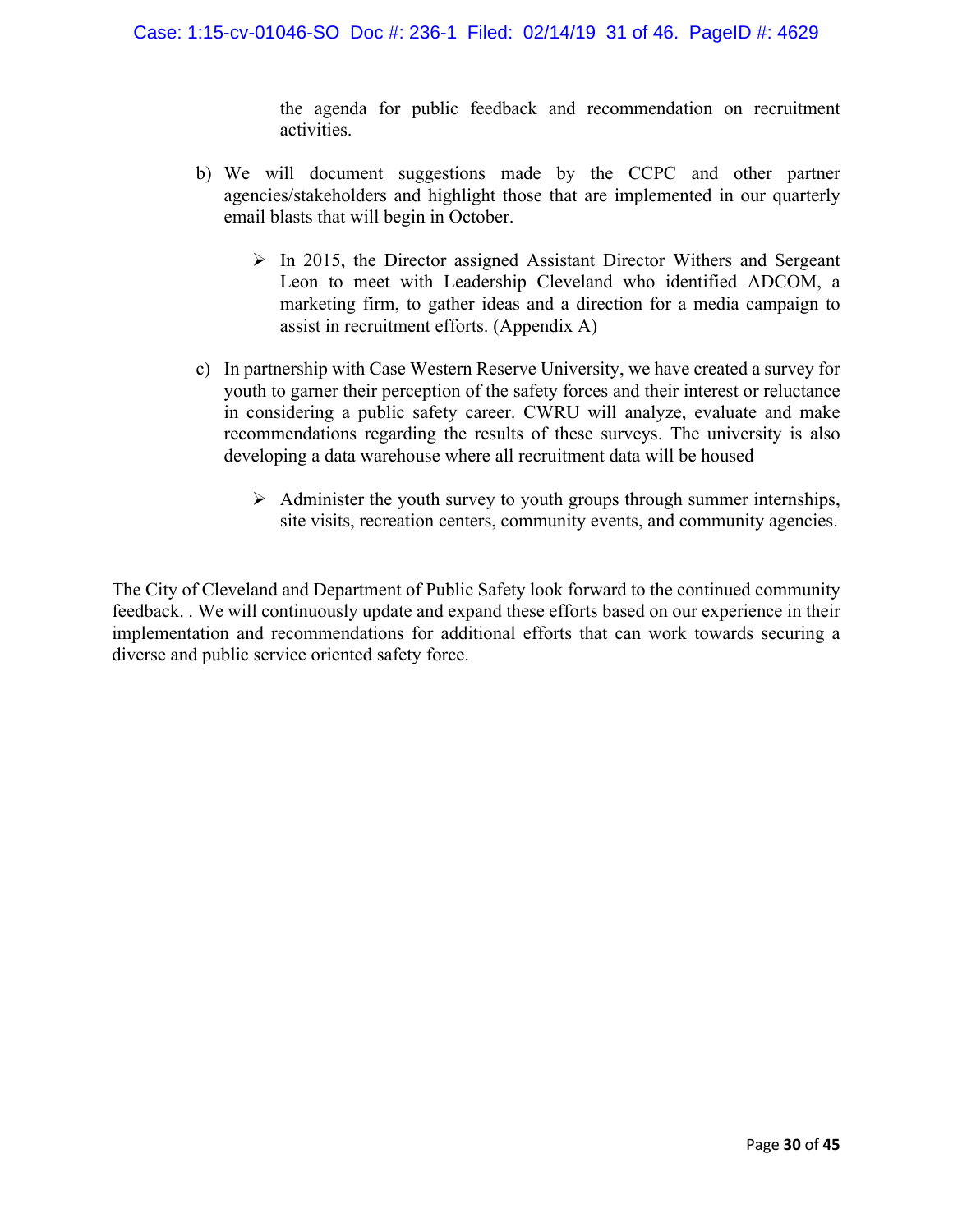the agenda for public feedback and recommendation on recruitment activities.

- b) We will document suggestions made by the CCPC and other partner agencies/stakeholders and highlight those that are implemented in our quarterly email blasts that will begin in October.
	- $\triangleright$  In 2015, the Director assigned Assistant Director Withers and Sergeant Leon to meet with Leadership Cleveland who identified ADCOM, a marketing firm, to gather ideas and a direction for a media campaign to assist in recruitment efforts. (Appendix A)
- c) In partnership with Case Western Reserve University, we have created a survey for youth to garner their perception of the safety forces and their interest or reluctance in considering a public safety career. CWRU will analyze, evaluate and make recommendations regarding the results of these surveys. The university is also developing a data warehouse where all recruitment data will be housed
	- $\triangleright$  Administer the youth survey to youth groups through summer internships, site visits, recreation centers, community events, and community agencies.

The City of Cleveland and Department of Public Safety look forward to the continued community feedback. . We will continuously update and expand these efforts based on our experience in their implementation and recommendations for additional efforts that can work towards securing a diverse and public service oriented safety force.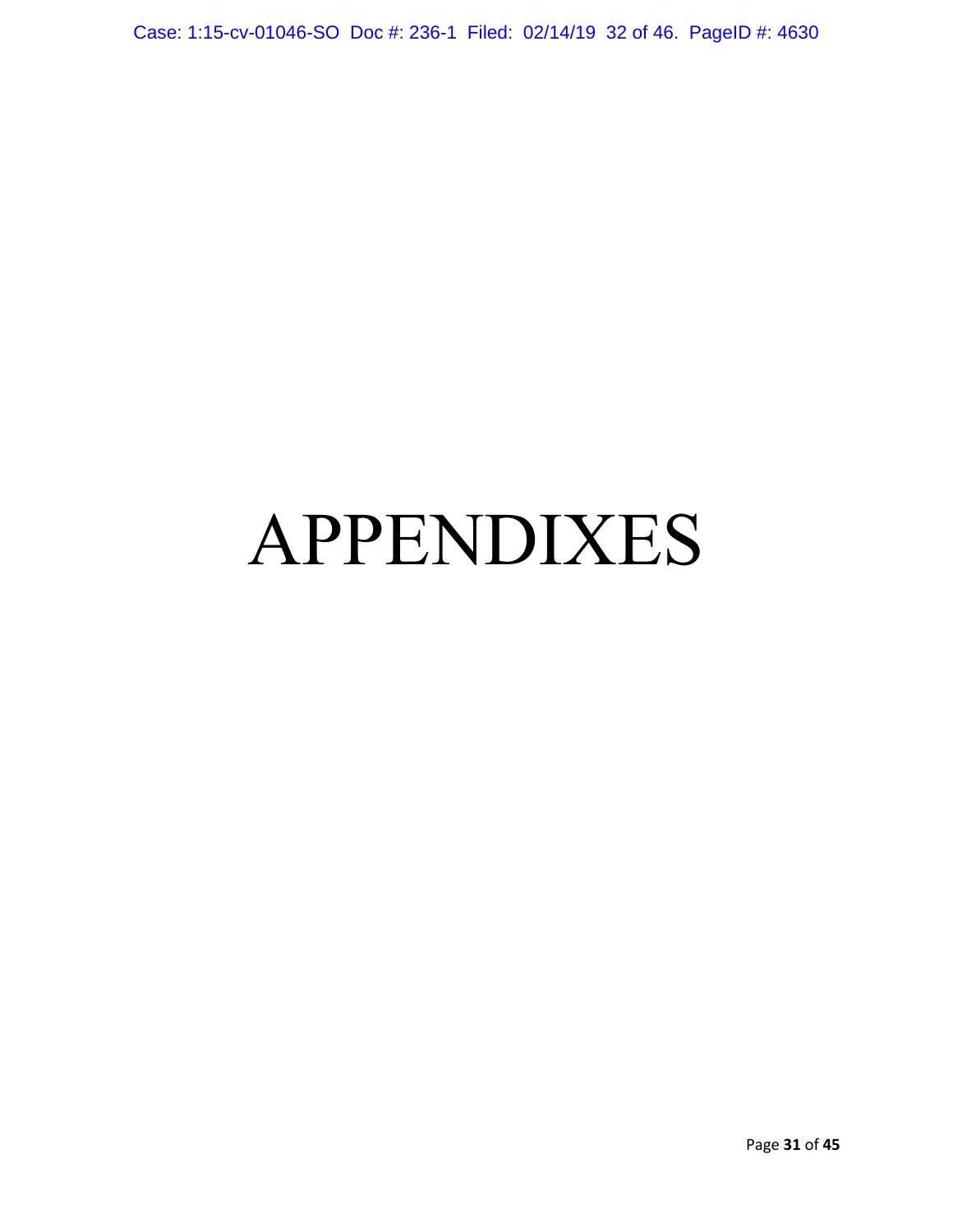Case: 1:15-cv-01046-SO Doc #: 236-1 Filed: 02/14/19 32 of 46. PageID #: 4630

# APPENDIXES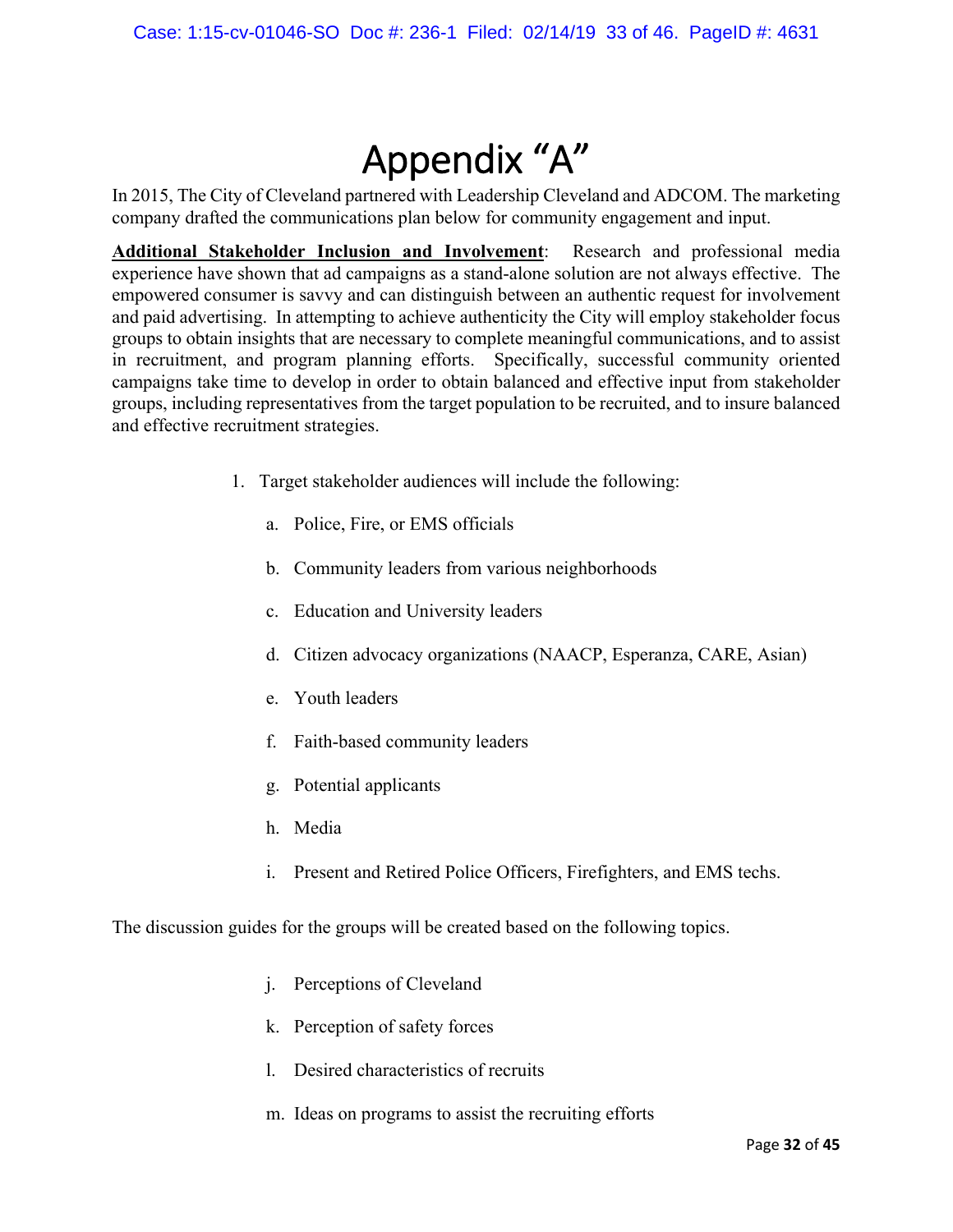## Appendix "A"

In 2015, The City of Cleveland partnered with Leadership Cleveland and ADCOM. The marketing company drafted the communications plan below for community engagement and input.

**Additional Stakeholder Inclusion and Involvement**: Research and professional media experience have shown that ad campaigns as a stand-alone solution are not always effective. The empowered consumer is savvy and can distinguish between an authentic request for involvement and paid advertising. In attempting to achieve authenticity the City will employ stakeholder focus groups to obtain insights that are necessary to complete meaningful communications, and to assist in recruitment, and program planning efforts. Specifically, successful community oriented campaigns take time to develop in order to obtain balanced and effective input from stakeholder groups, including representatives from the target population to be recruited, and to insure balanced and effective recruitment strategies.

- 1. Target stakeholder audiences will include the following:
	- a. Police, Fire, or EMS officials
	- b. Community leaders from various neighborhoods
	- c. Education and University leaders
	- d. Citizen advocacy organizations (NAACP, Esperanza, CARE, Asian)
	- e. Youth leaders
	- f. Faith-based community leaders
	- g. Potential applicants
	- h. Media
	- i. Present and Retired Police Officers, Firefighters, and EMS techs.

The discussion guides for the groups will be created based on the following topics.

- j. Perceptions of Cleveland
- k. Perception of safety forces
- l. Desired characteristics of recruits
- m. Ideas on programs to assist the recruiting efforts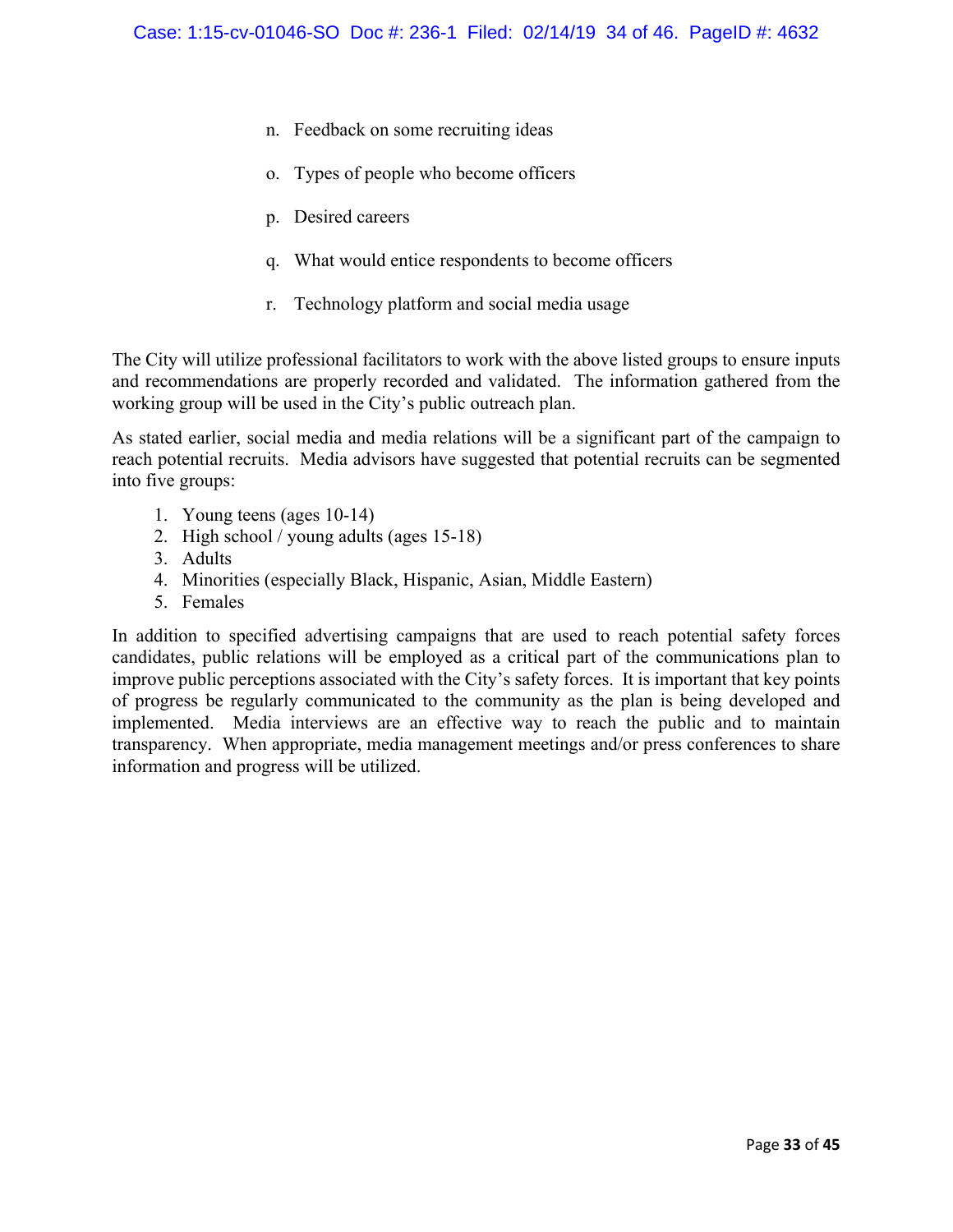- n. Feedback on some recruiting ideas
- o. Types of people who become officers
- p. Desired careers
- q. What would entice respondents to become officers
- r. Technology platform and social media usage

The City will utilize professional facilitators to work with the above listed groups to ensure inputs and recommendations are properly recorded and validated. The information gathered from the working group will be used in the City's public outreach plan.

As stated earlier, social media and media relations will be a significant part of the campaign to reach potential recruits. Media advisors have suggested that potential recruits can be segmented into five groups:

- 1. Young teens (ages 10-14)
- 2. High school / young adults (ages 15-18)
- 3. Adults
- 4. Minorities (especially Black, Hispanic, Asian, Middle Eastern)
- 5. Females

In addition to specified advertising campaigns that are used to reach potential safety forces candidates, public relations will be employed as a critical part of the communications plan to improve public perceptions associated with the City's safety forces. It is important that key points of progress be regularly communicated to the community as the plan is being developed and implemented. Media interviews are an effective way to reach the public and to maintain transparency. When appropriate, media management meetings and/or press conferences to share information and progress will be utilized.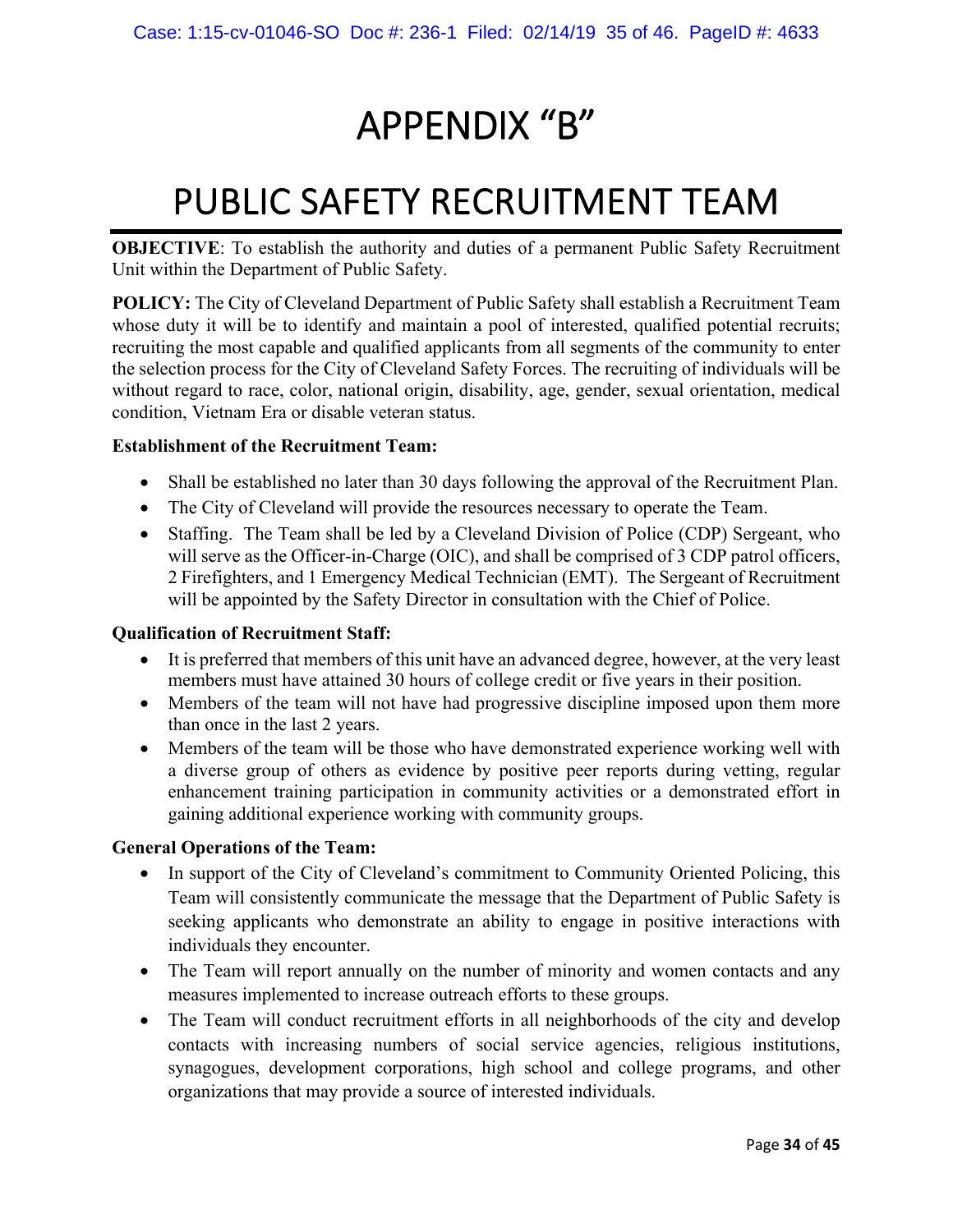## APPENDIX "B"

### PUBLIC SAFETY RECRUITMENT TEAM

**OBJECTIVE**: To establish the authority and duties of a permanent Public Safety Recruitment Unit within the Department of Public Safety.

**POLICY:** The City of Cleveland Department of Public Safety shall establish a Recruitment Team whose duty it will be to identify and maintain a pool of interested, qualified potential recruits; recruiting the most capable and qualified applicants from all segments of the community to enter the selection process for the City of Cleveland Safety Forces. The recruiting of individuals will be without regard to race, color, national origin, disability, age, gender, sexual orientation, medical condition, Vietnam Era or disable veteran status.

#### **Establishment of the Recruitment Team:**

- Shall be established no later than 30 days following the approval of the Recruitment Plan.
- The City of Cleveland will provide the resources necessary to operate the Team.
- Staffing. The Team shall be led by a Cleveland Division of Police (CDP) Sergeant, who will serve as the Officer-in-Charge (OIC), and shall be comprised of 3 CDP patrol officers, 2 Firefighters, and 1 Emergency Medical Technician (EMT). The Sergeant of Recruitment will be appointed by the Safety Director in consultation with the Chief of Police.

#### **Qualification of Recruitment Staff:**

- It is preferred that members of this unit have an advanced degree, however, at the very least members must have attained 30 hours of college credit or five years in their position.
- Members of the team will not have had progressive discipline imposed upon them more than once in the last 2 years.
- Members of the team will be those who have demonstrated experience working well with a diverse group of others as evidence by positive peer reports during vetting, regular enhancement training participation in community activities or a demonstrated effort in gaining additional experience working with community groups.

#### **General Operations of the Team:**

- In support of the City of Cleveland's commitment to Community Oriented Policing, this Team will consistently communicate the message that the Department of Public Safety is seeking applicants who demonstrate an ability to engage in positive interactions with individuals they encounter.
- The Team will report annually on the number of minority and women contacts and any measures implemented to increase outreach efforts to these groups.
- The Team will conduct recruitment efforts in all neighborhoods of the city and develop contacts with increasing numbers of social service agencies, religious institutions, synagogues, development corporations, high school and college programs, and other organizations that may provide a source of interested individuals.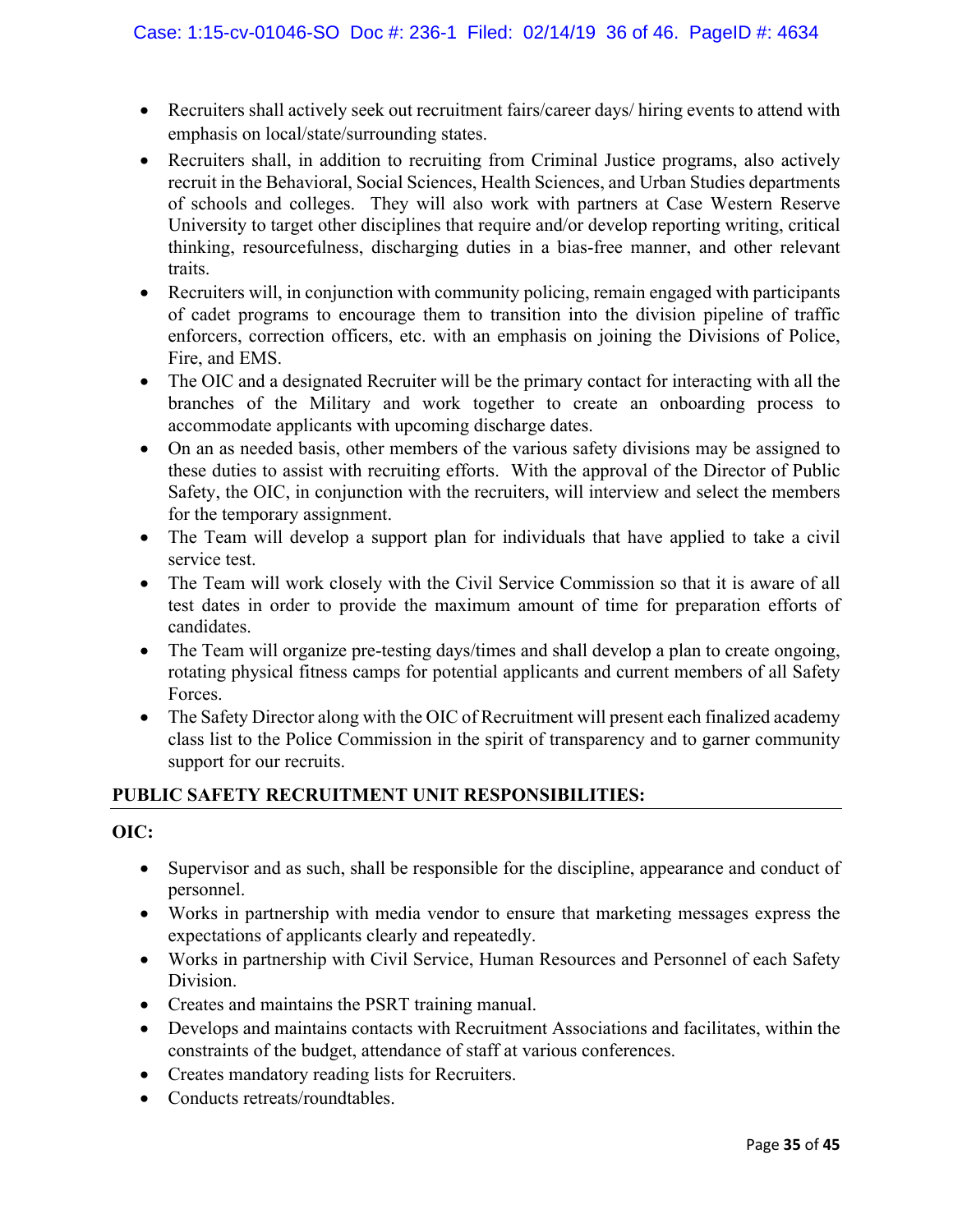- Recruiters shall actively seek out recruitment fairs/career days/ hiring events to attend with emphasis on local/state/surrounding states.
- Recruiters shall, in addition to recruiting from Criminal Justice programs, also actively recruit in the Behavioral, Social Sciences, Health Sciences, and Urban Studies departments of schools and colleges. They will also work with partners at Case Western Reserve University to target other disciplines that require and/or develop reporting writing, critical thinking, resourcefulness, discharging duties in a bias-free manner, and other relevant traits.
- Recruiters will, in conjunction with community policing, remain engaged with participants of cadet programs to encourage them to transition into the division pipeline of traffic enforcers, correction officers, etc. with an emphasis on joining the Divisions of Police, Fire, and EMS.
- The OIC and a designated Recruiter will be the primary contact for interacting with all the branches of the Military and work together to create an onboarding process to accommodate applicants with upcoming discharge dates.
- On an as needed basis, other members of the various safety divisions may be assigned to these duties to assist with recruiting efforts. With the approval of the Director of Public Safety, the OIC, in conjunction with the recruiters, will interview and select the members for the temporary assignment.
- The Team will develop a support plan for individuals that have applied to take a civil service test.
- The Team will work closely with the Civil Service Commission so that it is aware of all test dates in order to provide the maximum amount of time for preparation efforts of candidates.
- The Team will organize pre-testing days/times and shall develop a plan to create ongoing, rotating physical fitness camps for potential applicants and current members of all Safety Forces.
- The Safety Director along with the OIC of Recruitment will present each finalized academy class list to the Police Commission in the spirit of transparency and to garner community support for our recruits.

#### **PUBLIC SAFETY RECRUITMENT UNIT RESPONSIBILITIES:**

#### **OIC:**

- Supervisor and as such, shall be responsible for the discipline, appearance and conduct of personnel.
- Works in partnership with media vendor to ensure that marketing messages express the expectations of applicants clearly and repeatedly.
- Works in partnership with Civil Service, Human Resources and Personnel of each Safety Division.
- Creates and maintains the PSRT training manual.
- Develops and maintains contacts with Recruitment Associations and facilitates, within the constraints of the budget, attendance of staff at various conferences.
- Creates mandatory reading lists for Recruiters.
- Conducts retreats/roundtables.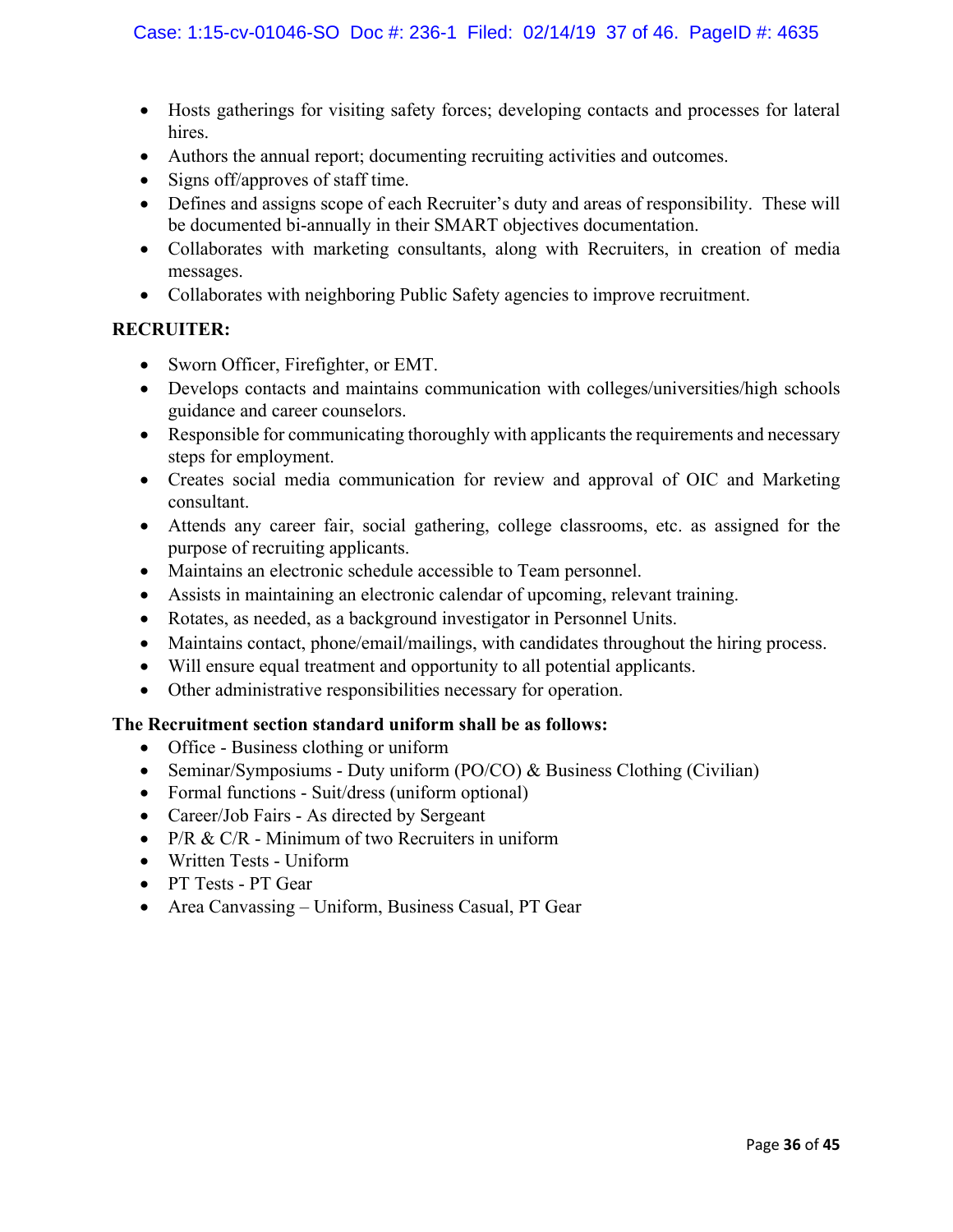- Hosts gatherings for visiting safety forces; developing contacts and processes for lateral hires.
- Authors the annual report; documenting recruiting activities and outcomes.
- Signs off/approves of staff time.
- Defines and assigns scope of each Recruiter's duty and areas of responsibility. These will be documented bi-annually in their SMART objectives documentation.
- Collaborates with marketing consultants, along with Recruiters, in creation of media messages.
- Collaborates with neighboring Public Safety agencies to improve recruitment.

#### **RECRUITER:**

- Sworn Officer, Firefighter, or EMT.
- Develops contacts and maintains communication with colleges/universities/high schools guidance and career counselors.
- Responsible for communicating thoroughly with applicants the requirements and necessary steps for employment.
- Creates social media communication for review and approval of OIC and Marketing consultant.
- Attends any career fair, social gathering, college classrooms, etc. as assigned for the purpose of recruiting applicants.
- Maintains an electronic schedule accessible to Team personnel.
- Assists in maintaining an electronic calendar of upcoming, relevant training.
- Rotates, as needed, as a background investigator in Personnel Units.
- Maintains contact, phone/email/mailings, with candidates throughout the hiring process.
- Will ensure equal treatment and opportunity to all potential applicants.
- Other administrative responsibilities necessary for operation.

#### **The Recruitment section standard uniform shall be as follows:**

- Office Business clothing or uniform
- Seminar/Symposiums Duty uniform (PO/CO) & Business Clothing (Civilian)
- Formal functions Suit/dress (uniform optional)
- Career/Job Fairs As directed by Sergeant
- P/R & C/R Minimum of two Recruiters in uniform
- Written Tests Uniform
- PT Tests PT Gear
- Area Canvassing Uniform, Business Casual, PT Gear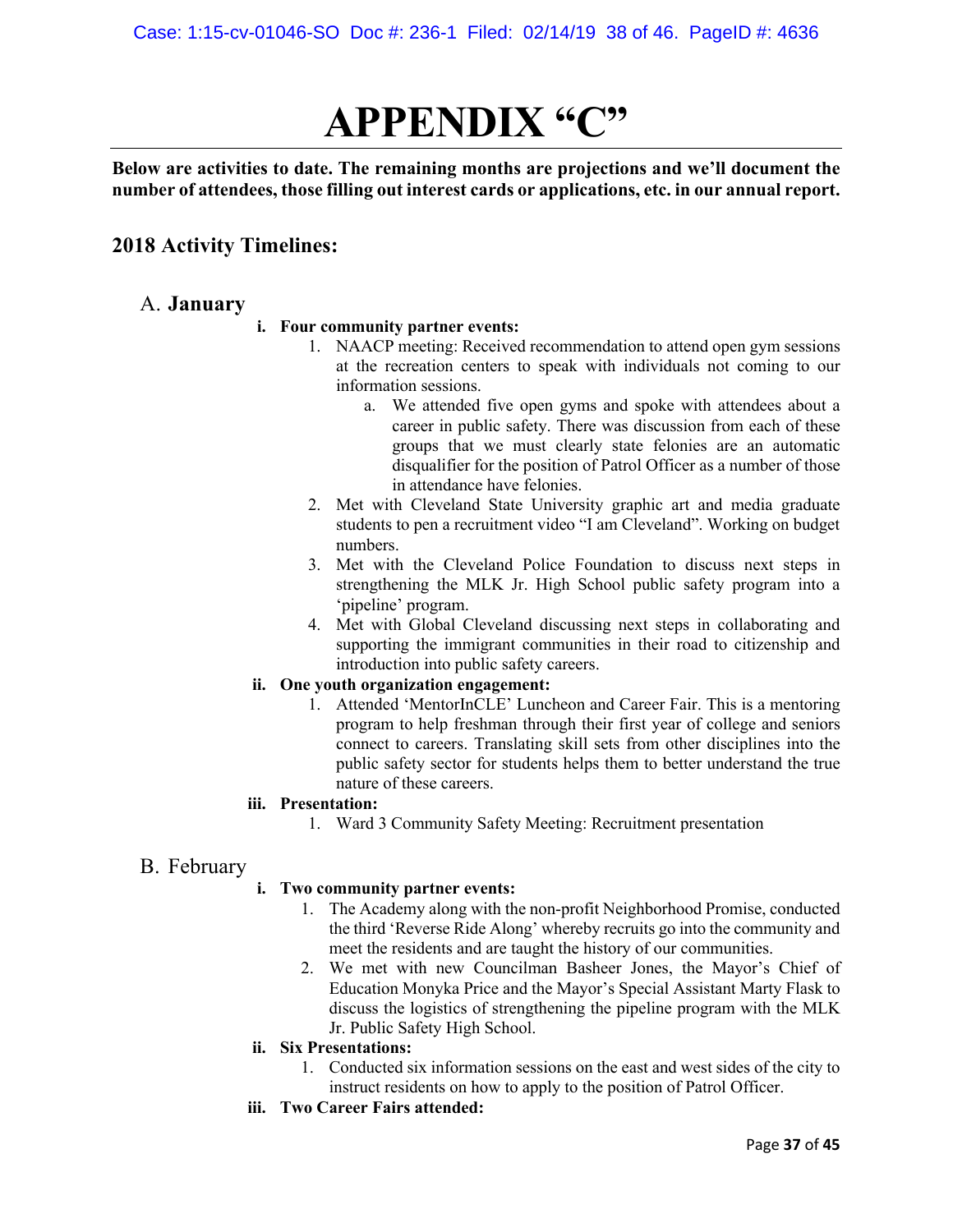# **APPENDIX "C"**

**Below are activities to date. The remaining months are projections and we'll document the number of attendees, those filling out interest cards or applications, etc. in our annual report.** 

#### **2018 Activity Timelines:**

#### A. **January**

#### **i. Four community partner events:**

- 1. NAACP meeting: Received recommendation to attend open gym sessions at the recreation centers to speak with individuals not coming to our information sessions.
	- a. We attended five open gyms and spoke with attendees about a career in public safety. There was discussion from each of these groups that we must clearly state felonies are an automatic disqualifier for the position of Patrol Officer as a number of those in attendance have felonies.
- 2. Met with Cleveland State University graphic art and media graduate students to pen a recruitment video "I am Cleveland". Working on budget numbers.
- 3. Met with the Cleveland Police Foundation to discuss next steps in strengthening the MLK Jr. High School public safety program into a 'pipeline' program.
- 4. Met with Global Cleveland discussing next steps in collaborating and supporting the immigrant communities in their road to citizenship and introduction into public safety careers.

#### **ii. One youth organization engagement:**

1. Attended 'MentorInCLE' Luncheon and Career Fair. This is a mentoring program to help freshman through their first year of college and seniors connect to careers. Translating skill sets from other disciplines into the public safety sector for students helps them to better understand the true nature of these careers.

#### **iii. Presentation:**

1. Ward 3 Community Safety Meeting: Recruitment presentation

#### B. February

#### **i. Two community partner events:**

- 1. The Academy along with the non-profit Neighborhood Promise, conducted the third 'Reverse Ride Along' whereby recruits go into the community and meet the residents and are taught the history of our communities.
- 2. We met with new Councilman Basheer Jones, the Mayor's Chief of Education Monyka Price and the Mayor's Special Assistant Marty Flask to discuss the logistics of strengthening the pipeline program with the MLK Jr. Public Safety High School.

#### **ii. Six Presentations:**

- 1. Conducted six information sessions on the east and west sides of the city to instruct residents on how to apply to the position of Patrol Officer.
- **iii. Two Career Fairs attended:**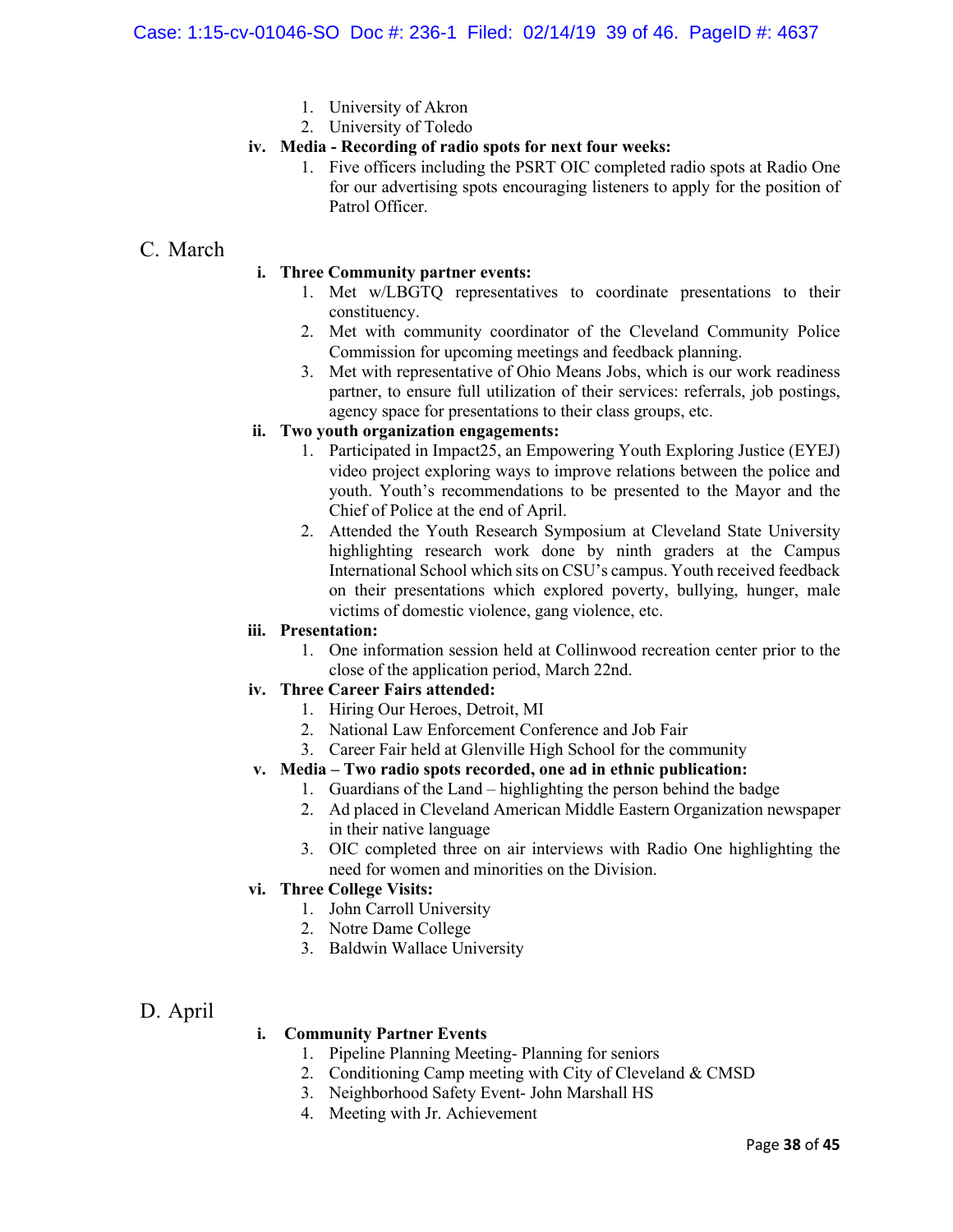- 1. University of Akron
- 2. University of Toledo

#### **iv. Media - Recording of radio spots for next four weeks:**

1. Five officers including the PSRT OIC completed radio spots at Radio One for our advertising spots encouraging listeners to apply for the position of Patrol Officer.

#### C. March

#### **i. Three Community partner events:**

- 1. Met w/LBGTQ representatives to coordinate presentations to their constituency.
- 2. Met with community coordinator of the Cleveland Community Police Commission for upcoming meetings and feedback planning.
- 3. Met with representative of Ohio Means Jobs, which is our work readiness partner, to ensure full utilization of their services: referrals, job postings, agency space for presentations to their class groups, etc.

#### **ii. Two youth organization engagements:**

- 1. Participated in Impact25, an Empowering Youth Exploring Justice (EYEJ) video project exploring ways to improve relations between the police and youth. Youth's recommendations to be presented to the Mayor and the Chief of Police at the end of April.
- 2. Attended the Youth Research Symposium at Cleveland State University highlighting research work done by ninth graders at the Campus International School which sits on CSU's campus. Youth received feedback on their presentations which explored poverty, bullying, hunger, male victims of domestic violence, gang violence, etc.

#### **iii. Presentation:**

1. One information session held at Collinwood recreation center prior to the close of the application period, March 22nd.

#### **iv. Three Career Fairs attended:**

- 1. Hiring Our Heroes, Detroit, MI
- 2. National Law Enforcement Conference and Job Fair
- 3. Career Fair held at Glenville High School for the community

#### **v. Media – Two radio spots recorded, one ad in ethnic publication:**

- 1. Guardians of the Land highlighting the person behind the badge
	- 2. Ad placed in Cleveland American Middle Eastern Organization newspaper in their native language
	- 3. OIC completed three on air interviews with Radio One highlighting the need for women and minorities on the Division.

#### **vi. Three College Visits:**

- 1. John Carroll University
- 2. Notre Dame College
- 3. Baldwin Wallace University

#### D. April

#### **i. Community Partner Events**

- 1. Pipeline Planning Meeting- Planning for seniors
- 2. Conditioning Camp meeting with City of Cleveland & CMSD
- 3. Neighborhood Safety Event- John Marshall HS
- 4. Meeting with Jr. Achievement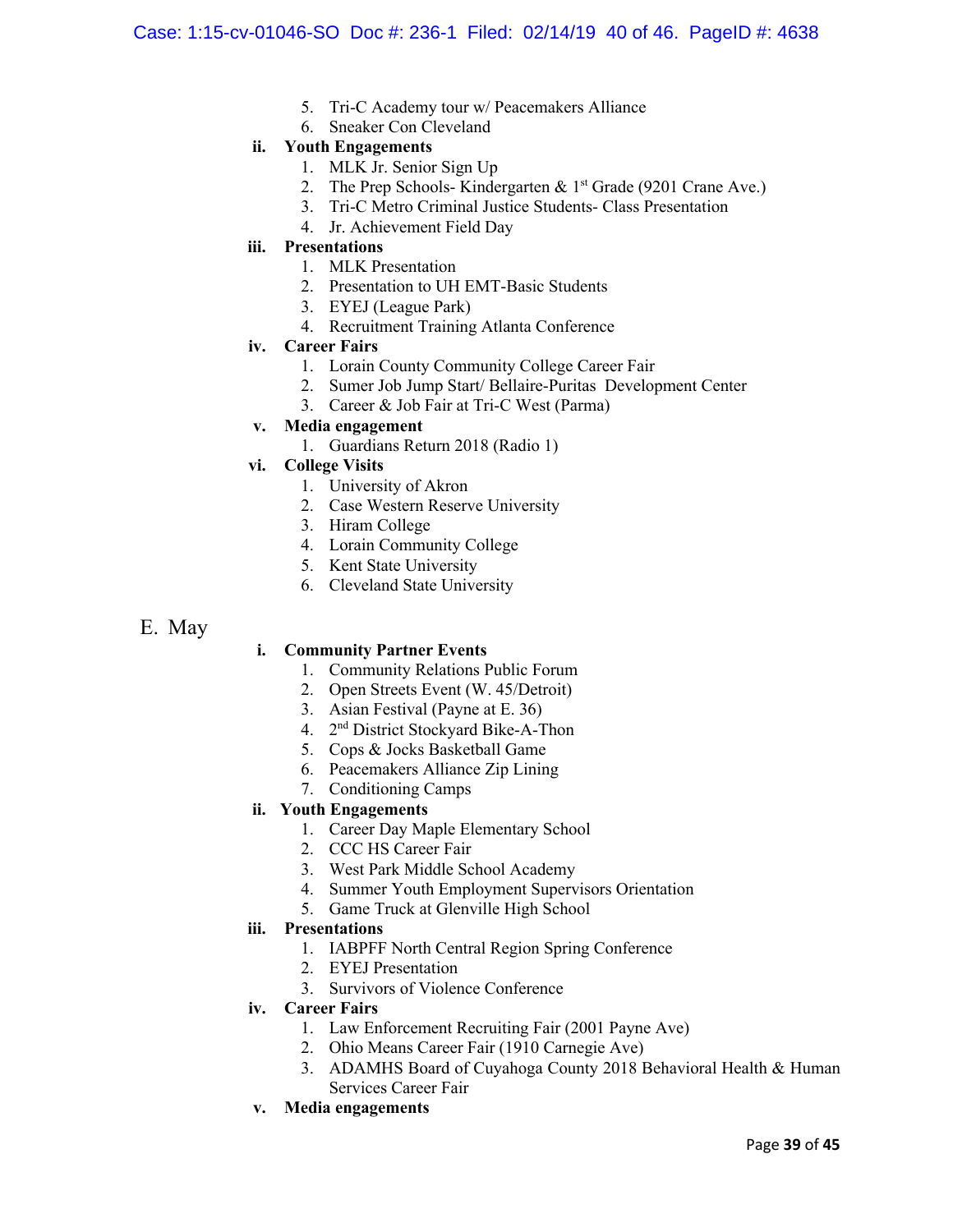- 5. Tri-C Academy tour w/ Peacemakers Alliance
- 6. Sneaker Con Cleveland

#### **ii. Youth Engagements**

- 1. MLK Jr. Senior Sign Up
- 2. The Prep Schools- Kindergarten &  $1<sup>st</sup>$  Grade (9201 Crane Ave.)
- 3. Tri-C Metro Criminal Justice Students- Class Presentation
- 4. Jr. Achievement Field Day

#### **iii. Presentations**

- 1. MLK Presentation
- 2. Presentation to UH EMT-Basic Students
- 3. EYEJ (League Park)
- 4. Recruitment Training Atlanta Conference

#### **iv. Career Fairs**

- 1. Lorain County Community College Career Fair
- 2. Sumer Job Jump Start/ Bellaire-Puritas Development Center
- 3. Career & Job Fair at Tri-C West (Parma)

#### **v. Media engagement**

1. Guardians Return 2018 (Radio 1)

#### **vi. College Visits**

- 1. University of Akron
- 2. Case Western Reserve University
- 3. Hiram College
- 4. Lorain Community College
- 5. Kent State University
- 6. Cleveland State University

#### E. May

#### **i. Community Partner Events**

- 1. Community Relations Public Forum
- 2. Open Streets Event (W. 45/Detroit)
- 3. Asian Festival (Payne at E. 36)
- 4. 2nd District Stockyard Bike-A-Thon
- 5. Cops & Jocks Basketball Game
- 6. Peacemakers Alliance Zip Lining
- 7. Conditioning Camps

#### **ii. Youth Engagements**

- 1. Career Day Maple Elementary School
- 2. CCC HS Career Fair
- 3. West Park Middle School Academy
- 4. Summer Youth Employment Supervisors Orientation
- 5. Game Truck at Glenville High School

#### **iii. Presentations**

- 1. IABPFF North Central Region Spring Conference
- 2. EYEJ Presentation
- 3. Survivors of Violence Conference

#### **iv. Career Fairs**

- 1. Law Enforcement Recruiting Fair (2001 Payne Ave)
- 2. Ohio Means Career Fair (1910 Carnegie Ave)
- 3. ADAMHS Board of Cuyahoga County 2018 Behavioral Health & Human Services Career Fair
- **v. Media engagements**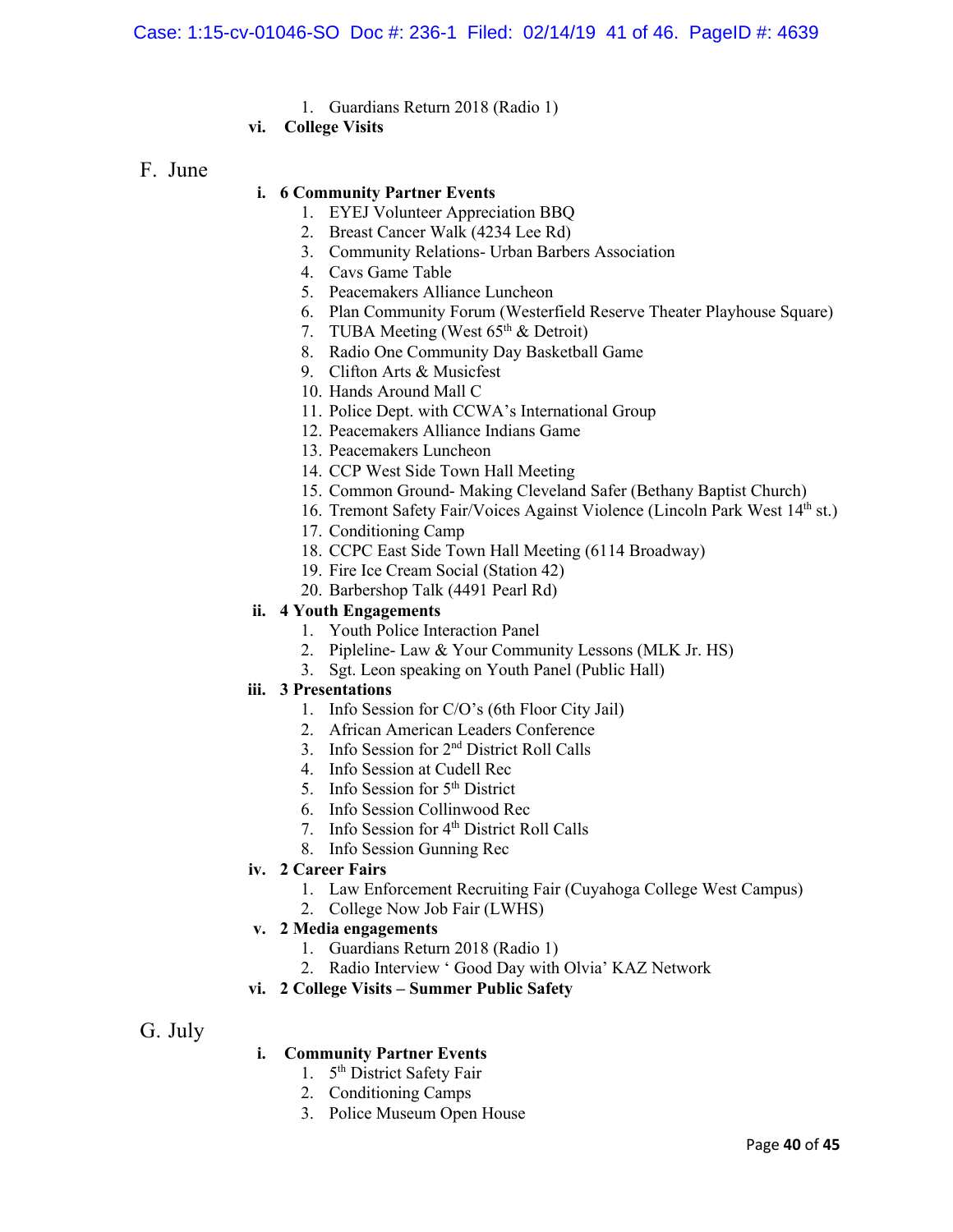1. Guardians Return 2018 (Radio 1)

#### **vi. College Visits**

#### F. June

#### **i. 6 Community Partner Events**

- 1. EYEJ Volunteer Appreciation BBQ
- 2. Breast Cancer Walk (4234 Lee Rd)
- 3. Community Relations- Urban Barbers Association
- 4. Cavs Game Table
- 5. Peacemakers Alliance Luncheon
- 6. Plan Community Forum (Westerfield Reserve Theater Playhouse Square)
- 7. TUBA Meeting (West  $65<sup>th</sup>$  & Detroit)
- 8. Radio One Community Day Basketball Game
- 9. Clifton Arts & Musicfest
- 10. Hands Around Mall C
- 11. Police Dept. with CCWA's International Group
- 12. Peacemakers Alliance Indians Game
- 13. Peacemakers Luncheon
- 14. CCP West Side Town Hall Meeting
- 15. Common Ground- Making Cleveland Safer (Bethany Baptist Church)
- 16. Tremont Safety Fair/Voices Against Violence (Lincoln Park West 14<sup>th</sup> st.)
- 17. Conditioning Camp
- 18. CCPC East Side Town Hall Meeting (6114 Broadway)
- 19. Fire Ice Cream Social (Station 42)
- 20. Barbershop Talk (4491 Pearl Rd)

#### **ii. 4 Youth Engagements**

- 1. Youth Police Interaction Panel
- 2. Pipleline- Law & Your Community Lessons (MLK Jr. HS)
- 3. Sgt. Leon speaking on Youth Panel (Public Hall)

#### **iii. 3 Presentations**

- 1. Info Session for C/O's (6th Floor City Jail)
- 2. African American Leaders Conference
- 3. Info Session for 2nd District Roll Calls
- 4. Info Session at Cudell Rec
- 5. Info Session for  $5<sup>th</sup>$  District
- 6. Info Session Collinwood Rec
- 7. Info Session for 4<sup>th</sup> District Roll Calls
- 8. Info Session Gunning Rec
- **iv. 2 Career Fairs**
	- 1. Law Enforcement Recruiting Fair (Cuyahoga College West Campus)
	- 2. College Now Job Fair (LWHS)
- **v. 2 Media engagements**
	- 1. Guardians Return 2018 (Radio 1)
	- 2. Radio Interview ' Good Day with Olvia' KAZ Network

#### **vi. 2 College Visits – Summer Public Safety**

#### G. July

#### **i. Community Partner Events**

- 1. 5<sup>th</sup> District Safety Fair
- 2. Conditioning Camps
- 3. Police Museum Open House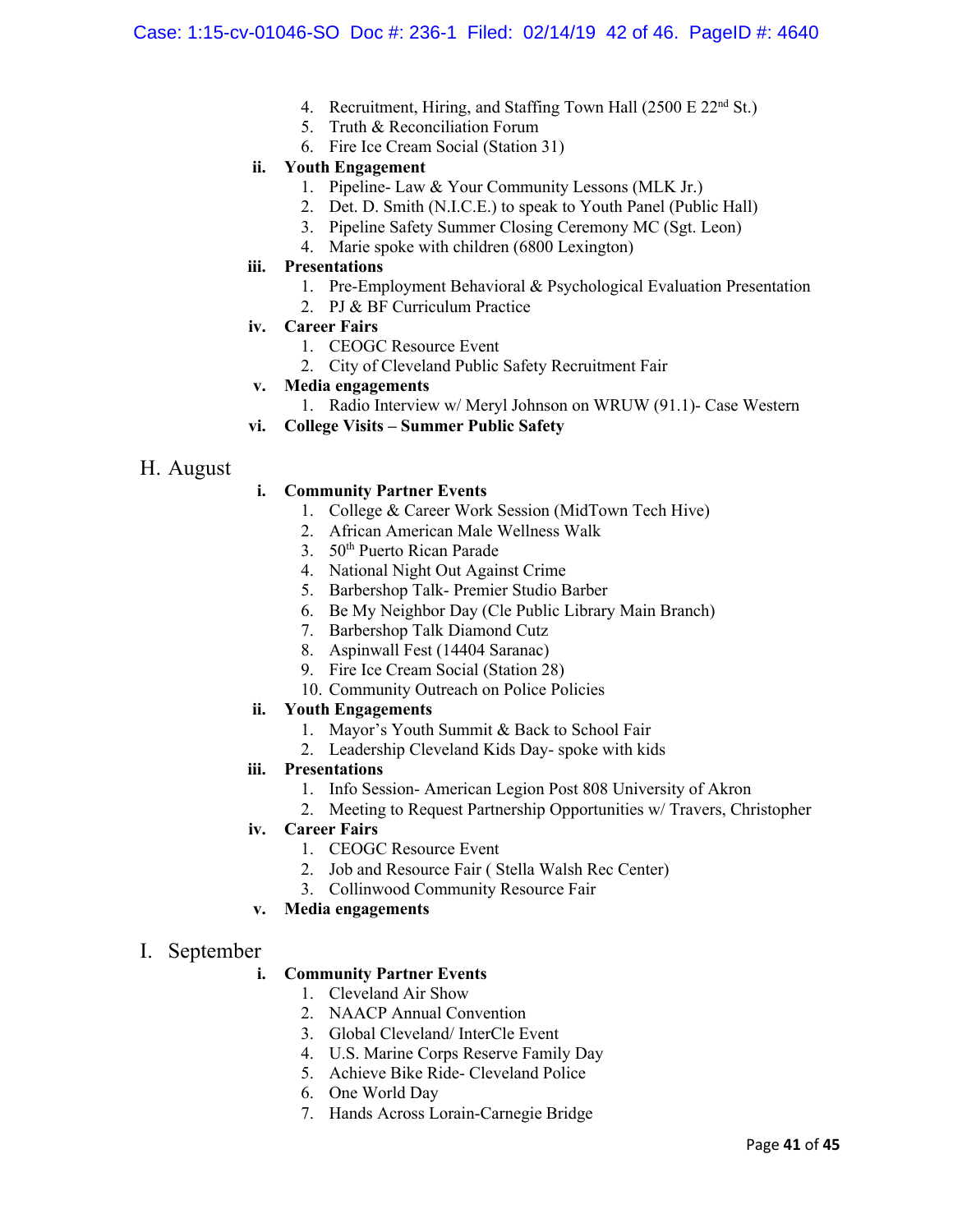- 4. Recruitment, Hiring, and Staffing Town Hall (2500 E 22<sup>nd</sup> St.)
- 5. Truth & Reconciliation Forum
- 6. Fire Ice Cream Social (Station 31)

#### **ii. Youth Engagement**

- 1. Pipeline- Law & Your Community Lessons (MLK Jr.)
- 2. Det. D. Smith (N.I.C.E.) to speak to Youth Panel (Public Hall)
- 3. Pipeline Safety Summer Closing Ceremony MC (Sgt. Leon)
- 4. Marie spoke with children (6800 Lexington)

#### **iii. Presentations**

- 1. Pre-Employment Behavioral & Psychological Evaluation Presentation
- 2. PJ & BF Curriculum Practice
- **iv. Career Fairs**
	- 1. CEOGC Resource Event
	- 2. City of Cleveland Public Safety Recruitment Fair

#### **v. Media engagements**

- 1. Radio Interview w/ Meryl Johnson on WRUW (91.1)- Case Western
- **vi. College Visits – Summer Public Safety**

#### H. August

#### **i. Community Partner Events**

- 1. College & Career Work Session (MidTown Tech Hive)
- 2. African American Male Wellness Walk
- 3. 50<sup>th</sup> Puerto Rican Parade
- 4. National Night Out Against Crime
- 5. Barbershop Talk- Premier Studio Barber
- 6. Be My Neighbor Day (Cle Public Library Main Branch)
- 7. Barbershop Talk Diamond Cutz
- 8. Aspinwall Fest (14404 Saranac)
- 9. Fire Ice Cream Social (Station 28)
- 10. Community Outreach on Police Policies

#### **ii. Youth Engagements**

- 1. Mayor's Youth Summit & Back to School Fair
- 2. Leadership Cleveland Kids Day- spoke with kids
- **iii. Presentations**
	- 1. Info Session- American Legion Post 808 University of Akron
	- 2. Meeting to Request Partnership Opportunities w/ Travers, Christopher
- **iv. Career Fairs**
	- 1. CEOGC Resource Event
	- 2. Job and Resource Fair ( Stella Walsh Rec Center)
	- 3. Collinwood Community Resource Fair
- **v. Media engagements**

#### I. September

#### **i. Community Partner Events**

- 1. Cleveland Air Show
- 2. NAACP Annual Convention
- 3. Global Cleveland/ InterCle Event
- 4. U.S. Marine Corps Reserve Family Day
- 5. Achieve Bike Ride- Cleveland Police
- 6. One World Day
- 7. Hands Across Lorain-Carnegie Bridge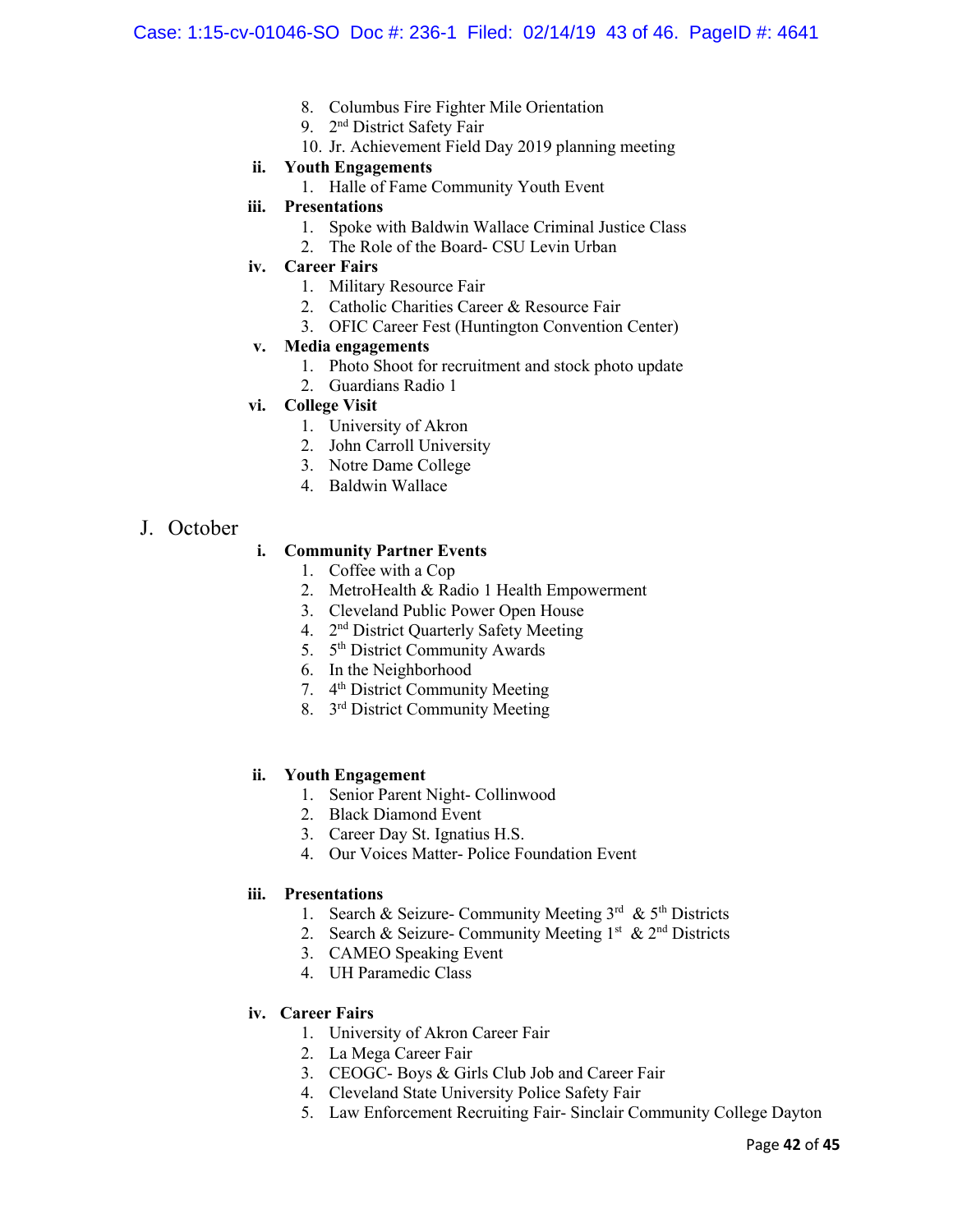- 8. Columbus Fire Fighter Mile Orientation
- 9. 2nd District Safety Fair
- 10. Jr. Achievement Field Day 2019 planning meeting

#### **ii. Youth Engagements**

1. Halle of Fame Community Youth Event

#### **iii. Presentations**

- 1. Spoke with Baldwin Wallace Criminal Justice Class
- 2. The Role of the Board- CSU Levin Urban
- **iv. Career Fairs**
	- 1. Military Resource Fair
	- 2. Catholic Charities Career & Resource Fair
	- 3. OFIC Career Fest (Huntington Convention Center)

#### **v. Media engagements**

- 1. Photo Shoot for recruitment and stock photo update
- 2. Guardians Radio 1

#### **vi. College Visit**

- 1. University of Akron
- 2. John Carroll University
- 3. Notre Dame College
- 4. Baldwin Wallace

#### J. October

#### **i. Community Partner Events**

- 1. Coffee with a Cop
- 2. MetroHealth & Radio 1 Health Empowerment
- 3. Cleveland Public Power Open House
- 4. 2nd District Quarterly Safety Meeting
- 5. 5<sup>th</sup> District Community Awards
- 6. In the Neighborhood
- 7. 4<sup>th</sup> District Community Meeting
- 8. 3rd District Community Meeting

#### **ii. Youth Engagement**

- 1. Senior Parent Night- Collinwood
- 2. Black Diamond Event
- 3. Career Day St. Ignatius H.S.
- 4. Our Voices Matter- Police Foundation Event

#### **iii. Presentations**

- 1. Search & Seizure- Community Meeting  $3<sup>rd</sup>$  &  $5<sup>th</sup>$  Districts
- 2. Search & Seizure- Community Meeting  $1^{st}$  &  $2^{nd}$  Districts
- 3. CAMEO Speaking Event
- 4. UH Paramedic Class

#### **iv. Career Fairs**

- 1. University of Akron Career Fair
- 2. La Mega Career Fair
- 3. CEOGC- Boys & Girls Club Job and Career Fair
- 4. Cleveland State University Police Safety Fair
- 5. Law Enforcement Recruiting Fair- Sinclair Community College Dayton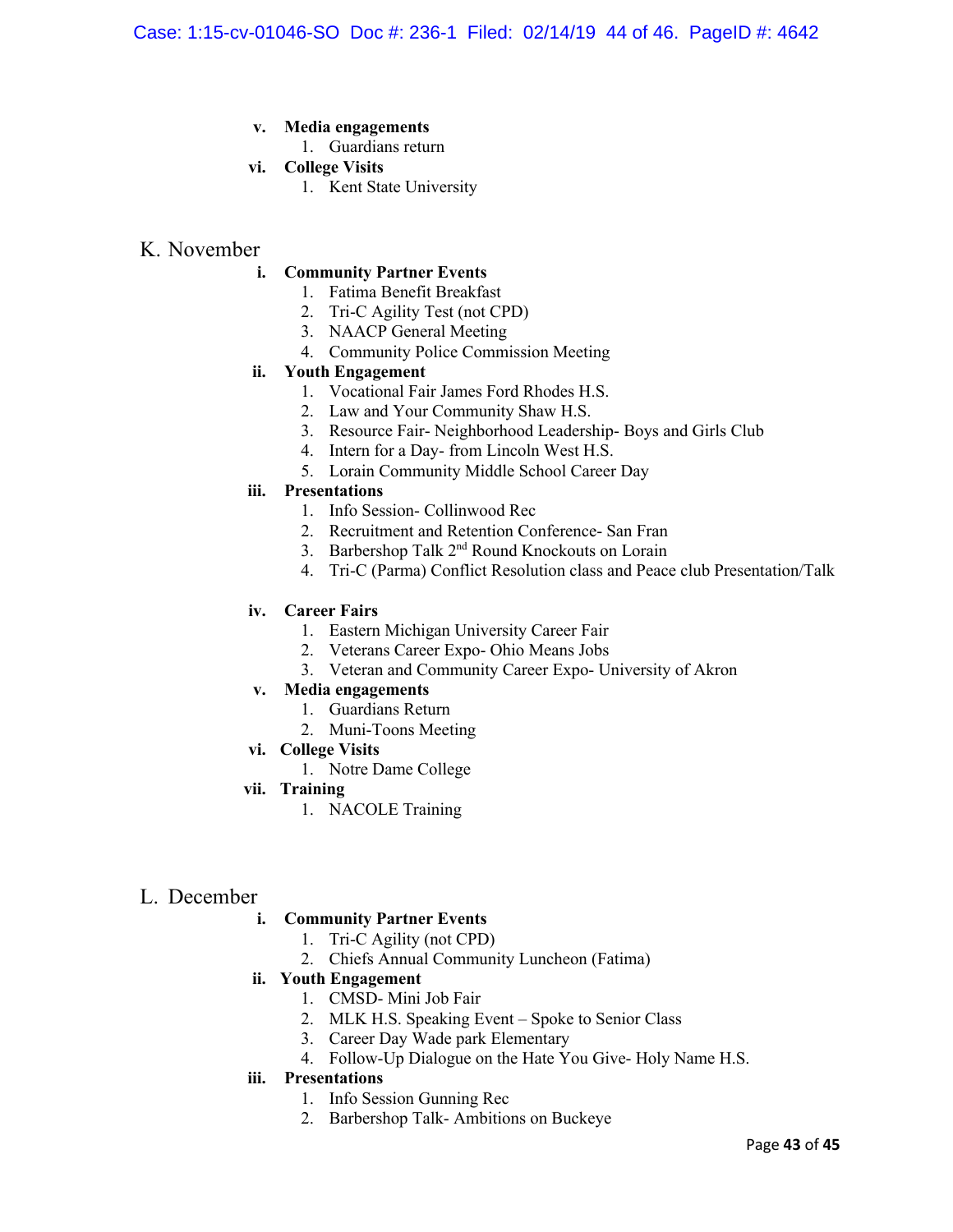#### **v. Media engagements**

1. Guardians return

#### **vi. College Visits**

1. Kent State University

#### K. November

#### **i. Community Partner Events**

- 1. Fatima Benefit Breakfast
- 2. Tri-C Agility Test (not CPD)
- 3. NAACP General Meeting
- 4. Community Police Commission Meeting

#### **ii. Youth Engagement**

- 1. Vocational Fair James Ford Rhodes H.S.
- 2. Law and Your Community Shaw H.S.
- 3. Resource Fair- Neighborhood Leadership- Boys and Girls Club
- 4. Intern for a Day- from Lincoln West H.S.
- 5. Lorain Community Middle School Career Day

#### **iii. Presentations**

- 1. Info Session- Collinwood Rec
- 2. Recruitment and Retention Conference- San Fran
- 3. Barbershop Talk 2nd Round Knockouts on Lorain
- 4. Tri-C (Parma) Conflict Resolution class and Peace club Presentation/Talk

#### **iv. Career Fairs**

- 1. Eastern Michigan University Career Fair
- 2. Veterans Career Expo- Ohio Means Jobs
- 3. Veteran and Community Career Expo- University of Akron

#### **v. Media engagements**

- 1. Guardians Return
	- 2. Muni-Toons Meeting
- **vi. College Visits**
	- 1. Notre Dame College
- **vii. Training**
	- 1. NACOLE Training

#### L. December

#### **i. Community Partner Events**

- 1. Tri-C Agility (not CPD)
- 2. Chiefs Annual Community Luncheon (Fatima)

#### **ii. Youth Engagement**

- 1. CMSD- Mini Job Fair
- 2. MLK H.S. Speaking Event Spoke to Senior Class
- 3. Career Day Wade park Elementary
- 4. Follow-Up Dialogue on the Hate You Give- Holy Name H.S.

#### **iii. Presentations**

- 1. Info Session Gunning Rec
- 2. Barbershop Talk- Ambitions on Buckeye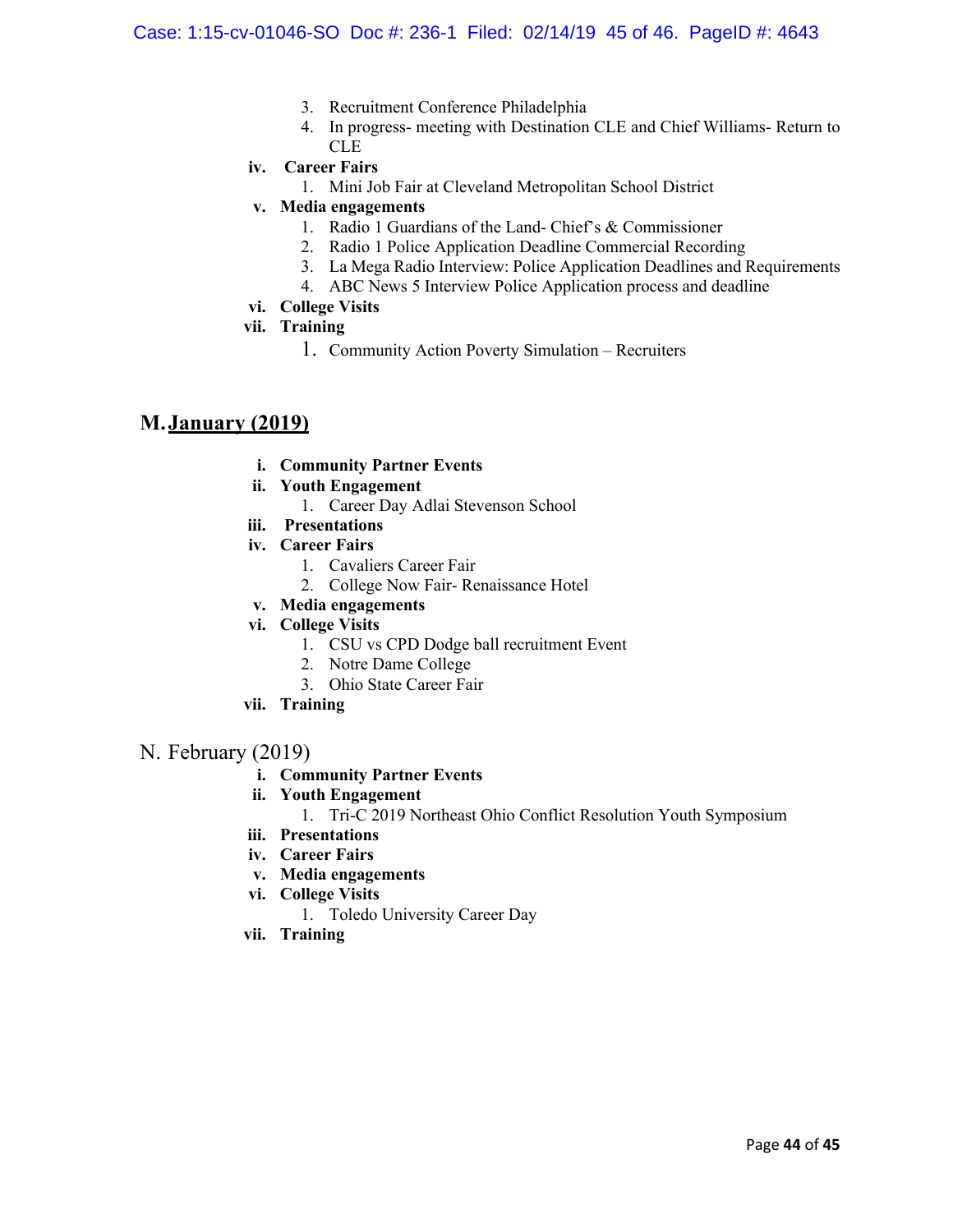- 3. Recruitment Conference Philadelphia
- 4. In progress- meeting with Destination CLE and Chief Williams- Return to CLE
- **iv. Career Fairs**
	- 1. Mini Job Fair at Cleveland Metropolitan School District
- **v. Media engagements**
	- 1. Radio 1 Guardians of the Land- Chief's & Commissioner
	- 2. Radio 1 Police Application Deadline Commercial Recording
	- 3. La Mega Radio Interview: Police Application Deadlines and Requirements
	- 4. ABC News 5 Interview Police Application process and deadline
- **vi. College Visits**
- **vii. Training**
	- 1. Community Action Poverty Simulation Recruiters

#### **M.January (2019)**

- **i. Community Partner Events**
- **ii. Youth Engagement**
	- 1. Career Day Adlai Stevenson School
- **iii. Presentations**
- **iv. Career Fairs**
	- 1. Cavaliers Career Fair
	- 2. College Now Fair- Renaissance Hotel
- **v. Media engagements**
- **vi. College Visits**
	- 1. CSU vs CPD Dodge ball recruitment Event
	- 2. Notre Dame College
	- 3. Ohio State Career Fair
- **vii. Training**

#### N. February (2019)

- **i. Community Partner Events**
- **ii. Youth Engagement**

1. Tri-C 2019 Northeast Ohio Conflict Resolution Youth Symposium

- **iii. Presentations**
- **iv. Career Fairs**
- **v. Media engagements**
- **vi. College Visits**
	- 1. Toledo University Career Day
- **vii. Training**